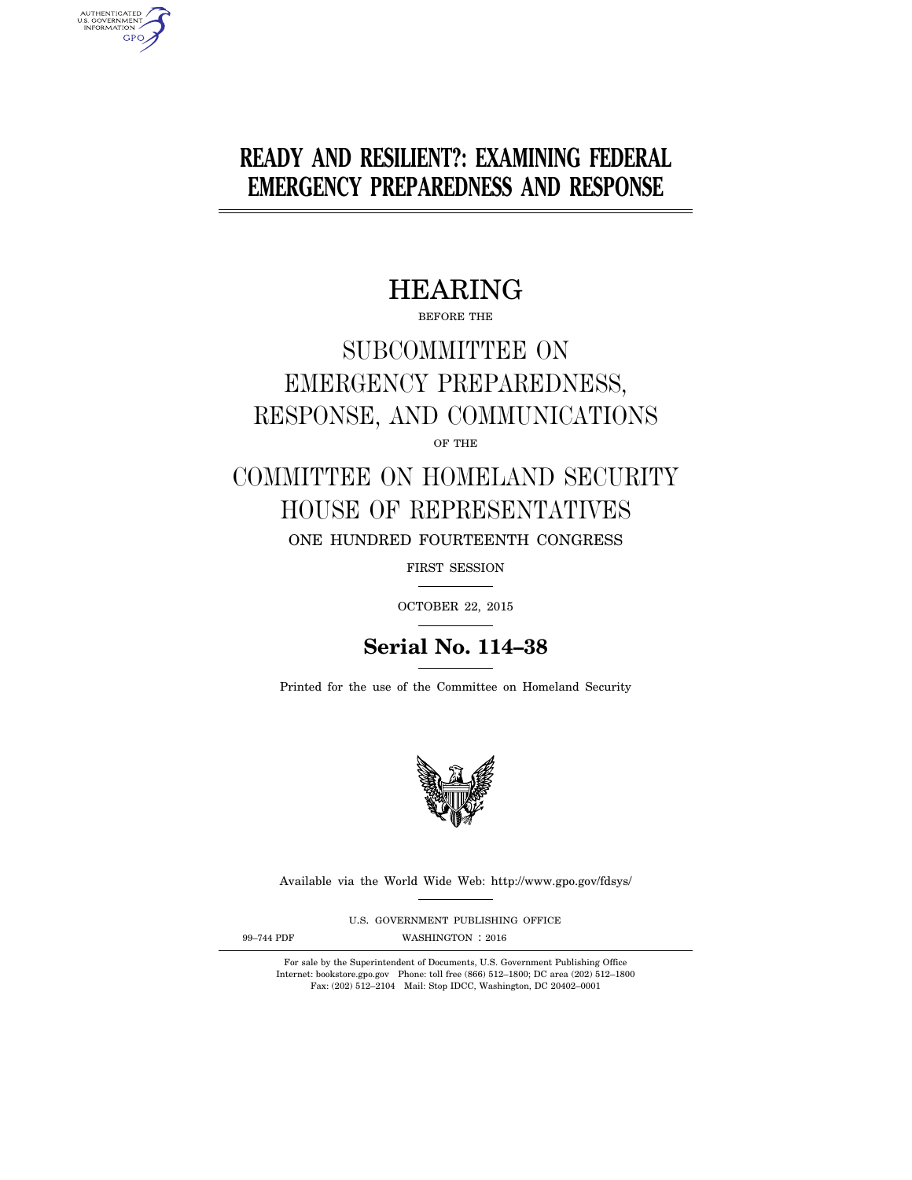# **READY AND RESILIENT?: EXAMINING FEDERAL EMERGENCY PREPAREDNESS AND RESPONSE**

# HEARING

BEFORE THE

# SUBCOMMITTEE ON EMERGENCY PREPAREDNESS, RESPONSE, AND COMMUNICATIONS OF THE

# COMMITTEE ON HOMELAND SECURITY HOUSE OF REPRESENTATIVES ONE HUNDRED FOURTEENTH CONGRESS

FIRST SESSION

OCTOBER 22, 2015

# **Serial No. 114–38**

Printed for the use of the Committee on Homeland Security



Available via the World Wide Web: http://www.gpo.gov/fdsys/

U.S. GOVERNMENT PUBLISHING OFFICE

AUTHENTICATED<br>U.S. GOVERNMENT<br>INFORMATION **GPO** 

99-744 PDF WASHINGTON : 2016

For sale by the Superintendent of Documents, U.S. Government Publishing Office Internet: bookstore.gpo.gov Phone: toll free (866) 512–1800; DC area (202) 512–1800 Fax: (202) 512–2104 Mail: Stop IDCC, Washington, DC 20402–0001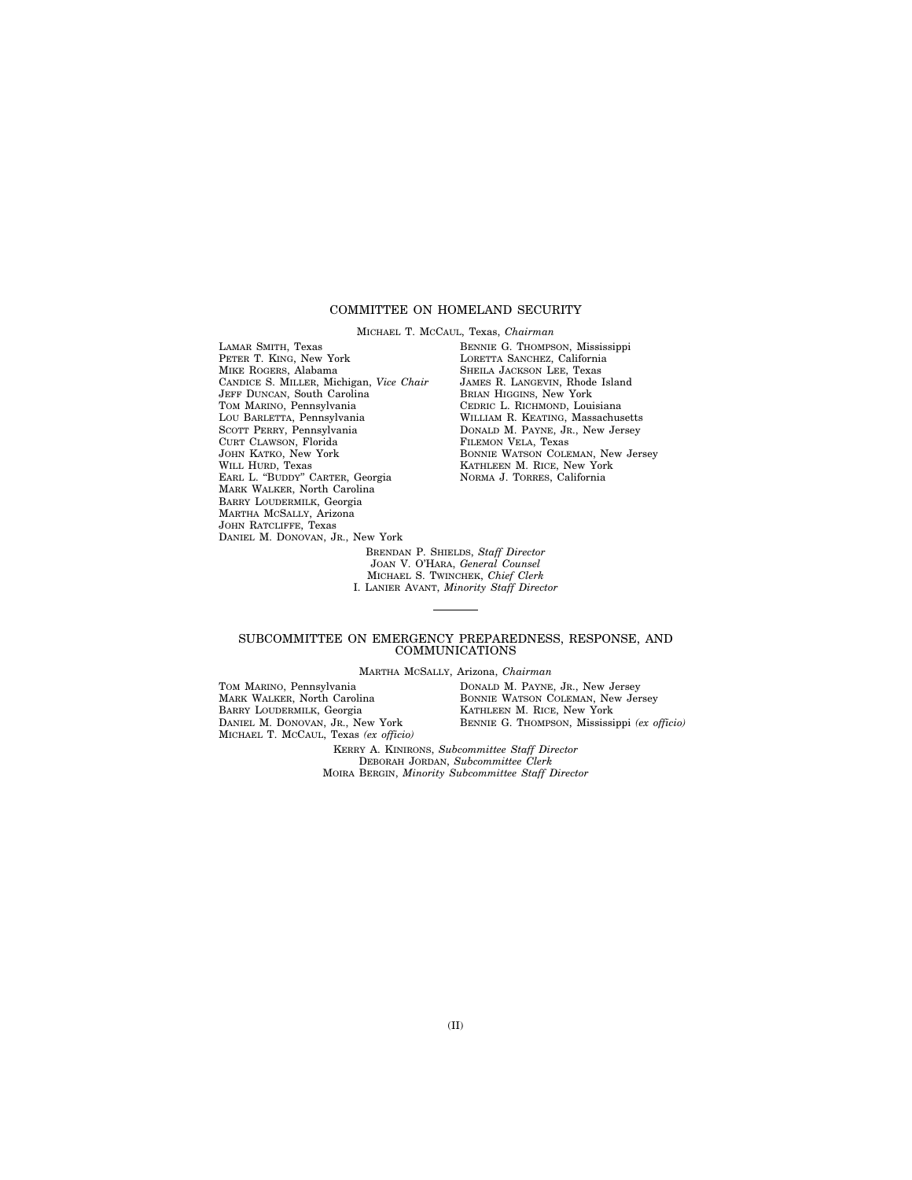## COMMITTEE ON HOMELAND SECURITY

MICHAEL T. MCCAUL, Texas, *Chairman* 

LAMAR SMITH, Texas PETER T. KING, New York MIKE ROGERS, Alabama CANDICE S. MILLER, Michigan, *Vice Chair*  JEFF DUNCAN, South Carolina TOM MARINO, Pennsylvania LOU BARLETTA, Pennsylvania SCOTT PERRY, Pennsylvania CURT CLAWSON, Florida JOHN KATKO, New York WILL HURD, Texas EARL L. ''BUDDY'' CARTER, Georgia MARK WALKER, North Carolina BARRY LOUDERMILK, Georgia MARTHA MCSALLY, Arizona JOHN RATCLIFFE, Texas DANIEL M. DONOVAN, JR., New York

BENNIE G. THOMPSON, Mississippi LORETTA SANCHEZ, California SHEILA JACKSON LEE, Texas JAMES R. LANGEVIN, Rhode Island BRIAN HIGGINS, New York CEDRIC L. RICHMOND, Louisiana WILLIAM R. KEATING, Massachusetts DONALD M. PAYNE, JR., New Jersey FILEMON VELA, Texas BONNIE WATSON COLEMAN, New Jersey KATHLEEN M. RICE, New York NORMA J. TORRES, California

BRENDAN P. SHIELDS, *Staff Director*  JOAN V. O'HARA, *General Counsel*  MICHAEL S. TWINCHEK, *Chief Clerk*  I. LANIER AVANT, *Minority Staff Director* 

## SUBCOMMITTEE ON EMERGENCY PREPAREDNESS, RESPONSE, AND COMMUNICATIONS

MARTHA MCSALLY, Arizona, *Chairman* 

TOM MARINO, Pennsylvania MARK WALKER, North Carolina BARRY LOUDERMILK, Georgia DANIEL M. DONOVAN, JR., New York MICHAEL T. MCCAUL, Texas *(ex officio)*  DONALD M. PAYNE, JR., New Jersey BONNIE WATSON COLEMAN, New Jersey KATHLEEN M. RICE, New York BENNIE G. THOMPSON, Mississippi *(ex officio)*  KERRY A. KINIRONS, *Subcommittee Staff Director* 

DEBORAH JORDAN, *Subcommittee Clerk*  MOIRA BERGIN, *Minority Subcommittee Staff Director*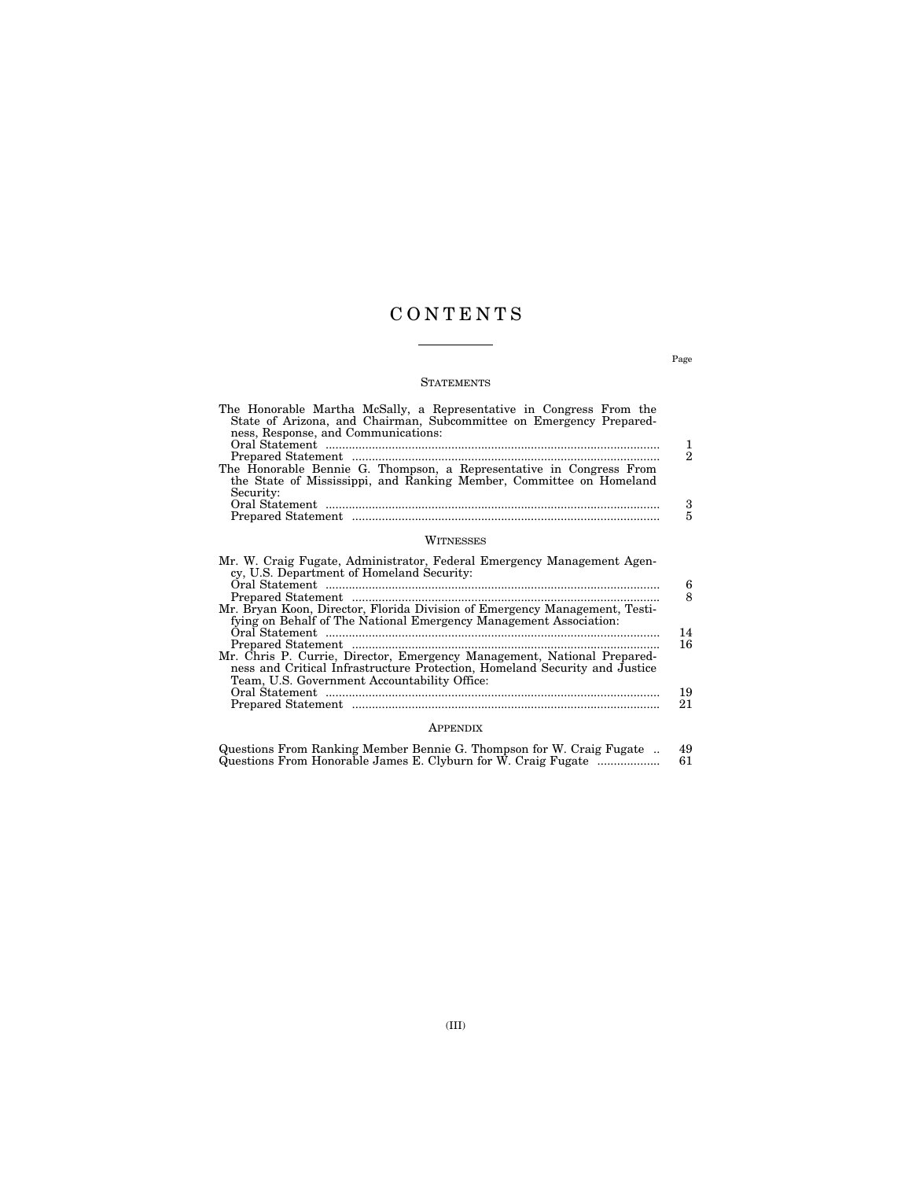## C O N T E N T S

## **STATEMENTS**

| The Honorable Martha McSally, a Representative in Congress From the<br>State of Arizona, and Chairman, Subcommittee on Emergency Prepared-<br>ness, Response, and Communications:                     | 1              |
|-------------------------------------------------------------------------------------------------------------------------------------------------------------------------------------------------------|----------------|
|                                                                                                                                                                                                       | $\mathfrak{D}$ |
| The Honorable Bennie G. Thompson, a Representative in Congress From<br>the State of Mississippi, and Ranking Member, Committee on Homeland<br>Security:                                               |                |
|                                                                                                                                                                                                       | 3              |
|                                                                                                                                                                                                       | 5              |
| WITNESSES                                                                                                                                                                                             |                |
| Mr. W. Craig Fugate, Administrator, Federal Emergency Management Agen-<br>cy, U.S. Department of Homeland Security:                                                                                   |                |
|                                                                                                                                                                                                       | 6              |
| Mr. Bryan Koon, Director, Florida Division of Emergency Management, Testi-<br>fying on Behalf of The National Emergency Management Association:                                                       | 8              |
|                                                                                                                                                                                                       | 14<br>16       |
| Mr. Chris P. Currie, Director, Emergency Management, National Prepared-<br>ness and Critical Infrastructure Protection, Homeland Security and Justice<br>Team, U.S. Government Accountability Office: |                |

## Prepared Statement ............................................................................................. 21 APPENDIX

Oral Statement ..................................................................................................... 19

|  |  | Questions From Ranking Member Bennie G. Thompson for W. Craig Fugate | 49 |
|--|--|----------------------------------------------------------------------|----|
|  |  | Questions From Honorable James E. Clyburn for W. Craig Fugate        | 61 |

Page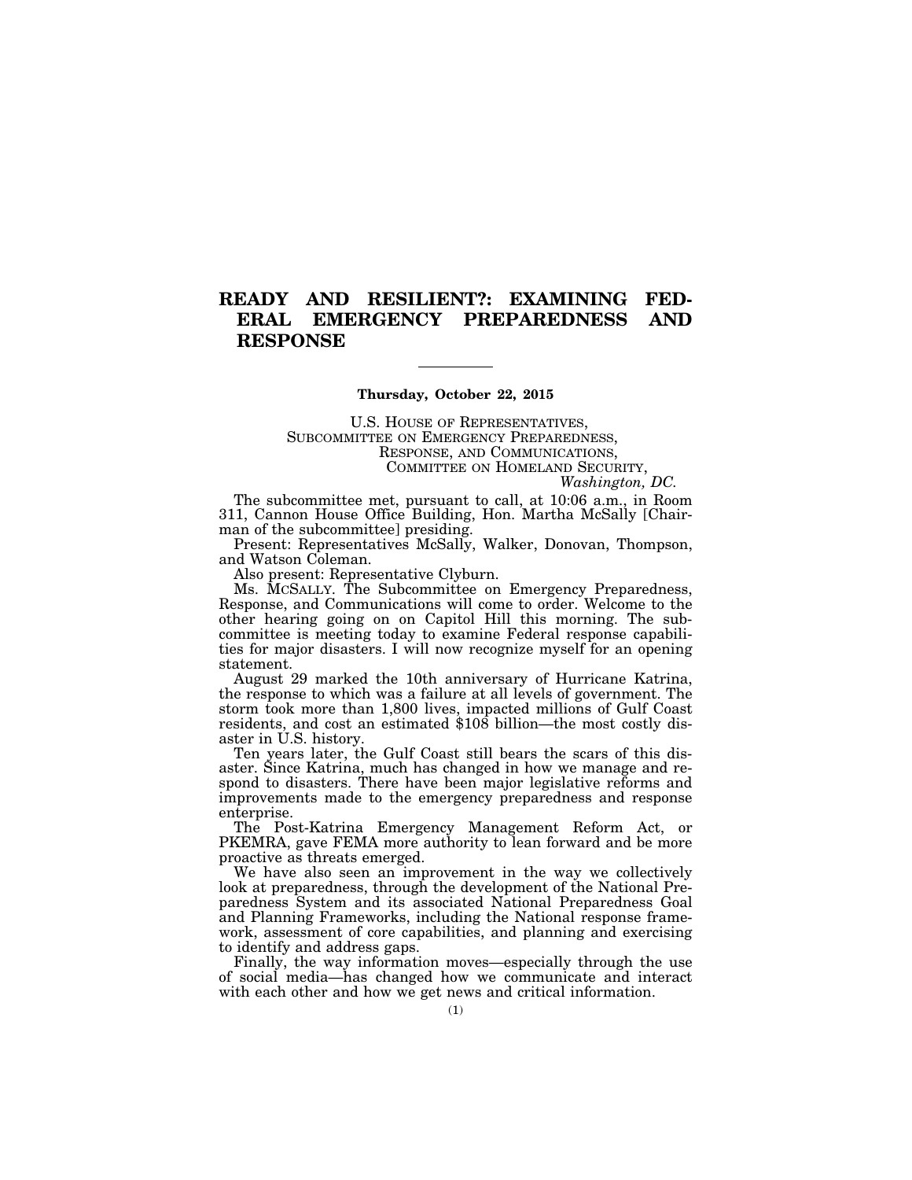## **READY AND RESILIENT?: EXAMINING FED-ERAL EMERGENCY PREPAREDNESS AND RESPONSE**

## **Thursday, October 22, 2015**

U.S. HOUSE OF REPRESENTATIVES, SUBCOMMITTEE ON EMERGENCY PREPAREDNESS, RESPONSE, AND COMMUNICATIONS, COMMITTEE ON HOMELAND SECURITY,

*Washington, DC.* 

The subcommittee met, pursuant to call, at 10:06 a.m., in Room 311, Cannon House Office Building, Hon. Martha McSally [Chairman of the subcommittee] presiding.

Present: Representatives McSally, Walker, Donovan, Thompson, and Watson Coleman.

Also present: Representative Clyburn.

Ms. MCSALLY. The Subcommittee on Emergency Preparedness, Response, and Communications will come to order. Welcome to the other hearing going on on Capitol Hill this morning. The subcommittee is meeting today to examine Federal response capabilities for major disasters. I will now recognize myself for an opening statement.

August 29 marked the 10th anniversary of Hurricane Katrina, the response to which was a failure at all levels of government. The storm took more than 1,800 lives, impacted millions of Gulf Coast residents, and cost an estimated \$108 billion—the most costly disaster in U.S. history.

Ten years later, the Gulf Coast still bears the scars of this disaster. Since Katrina, much has changed in how we manage and respond to disasters. There have been major legislative reforms and improvements made to the emergency preparedness and response enterprise.

The Post-Katrina Emergency Management Reform Act, or PKEMRA, gave FEMA more authority to lean forward and be more proactive as threats emerged.

We have also seen an improvement in the way we collectively look at preparedness, through the development of the National Preparedness System and its associated National Preparedness Goal and Planning Frameworks, including the National response framework, assessment of core capabilities, and planning and exercising to identify and address gaps.

Finally, the way information moves—especially through the use of social media—has changed how we communicate and interact with each other and how we get news and critical information.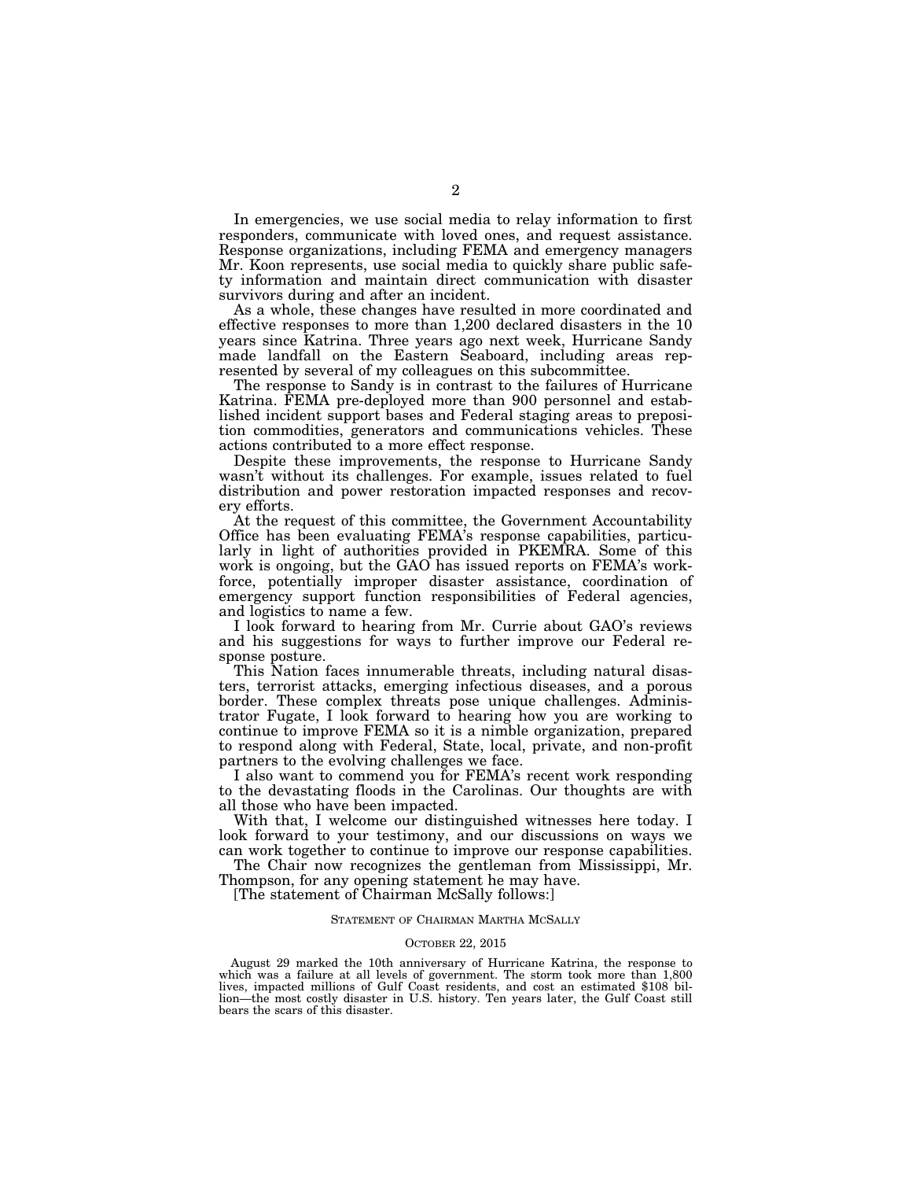In emergencies, we use social media to relay information to first responders, communicate with loved ones, and request assistance. Response organizations, including FEMA and emergency managers Mr. Koon represents, use social media to quickly share public safety information and maintain direct communication with disaster survivors during and after an incident.

As a whole, these changes have resulted in more coordinated and effective responses to more than 1,200 declared disasters in the 10 years since Katrina. Three years ago next week, Hurricane Sandy made landfall on the Eastern Seaboard, including areas represented by several of my colleagues on this subcommittee.

The response to Sandy is in contrast to the failures of Hurricane Katrina. FEMA pre-deployed more than 900 personnel and established incident support bases and Federal staging areas to preposition commodities, generators and communications vehicles. These actions contributed to a more effect response.

Despite these improvements, the response to Hurricane Sandy wasn't without its challenges. For example, issues related to fuel distribution and power restoration impacted responses and recovery efforts.

At the request of this committee, the Government Accountability Office has been evaluating FEMA's response capabilities, particularly in light of authorities provided in PKEMRA. Some of this work is ongoing, but the GAO has issued reports on FEMA's workforce, potentially improper disaster assistance, coordination of emergency support function responsibilities of Federal agencies, and logistics to name a few.

I look forward to hearing from Mr. Currie about GAO's reviews and his suggestions for ways to further improve our Federal response posture.

This Nation faces innumerable threats, including natural disasters, terrorist attacks, emerging infectious diseases, and a porous border. These complex threats pose unique challenges. Administrator Fugate, I look forward to hearing how you are working to continue to improve FEMA so it is a nimble organization, prepared to respond along with Federal, State, local, private, and non-profit partners to the evolving challenges we face.

I also want to commend you for FEMA's recent work responding to the devastating floods in the Carolinas. Our thoughts are with all those who have been impacted.

With that, I welcome our distinguished witnesses here today. I look forward to your testimony, and our discussions on ways we can work together to continue to improve our response capabilities.

The Chair now recognizes the gentleman from Mississippi, Mr. Thompson, for any opening statement he may have.

[The statement of Chairman McSally follows:]

## STATEMENT OF CHAIRMAN MARTHA MCSALLY

## OCTOBER 22, 2015

August 29 marked the 10th anniversary of Hurricane Katrina, the response to which was a failure at all levels of government. The storm took more than 1,800 lives, impacted millions of Gulf Coast residents, and cost an estimated \$108 billion—the most costly disaster in U.S. history. Ten years later, the Gulf Coast still bears the scars of this disaster.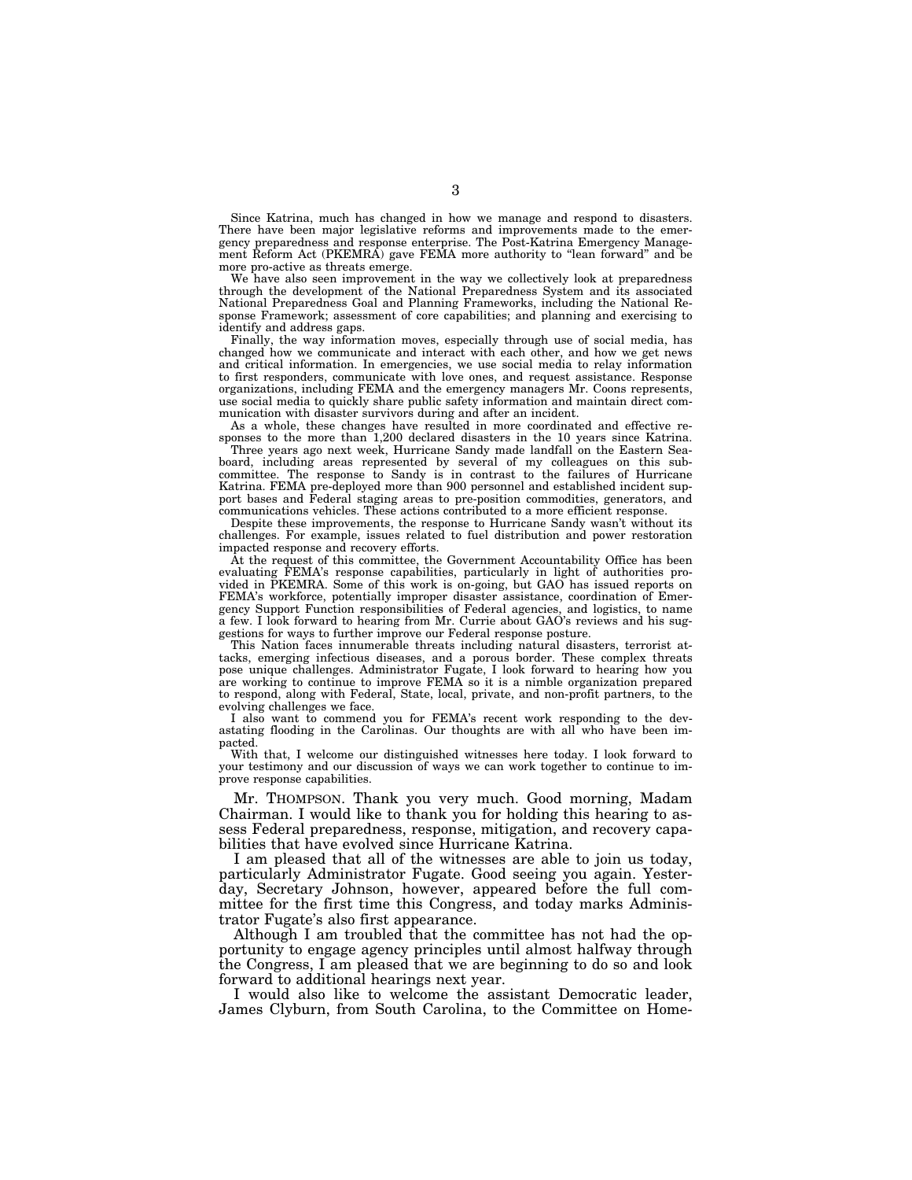Since Katrina, much has changed in how we manage and respond to disasters. There have been major legislative reforms and improvements made to the emergency preparedness and response enterprise. The Post-Katrina Emergency Management Reform Act (PKEMRA) gave FEMA more authority to "lean forward" and be more pro-active as threats emerge.

We have also seen improvement in the way we collectively look at preparedness through the development of the National Preparedness System and its associated National Preparedness Goal and Planning Frameworks, including the National Response Framework; assessment of core capabilities; and planning and exercising to identify and address gaps.

Finally, the way information moves, especially through use of social media, has changed how we communicate and interact with each other, and how we get news and critical information. In emergencies, we use social media to relay information to first responders, communicate with love ones, and request assistance. Response organizations, including FEMA and the emergency managers Mr. Coons represents, use social media to quickly share public safety information and maintain direct communication with disaster survivors during and after an incident.

As a whole, these changes have resulted in more coordinated and effective responses to the more than 1,200 declared disasters in the 10 years since Katrina.

Three years ago next week, Hurricane Sandy made landfall on the Eastern Seaboard, including areas represented by several of my colleagues on this subcommittee. The response to Sandy is in contrast to the failures of Hurricane Katrina. FEMA pre-deployed more than 900 personnel and established incident support bases and Federal staging areas to pre-position commodities, generators, and communications vehicles. These actions contributed to a more efficient response.

Despite these improvements, the response to Hurricane Sandy wasn't without its challenges. For example, issues related to fuel distribution and power restoration impacted response and recovery efforts.

At the request of this committee, the Government Accountability Office has been evaluating FEMA's response capabilities, particularly in light of authorities provided in PKEMRA. Some of this work is on-going, but GAO has issued reports on FEMA's workforce, potentially improper disaster assistance, coordination of Emergency Support Function responsibilities of Federal agencies, and logistics, to name a few. I look forward to hearing from Mr. Currie about GAO's reviews and his suggestions for ways to further improve our Federal response posture.

This Nation faces innumerable threats including natural disasters, terrorist attacks, emerging infectious diseases, and a porous border. These complex threats pose unique challenges. Administrator Fugate, I look forward to hearing how you are working to continue to improve FEMA so it is a nimble organization prepared to respond, along with Federal, State, local, private, and non-profit partners, to the evolving challenges we face.

I also want to commend you for FEMA's recent work responding to the devastating flooding in the Carolinas. Our thoughts are with all who have been impacted.

With that, I welcome our distinguished witnesses here today. I look forward to your testimony and our discussion of ways we can work together to continue to improve response capabilities.

Mr. THOMPSON. Thank you very much. Good morning, Madam Chairman. I would like to thank you for holding this hearing to assess Federal preparedness, response, mitigation, and recovery capabilities that have evolved since Hurricane Katrina.

I am pleased that all of the witnesses are able to join us today, particularly Administrator Fugate. Good seeing you again. Yesterday, Secretary Johnson, however, appeared before the full committee for the first time this Congress, and today marks Administrator Fugate's also first appearance.

Although I am troubled that the committee has not had the opportunity to engage agency principles until almost halfway through the Congress, I am pleased that we are beginning to do so and look forward to additional hearings next year.

I would also like to welcome the assistant Democratic leader, James Clyburn, from South Carolina, to the Committee on Home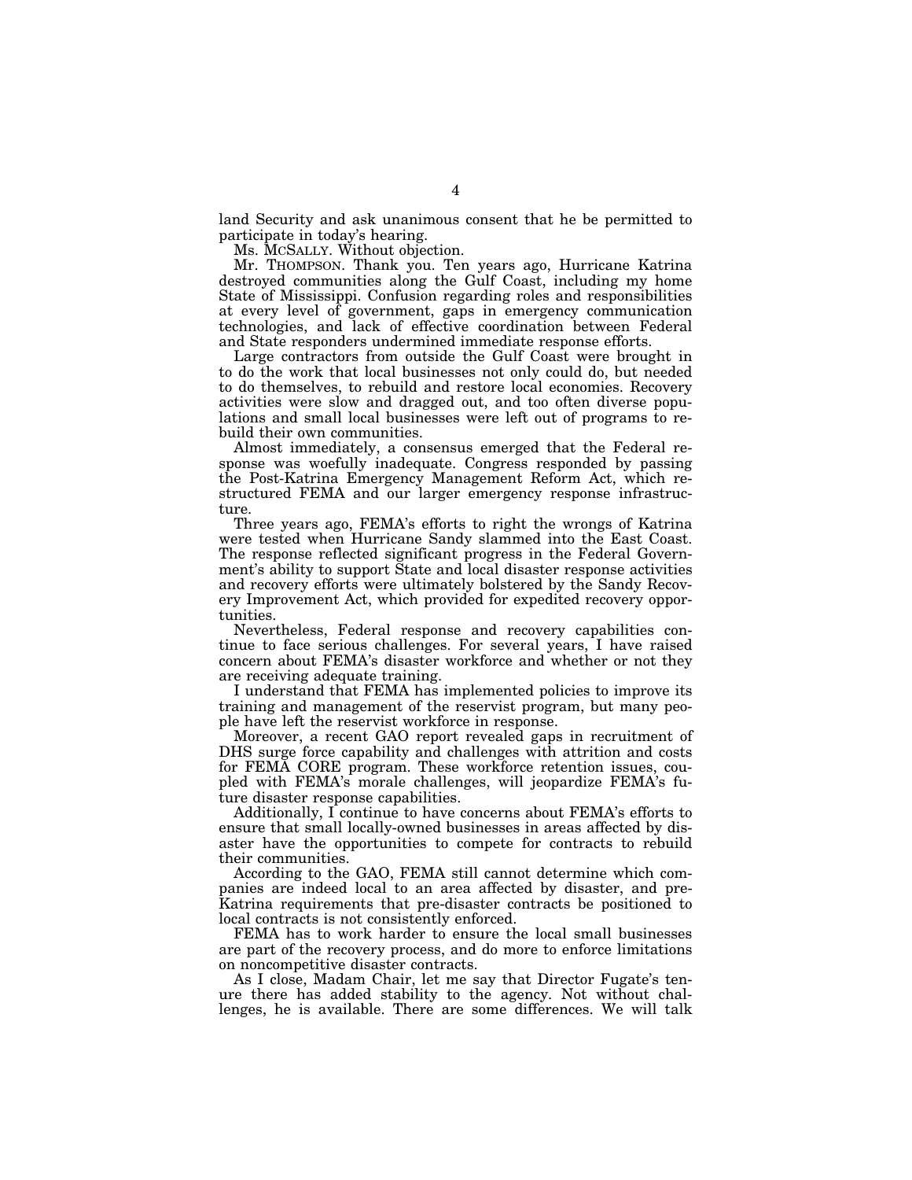land Security and ask unanimous consent that he be permitted to participate in today's hearing.

Ms. MCSALLY. Without objection.

Mr. THOMPSON. Thank you. Ten years ago, Hurricane Katrina destroyed communities along the Gulf Coast, including my home State of Mississippi. Confusion regarding roles and responsibilities at every level of government, gaps in emergency communication technologies, and lack of effective coordination between Federal and State responders undermined immediate response efforts.

Large contractors from outside the Gulf Coast were brought in to do the work that local businesses not only could do, but needed to do themselves, to rebuild and restore local economies. Recovery activities were slow and dragged out, and too often diverse populations and small local businesses were left out of programs to rebuild their own communities.

Almost immediately, a consensus emerged that the Federal response was woefully inadequate. Congress responded by passing the Post-Katrina Emergency Management Reform Act, which restructured FEMA and our larger emergency response infrastructure.

Three years ago, FEMA's efforts to right the wrongs of Katrina were tested when Hurricane Sandy slammed into the East Coast. The response reflected significant progress in the Federal Government's ability to support State and local disaster response activities and recovery efforts were ultimately bolstered by the Sandy Recovery Improvement Act, which provided for expedited recovery opportunities.

Nevertheless, Federal response and recovery capabilities continue to face serious challenges. For several years, I have raised concern about FEMA's disaster workforce and whether or not they are receiving adequate training.

I understand that FEMA has implemented policies to improve its training and management of the reservist program, but many people have left the reservist workforce in response.

Moreover, a recent GAO report revealed gaps in recruitment of DHS surge force capability and challenges with attrition and costs for FEMA CORE program. These workforce retention issues, coupled with FEMA's morale challenges, will jeopardize FEMA's future disaster response capabilities.

Additionally, I continue to have concerns about FEMA's efforts to ensure that small locally-owned businesses in areas affected by disaster have the opportunities to compete for contracts to rebuild their communities.

According to the GAO, FEMA still cannot determine which companies are indeed local to an area affected by disaster, and pre-Katrina requirements that pre-disaster contracts be positioned to local contracts is not consistently enforced.

FEMA has to work harder to ensure the local small businesses are part of the recovery process, and do more to enforce limitations on noncompetitive disaster contracts.

As I close, Madam Chair, let me say that Director Fugate's tenure there has added stability to the agency. Not without challenges, he is available. There are some differences. We will talk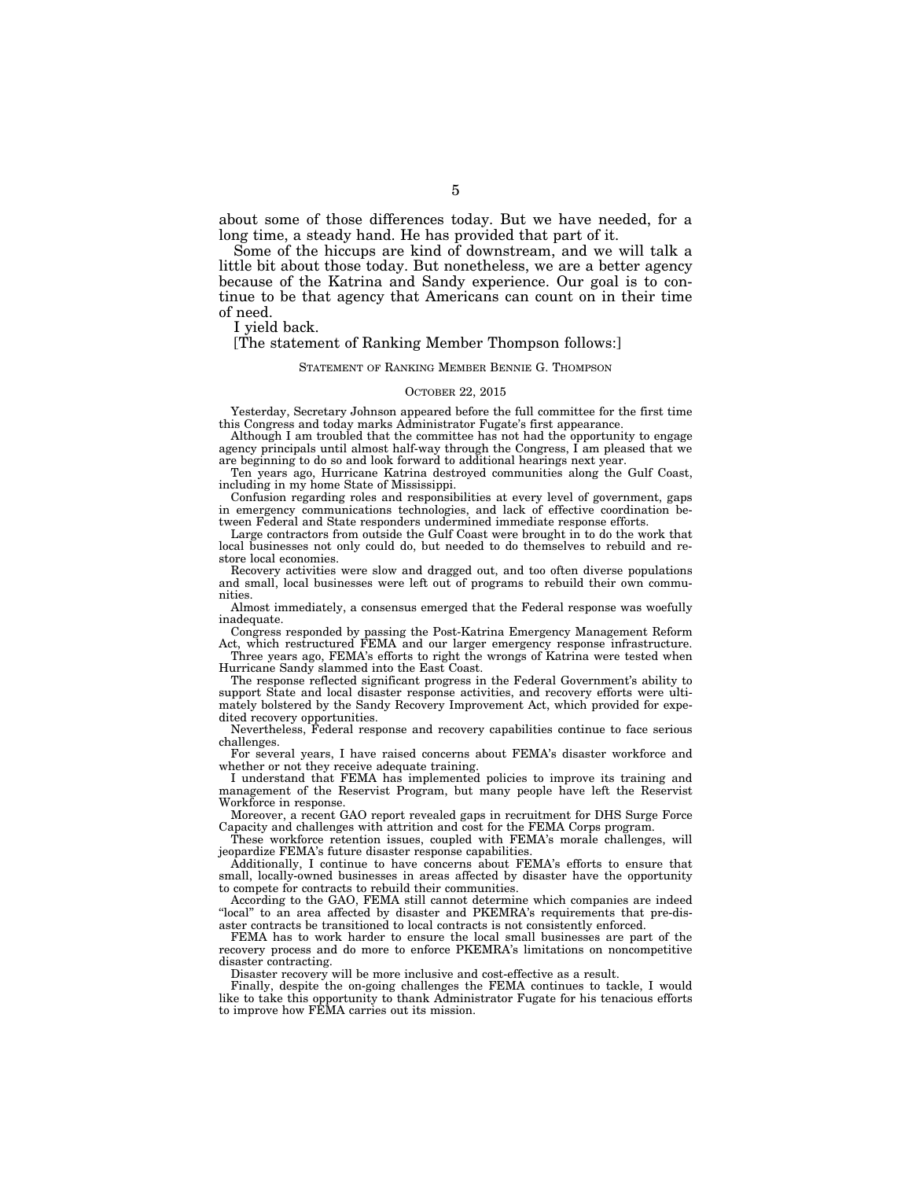about some of those differences today. But we have needed, for a long time, a steady hand. He has provided that part of it.

Some of the hiccups are kind of downstream, and we will talk a little bit about those today. But nonetheless, we are a better agency because of the Katrina and Sandy experience. Our goal is to continue to be that agency that Americans can count on in their time of need.

I yield back.

## [The statement of Ranking Member Thompson follows:]

## STATEMENT OF RANKING MEMBER BENNIE G. THOMPSON

### OCTOBER 22, 2015

Yesterday, Secretary Johnson appeared before the full committee for the first time this Congress and today marks Administrator Fugate's first appearance.

Although I am troubled that the committee has not had the opportunity to engage agency principals until almost half-way through the Congress,  $\hat{I}$  am pleased that we are beginning to do so and look forward to additional hearings next year.

Ten years ago, Hurricane Katrina destroyed communities along the Gulf Coast, including in my home State of Mississippi.

Confusion regarding roles and responsibilities at every level of government, gaps in emergency communications technologies, and lack of effective coordination between Federal and State responders undermined immediate response efforts.

Large contractors from outside the Gulf Coast were brought in to do the work that local businesses not only could do, but needed to do themselves to rebuild and restore local economies.

Recovery activities were slow and dragged out, and too often diverse populations and small, local businesses were left out of programs to rebuild their own communities.

Almost immediately, a consensus emerged that the Federal response was woefully inadequate.

Congress responded by passing the Post-Katrina Emergency Management Reform Act, which restructured FEMA and our larger emergency response infrastructure.

Three years ago, FEMA's efforts to right the wrongs of Katrina were tested when Hurricane Sandy slammed into the East Coast.

The response reflected significant progress in the Federal Government's ability to support State and local disaster response activities, and recovery efforts were ultimately bolstered by the Sandy Recovery Improvement Act, which provided for expedited recovery opportunities.

Nevertheless, Federal response and recovery capabilities continue to face serious challenges.

For several years, I have raised concerns about FEMA's disaster workforce and whether or not they receive adequate training.

I understand that FEMA has implemented policies to improve its training and management of the Reservist Program, but many people have left the Reservist Workforce in response.

Moreover, a recent GAO report revealed gaps in recruitment for DHS Surge Force Capacity and challenges with attrition and cost for the FEMA Corps program.

These workforce retention issues, coupled with FEMA's morale challenges, will jeopardize FEMA's future disaster response capabilities.

Additionally, I continue to have concerns about FEMA's efforts to ensure that small, locally-owned businesses in areas affected by disaster have the opportunity to compete for contracts to rebuild their communities.

According to the GAO, FEMA still cannot determine which companies are indeed "local" to an area affected by disaster and PKEMRA's requirements that pre-disaster contracts be transitioned to local contracts is not consistently enforced.

FEMA has to work harder to ensure the local small businesses are part of the recovery process and do more to enforce PKEMRA's limitations on noncompetitive disaster contracting.

Disaster recovery will be more inclusive and cost-effective as a result.

Finally, despite the on-going challenges the FEMA continues to tackle, I would like to take this opportunity to thank Administrator Fugate for his tenacious efforts to improve how FEMA carries out its mission.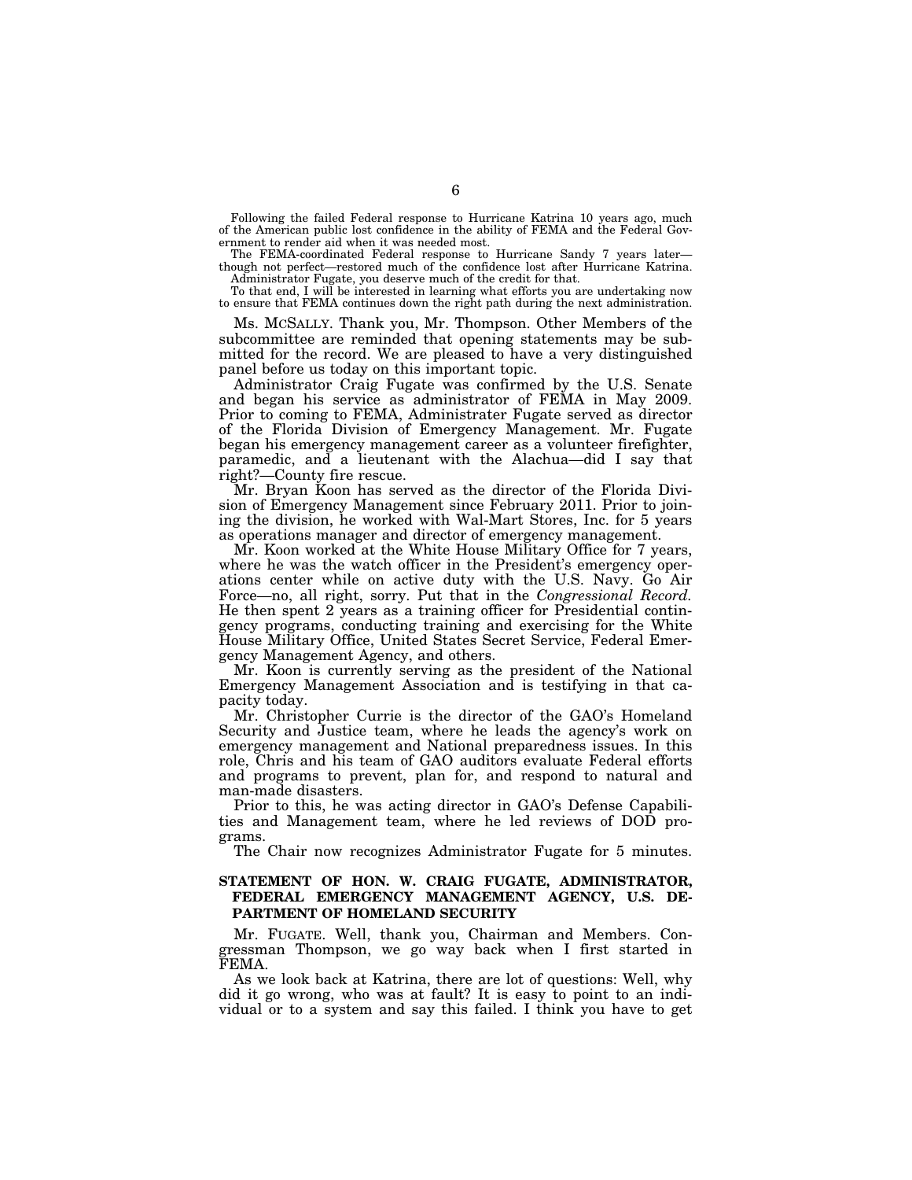Following the failed Federal response to Hurricane Katrina 10 years ago, much of the American public lost confidence in the ability of FEMA and the Federal Government to render aid when it was needed most.

The FEMA-coordinated Federal response to Hurricane Sandy 7 years later though not perfect—restored much of the confidence lost after Hurricane Katrina. Administrator Fugate, you deserve much of the credit for that.

To that end, I will be interested in learning what efforts you are undertaking now to ensure that FEMA continues down the right path during the next administration.

Ms. MCSALLY. Thank you, Mr. Thompson. Other Members of the subcommittee are reminded that opening statements may be submitted for the record. We are pleased to have a very distinguished panel before us today on this important topic.

Administrator Craig Fugate was confirmed by the U.S. Senate and began his service as administrator of FEMA in May 2009. Prior to coming to FEMA, Administrater Fugate served as director of the Florida Division of Emergency Management. Mr. Fugate began his emergency management career as a volunteer firefighter, paramedic, and a lieutenant with the Alachua—did I say that right?—County fire rescue.

Mr. Bryan Koon has served as the director of the Florida Division of Emergency Management since February 2011. Prior to joining the division, he worked with Wal-Mart Stores, Inc. for 5 years as operations manager and director of emergency management.

Mr. Koon worked at the White House Military Office for 7 years, where he was the watch officer in the President's emergency operations center while on active duty with the U.S. Navy. Go Air Force—no, all right, sorry. Put that in the *Congressional Record.*  He then spent 2 years as a training officer for Presidential contingency programs, conducting training and exercising for the White House Military Office, United States Secret Service, Federal Emergency Management Agency, and others.

Mr. Koon is currently serving as the president of the National Emergency Management Association and is testifying in that capacity today.

Mr. Christopher Currie is the director of the GAO's Homeland Security and Justice team, where he leads the agency's work on emergency management and National preparedness issues. In this role, Chris and his team of GAO auditors evaluate Federal efforts and programs to prevent, plan for, and respond to natural and man-made disasters.

Prior to this, he was acting director in GAO's Defense Capabilities and Management team, where he led reviews of DOD programs.

The Chair now recognizes Administrator Fugate for 5 minutes.

## **STATEMENT OF HON. W. CRAIG FUGATE, ADMINISTRATOR, FEDERAL EMERGENCY MANAGEMENT AGENCY, U.S. DE-PARTMENT OF HOMELAND SECURITY**

Mr. FUGATE. Well, thank you, Chairman and Members. Congressman Thompson, we go way back when I first started in FEMA.

As we look back at Katrina, there are lot of questions: Well, why did it go wrong, who was at fault? It is easy to point to an individual or to a system and say this failed. I think you have to get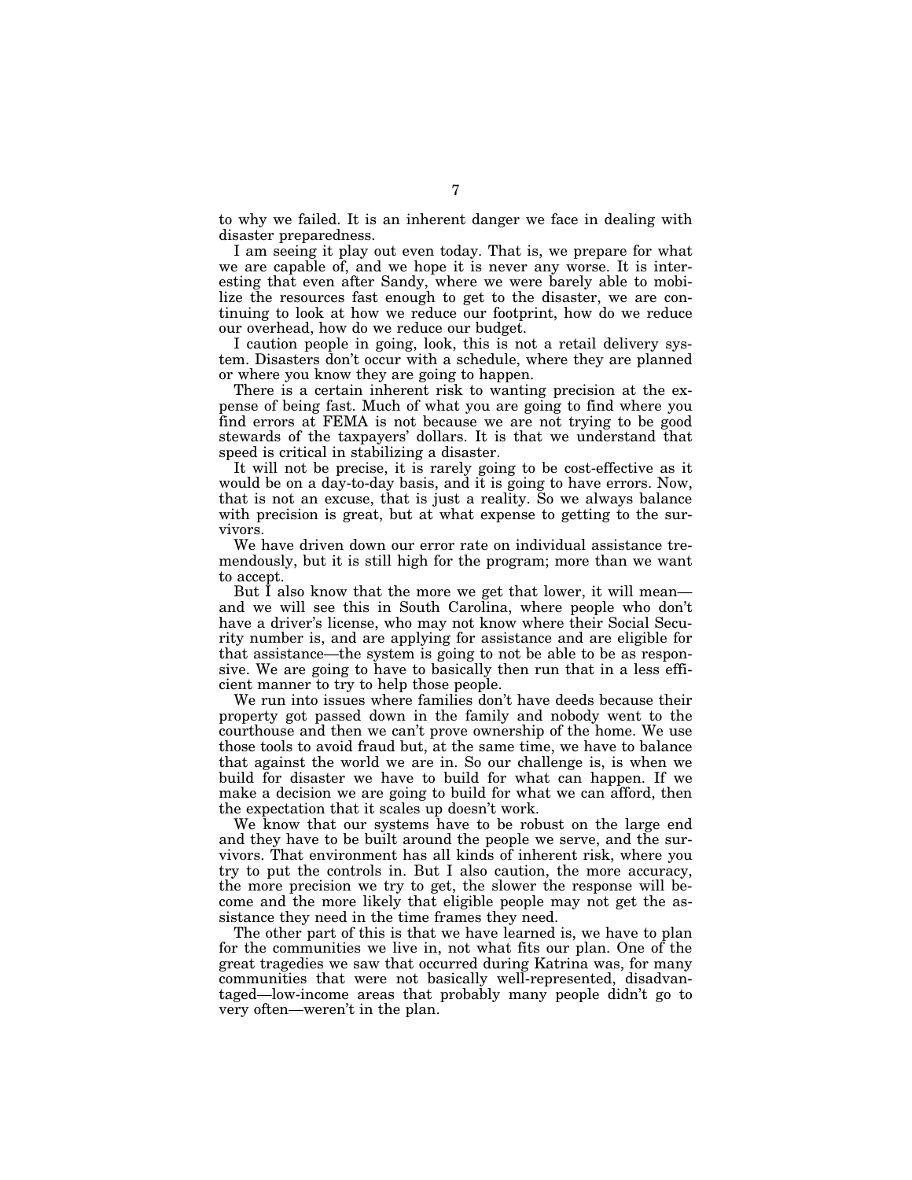to why we failed. It is an inherent danger we face in dealing with disaster preparedness.

I am seeing it play out even today. That is, we prepare for what we are capable of, and we hope it is never any worse. It is interesting that even after Sandy, where we were barely able to mobilize the resources fast enough to get to the disaster, we are continuing to look at how we reduce our footprint, how do we reduce our overhead, how do we reduce our budget.

I caution people in going, look, this is not a retail delivery system. Disasters don't occur with a schedule, where they are planned or where you know they are going to happen.

There is a certain inherent risk to wanting precision at the expense of being fast. Much of what you are going to find where you find errors at FEMA is not because we are not trying to be good stewards of the taxpayers' dollars. It is that we understand that speed is critical in stabilizing a disaster.

It will not be precise, it is rarely going to be cost-effective as it would be on a day-to-day basis, and it is going to have errors. Now, that is not an excuse, that is just a reality. So we always balance with precision is great, but at what expense to getting to the survivors.

We have driven down our error rate on individual assistance tremendously, but it is still high for the program; more than we want to accept.

But I also know that the more we get that lower, it will mean and we will see this in South Carolina, where people who don't have a driver's license, who may not know where their Social Security number is, and are applying for assistance and are eligible for that assistance—the system is going to not be able to be as responsive. We are going to have to basically then run that in a less efficient manner to try to help those people.

We run into issues where families don't have deeds because their property got passed down in the family and nobody went to the courthouse and then we can't prove ownership of the home. We use those tools to avoid fraud but, at the same time, we have to balance that against the world we are in. So our challenge is, is when we build for disaster we have to build for what can happen. If we make a decision we are going to build for what we can afford, then the expectation that it scales up doesn't work.

We know that our systems have to be robust on the large end and they have to be built around the people we serve, and the survivors. That environment has all kinds of inherent risk, where you try to put the controls in. But I also caution, the more accuracy, the more precision we try to get, the slower the response will become and the more likely that eligible people may not get the assistance they need in the time frames they need.

The other part of this is that we have learned is, we have to plan for the communities we live in, not what fits our plan. One of the great tragedies we saw that occurred during Katrina was, for many communities that were not basically well-represented, disadvantaged—low-income areas that probably many people didn't go to very often—weren't in the plan.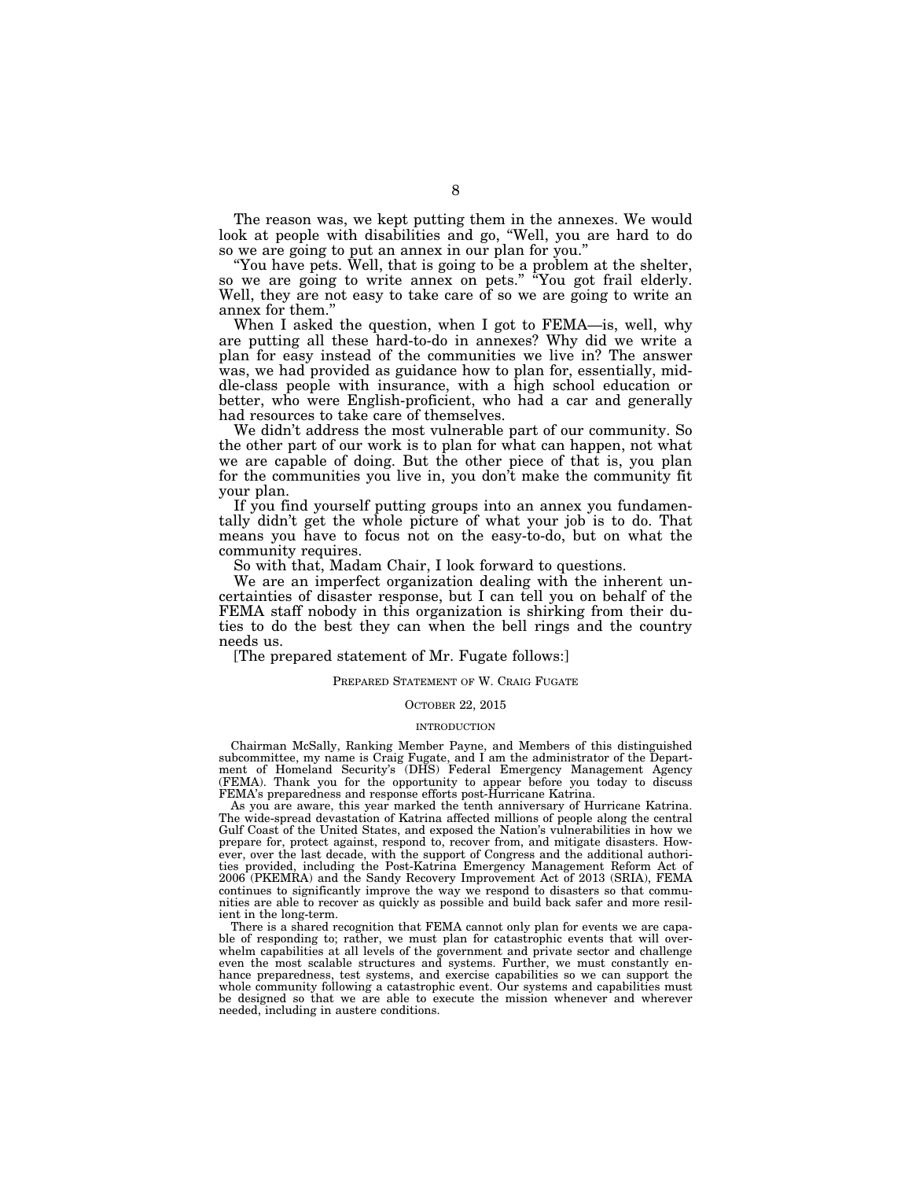The reason was, we kept putting them in the annexes. We would look at people with disabilities and go, "Well, you are hard to do so we are going to put an annex in our plan for you.''

''You have pets. Well, that is going to be a problem at the shelter, so we are going to write annex on pets.'' ''You got frail elderly. Well, they are not easy to take care of so we are going to write an annex for them.''

When I asked the question, when I got to FEMA—is, well, why are putting all these hard-to-do in annexes? Why did we write a plan for easy instead of the communities we live in? The answer was, we had provided as guidance how to plan for, essentially, middle-class people with insurance, with a high school education or better, who were English-proficient, who had a car and generally had resources to take care of themselves.

We didn't address the most vulnerable part of our community. So the other part of our work is to plan for what can happen, not what we are capable of doing. But the other piece of that is, you plan for the communities you live in, you don't make the community fit your plan.

If you find yourself putting groups into an annex you fundamentally didn't get the whole picture of what your job is to do. That means you have to focus not on the easy-to-do, but on what the community requires.

So with that, Madam Chair, I look forward to questions.

We are an imperfect organization dealing with the inherent uncertainties of disaster response, but I can tell you on behalf of the FEMA staff nobody in this organization is shirking from their duties to do the best they can when the bell rings and the country needs us.

[The prepared statement of Mr. Fugate follows:]

## PREPARED STATEMENT OF W. CRAIG FUGATE

## OCTOBER 22, 2015

## INTRODUCTION

Chairman McSally, Ranking Member Payne, and Members of this distinguished subcommittee, my name is Craig Fugate, and I am the administrator of the Department of Homeland Security's (DHS) Federal Emergency Management Agency (FEMA). Thank you for the opportunity to appear before you today to discuss FEMA's preparedness and response efforts post-Hurricane Katrina.

As you are aware, this year marked the tenth anniversary of Hurricane Katrina. The wide-spread devastation of Katrina affected millions of people along the central Gulf Coast of the United States, and exposed the Nation's vulnerabilities in how we prepare for, protect against, respond to, recover from, and mitigate disasters. However, over the last decade, with the support of Congress and the additional authorities provided, including the Post-Katrina Emergency Management Reform Act of 2006 (PKEMRA) and the Sandy Recovery Improvement Act of 2013 (SRIA), FEMA continues to significantly improve the way we respond to disasters so that communities are able to recover as quickly as possible and build back safer and more resilient in the long-term.

There is a shared recognition that FEMA cannot only plan for events we are capable of responding to; rather, we must plan for catastrophic events that will overwhelm capabilities at all levels of the government and private sector and challenge even the most scalable structures and systems. Further, we must constantly enhance preparedness, test systems, and exercise capabilities so we can support the whole community following a catastrophic event. Our systems and capabilities must be designed so that we are able to execute the mission whenever and wherever needed, including in austere conditions.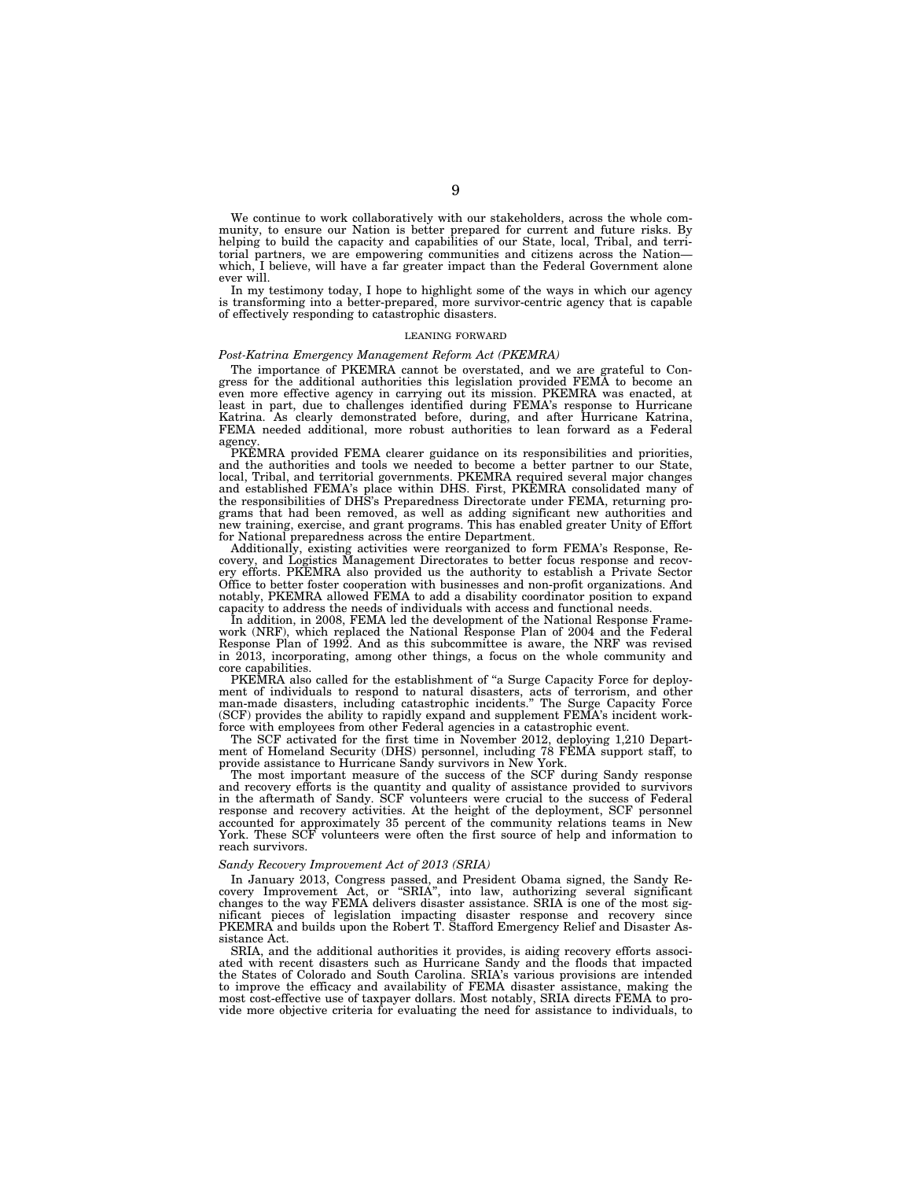We continue to work collaboratively with our stakeholders, across the whole community, to ensure our Nation is better prepared for current and future risks. By helping to build the capacity and capabilities of our State, local, Tribal, and territorial partners, we are empowering communities and citizens across the Nation which, I believe, will have a far greater impact than the Federal Government alone ever will.

In my testimony today, I hope to highlight some of the ways in which our agency is transforming into a better-prepared, more survivor-centric agency that is capable of effectively responding to catastrophic disasters.

#### LEANING FORWARD

### *Post-Katrina Emergency Management Reform Act (PKEMRA)*

The importance of PKEMRA cannot be overstated, and we are grateful to Congress for the additional authorities this legislation provided FEMA to become an even more effective agency in carrying out its mission. PKEMRA was enacted, at least in part, due to challenges identified during FEMA's response to Hurricane Katrina. As clearly demonstrated before, during, and after Hurricane Katrina, FEMA needed additional, more robust authorities to lean forward as a Federal agency.

PKEMRA provided FEMA clearer guidance on its responsibilities and priorities, and the authorities and tools we needed to become a better partner to our State, local, Tribal, and territorial governments. PKEMRA required several major changes and established FEMA's place within DHS. First, PKEMRA consolidated many of the responsibilities of DHS's Preparedness Directorate under FEMA, returning programs that had been removed, as well as adding significant new authorities and new training, exercise, and grant programs. This has enabled greater Unity of Effort for National preparedness across the entire Department.

Additionally, existing activities were reorganized to form FEMA's Response, Recovery, and Logistics Management Directorates to better focus response and recovery efforts. PKEMRA also provided us the authority to establish a Private Sector Office to better foster cooperation with businesses and non-profit organizations. And notably, PKEMRA allowed FEMA to add a disability coordinator position to expand capacity to address the needs of individuals with access and functional needs.

In addition, in 2008, FEMA led the development of the National Response Framework (NRF), which replaced the National Response Plan of 2004 and the Federal Response Plan of 1992. And as this subcommittee is aware, the NRF was revised in 2013, incorporating, among other things, a focus on the whole community and core capabilities.

PKEMRA also called for the establishment of "a Surge Capacity Force for deployment of individuals to respond to natural disasters, acts of terrorism, and other man-made disasters, including catastrophic incidents.'' The Surge Capacity Force (SCF) provides the ability to rapidly expand and supplement FEMA's incident workforce with employees from other Federal agencies in a catastrophic event.

The SCF activated for the first time in November 2012, deploying 1,210 Department of Homeland Security (DHS) personnel, including 78 FEMA support staff, to provide assistance to Hurricane Sandy survivors in New York.

The most important measure of the success of the SCF during Sandy response and recovery efforts is the quantity and quality of assistance provided to survivors in the aftermath of Sandy. SCF volunteers were crucial to the success of Federal response and recovery activities. At the height of the deployment, SCF personnel accounted for approximately 35 percent of the community relations teams in New York. These SCF volunteers were often the first source of help and information to reach survivors.

### *Sandy Recovery Improvement Act of 2013 (SRIA)*

In January 2013, Congress passed, and President Obama signed, the Sandy Recovery Improvement Act, or ''SRIA'', into law, authorizing several significant changes to the way FEMA delivers disaster assistance. SRIA is one of the most significant pieces of legislation impacting disaster response and recovery since PKEMRA and builds upon the Robert T. Stafford Emergency Relief and Disaster Assistance Act.

SRIA, and the additional authorities it provides, is aiding recovery efforts associated with recent disasters such as Hurricane Sandy and the floods that impacted the States of Colorado and South Carolina. SRIA's various provisions are intended to improve the efficacy and availability of FEMA disaster assistance, making the most cost-effective use of taxpayer dollars. Most notably, SRIA directs FEMA to provide more objective criteria for evaluating the need for assistance to individuals, to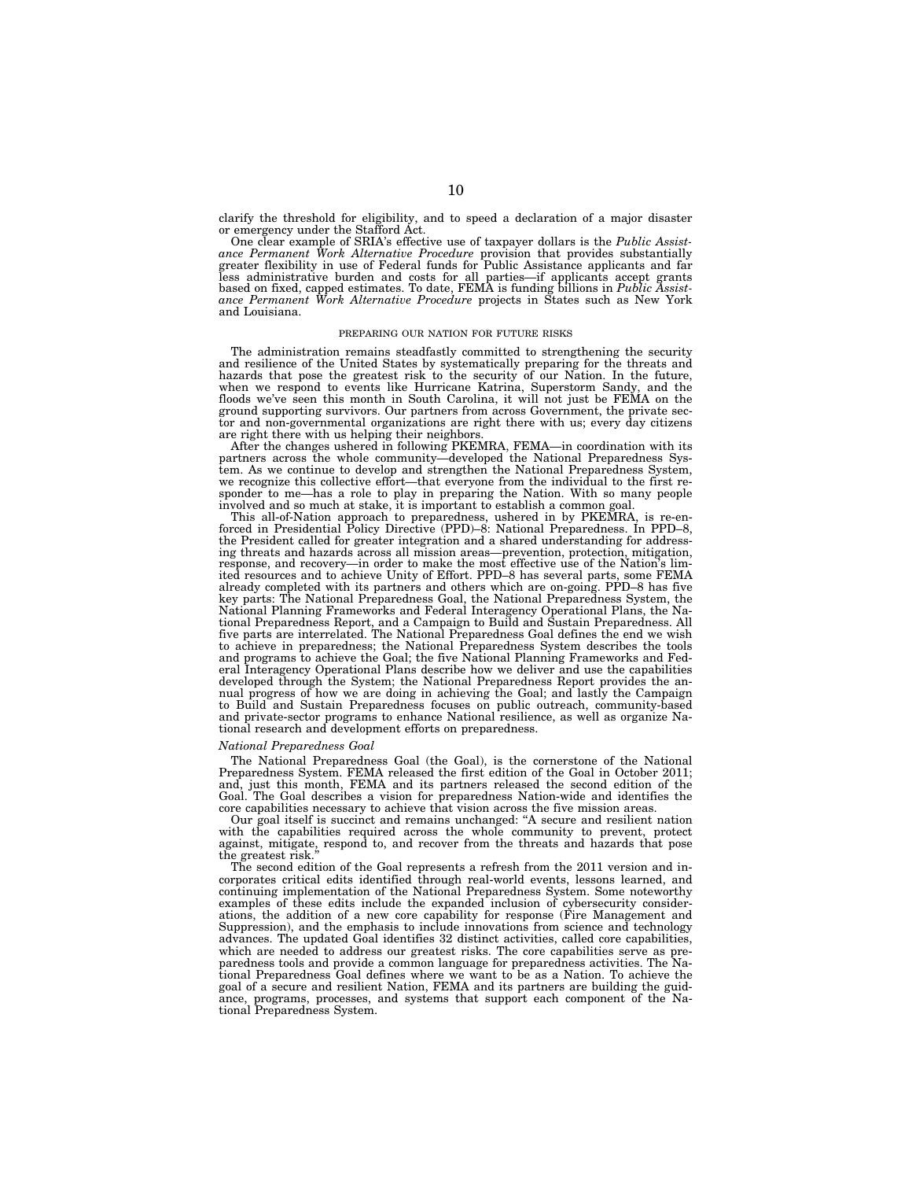clarify the threshold for eligibility, and to speed a declaration of a major disaster or emergency under the Stafford Act.

One clear example of SRIA's effective use of taxpayer dollars is the *Public Assistance Permanent Work Alternative Procedure* provision that provides substantially greater flexibility in use of Federal funds for Public Assistance applicants and far less administrative burden and costs for all parties—if applicants accept grants based on fixed, capped estimates. To date, FEMA is funding billions in *Public Assistance Permanent Work Alternative Procedure* projects in States such as New York and Louisiana.

#### PREPARING OUR NATION FOR FUTURE RISKS

The administration remains steadfastly committed to strengthening the security and resilience of the United States by systematically preparing for the threats and hazards that pose the greatest risk to the security of our Nation. In the future,<br>when we respond to events like Hurricane Katrina, Superstorm Sandy, and the<br>floods we've seen this month in South Carolina, it will not just ground supporting survivors. Our partners from across Government, the private sector and non-governmental organizations are right there with us; every day citizens are right there with us helping their neighbors.

After the changes ushered in following PKEMRA, FEMA—in coordination with its partners across the whole community—developed the National Preparedness System. As we continue to develop and strengthen the National Preparedness System, we recognize this collective effort—that everyone from the individual to the first re-sponder to me—has a role to play in preparing the Nation. With so many people involved and so much at stake, it is important to establish a common goal. This all-of-Nation approach to preparedness, ushered in by PKEMRA, is re-en-

forced in Presidential Policy Directive (PPD)–8: National Preparedness. In PPD–8, the President called for greater integration and a shared understanding for addressing threats and hazards across all mission areas—prevention, protection, mitigation, response, and recovery—in order to make the most effective use of the Nation's limited resources and to achieve Unity of Effort. PPD–8 has several parts, some FEMA already completed with its partners and others which are on-going. PPD–8 has five key parts: The National Preparedness Goal, the National Preparedness System, the National Planning Frameworks and Federal Interagency Operational Plans, the National Preparedness Report, and a Campaign to Build and Sustain Preparedness. All five parts are interrelated. The National Preparedness Goal defines the end we wish to achieve in preparedness; the National Preparedness System describes the tools and programs to achieve the Goal; the five National Planning Frameworks and Federal Interagency Operational Plans describe how we deliver and use the capabilities developed through the System; the National Preparedness Report provides the annual progress of how we are doing in achieving the Goal; and lastly the Campaign to Build and Sustain Preparedness focuses on public outreach, community-based and private-sector programs to enhance National resilience, as well as organize Na-tional research and development efforts on preparedness.

### *National Preparedness Goal*

The National Preparedness Goal (the Goal), is the cornerstone of the National Preparedness System. FEMA released the first edition of the Goal in October 2011; and, just this month, FEMA and its partners released the second edition of the Goal. The Goal describes a vision for preparedness Nation-wide and identifies the

core capabilities necessary to achieve that vision across the five mission areas. Our goal itself is succinct and remains unchanged: ''A secure and resilient nation with the capabilities required across the whole community to prevent, protect against, mitigate, respond to, and recover from the threats and hazards that pose the greatest risk.

The second edition of the Goal represents a refresh from the 2011 version and incorporates critical edits identified through real-world events, lessons learned, and continuing implementation of the National Preparedness System. Some noteworthy examples of these edits include the expanded inclusion of cybersecurity considerations, the addition of a new core capability for response (Fire Management and Suppression), and the emphasis to include innovations from science and technology advances. The updated Goal identifies 32 distinct activities, called core capabilities, which are needed to address our greatest risks. The core capabilities serve as preparedness tools and provide a common language for preparedness activities. The National Preparedness Goal defines where we want to be as a Nation. To achieve the goal of a secure and resilient Nation, FEMA and its partners are building the guidance, programs, processes, and systems that support each component of the National Preparedness System.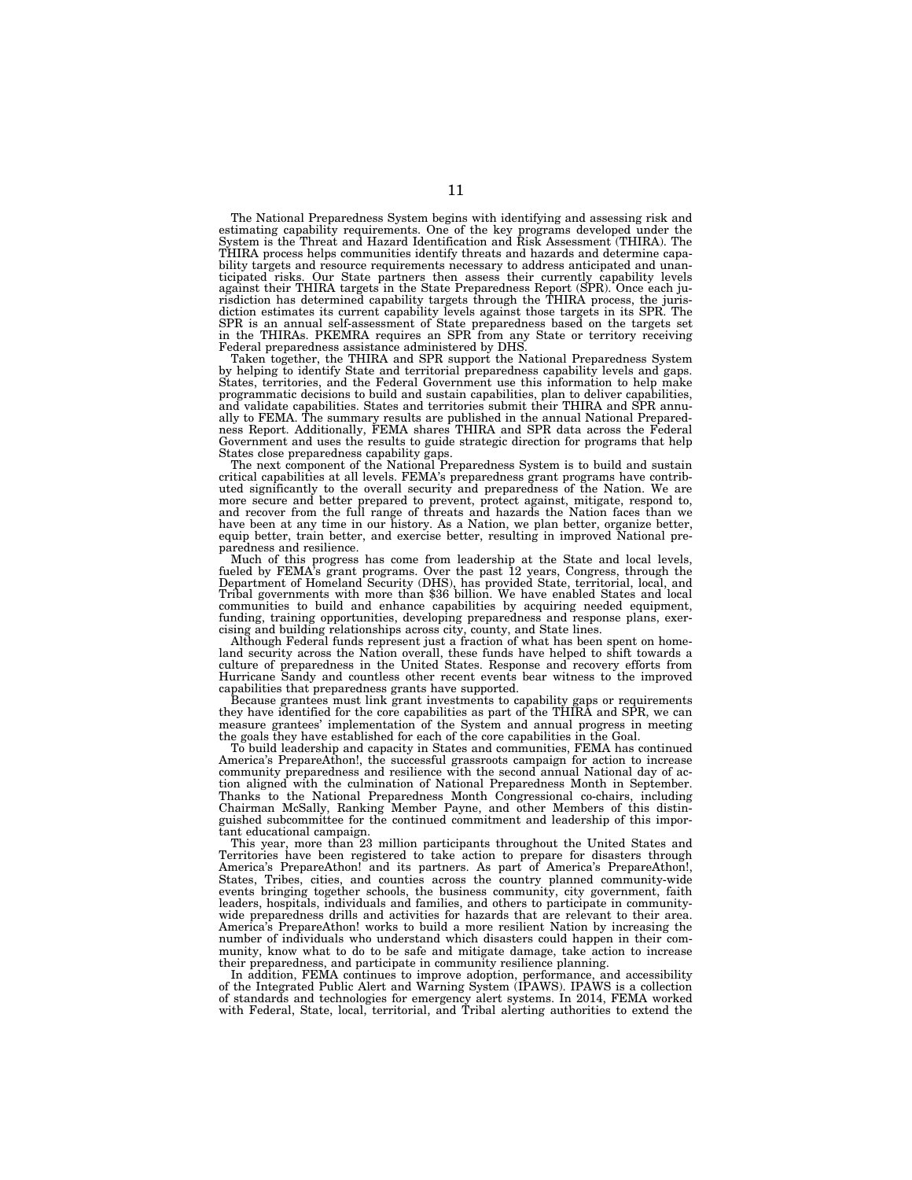The National Preparedness System begins with identifying and assessing risk and estimating capability requirements. One of the key programs developed under the<br>System is the Threat and Hazard Identification and Risk Assessment (THIRA). The<br>THIRA process helps communities identify threats and hazards a bility targets and resource requirements necessary to address anticipated and unanticipated risks. Our State partners then assess their currently capability levels against their THIRA targets in the State Preparedness Report (SPR). Once each jurisdiction has determined capability targets through the THIRA process, the jurisdiction estimates its current capability levels against those targets in its SPR. The SPR is an annual self-assessment of State preparedness based on the targets set in the THIRAs. PKEMRA requires an SPR from any State or territory receiving Federal preparedness assistance administered by DHS.

Taken together, the THIRA and SPR support the National Preparedness System by helping to identify State and territorial preparedness capability levels and gaps. States, territories, and the Federal Government use this information to help make programmatic decisions to build and sustain capabilities, plan to deliver capabilities, and validate capabilities. States and territories submit their THIRA and SPR annually to FEMA. The summary results are published in the annual National Prepared-ness Report. Additionally, FEMA shares THIRA and SPR data across the Federal Government and uses the results to guide strategic direction for programs that help States close preparedness capability gaps.

The next component of the National Preparedness System is to build and sustain critical capabilities at all levels. FEMA's preparedness grant programs have contributed significantly to the overall security and preparedness of the Nation. We are more secure and better prepared to prevent, protect against, mitigate, respond to, and recover from the full range of threats and hazards the Nation faces than we have been at any time in our history. As a Nation, we plan better, organize better, equip better, train better, and exercise better, resulting in improved National pre-

paredness and resilience.<br>
Much of this progress has come from leadership at the State and local levels,<br>
fueled by FEMA's grant programs. Over the past 12 years, Congress, through the<br>
fleepartment of Homeland Security (D communities to build and enhance capabilities by acquiring needed equipment, funding, training opportunities, developing preparedness and response plans, exer-

cising and building relationships across city, county, and State lines. Although Federal funds represent just a fraction of what has been spent on homeland security across the Nation overall, these funds have helped to shift towards a culture of preparedness in the United States. Response and recovery efforts from Hurricane Sandy and countless other recent events bear witness to the improved capabilities that preparedness grants have supported.

Because grantees must link grant investments to capability gaps or requirements they have identified for the core capabilities as part of the THIRA and SPR, we can measure grantees' implementation of the System and annual progress in meeting the goals they have established for each of the core capabilities in the Goal.

To build leadership and capacity in States and communities, FEMA has continued America's PrepareAthon!, the successful grassroots campaign for action to increase community preparedness and resilience with the second annual National day of action aligned with the culmination of National Preparedness Month in September. Thanks to the National Preparedness Month Congressional co-chairs, including Chairman McSally, Ranking Member Payne, and other Members of this distinguished subcommittee for the continued commitment and leadership of this important educational campaign.

This year, more than 23 million participants throughout the United States and Territories have been registered to take action to prepare for disasters through America's PrepareAthon! and its partners. As part of America's PrepareAthon!, States, Tribes, cities, and counties across the country planned community-wide events bringing together schools, the business community, city government, faith leaders, hospitals, individuals and families, and others to participate in communitywide preparedness drills and activities for hazards that are relevant to their area. America's PrepareAthon! works to build a more resilient Nation by increasing the number of individuals who understand which disasters could happen in their community, know what to do to be safe and mitigate damage, take action to increase their preparedness, and participate in community resilience planning.

In addition, FEMA continues to improve adoption, performance, and accessibility of the Integrated Public Alert and Warning System (IPAWS). IPAWS is a collection of standards and technologies for emergency alert systems. In 2014, FEMA worked with Federal, State, local, territorial, and Tribal alerting authorities to extend the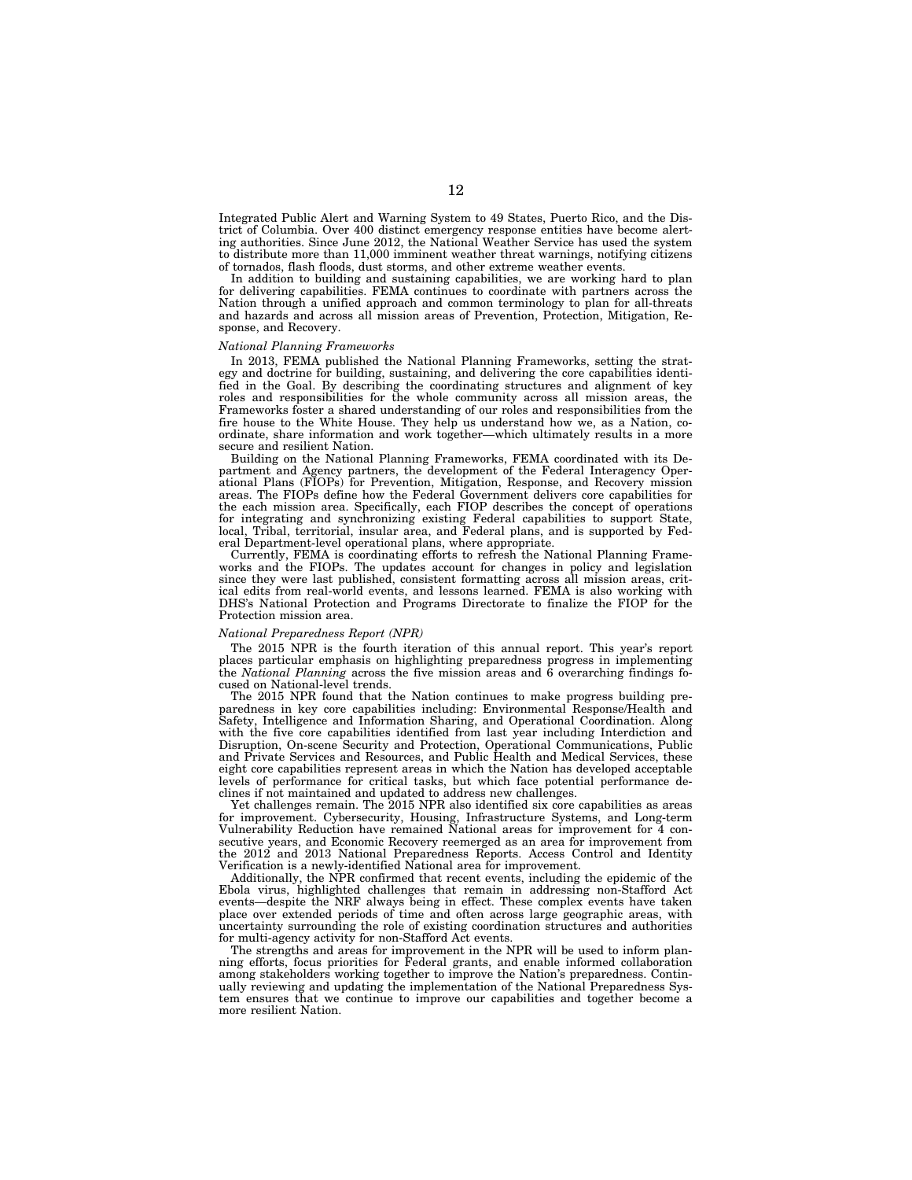Integrated Public Alert and Warning System to 49 States, Puerto Rico, and the District of Columbia. Over 400 distinct emergency response entities have become alerting authorities. Since June 2012, the National Weather Service has used the system to distribute more than 11,000 imminent weather threat warnings, notifying citizens of tornados, flash floods, dust storms, and other extreme weather events.

In addition to building and sustaining capabilities, we are working hard to plan for delivering capabilities. FEMA continues to coordinate with partners across the Nation through a unified approach and common terminology to plan for all-threats and hazards and across all mission areas of Prevention, Protection, Mitigation, Response, and Recovery.

### *National Planning Frameworks*

In 2013, FEMA published the National Planning Frameworks, setting the strategy and doctrine for building, sustaining, and delivering the core capabilities identified in the Goal. By describing the coordinating structures and alignment of key roles and responsibilities for the whole community across all mission areas, the Frameworks foster a shared understanding of our roles and responsibilities from the fire house to the White House. They help us understand how we, as a Nation, coordinate, share information and work together—which ultimately results in a more secure and resilient Nation.

Building on the National Planning Frameworks, FEMA coordinated with its Department and Agency partners, the development of the Federal Interagency Operational Plans (FIOPs) for Prevention, Mitigation, Response, and Recovery mission areas. The FIOPs define how the Federal Government delivers core capabilities for the each mission area. Specifically, each FIOP describes the concept of operations for integrating and synchronizing existing Federal capabilities to support State, local, Tribal, territorial, insular area, and Federal plans, and is supported by Federal Department-level operational plans, where appropriate.

Currently, FEMA is coordinating efforts to refresh the National Planning Frameworks and the FIOPs. The updates account for changes in policy and legislation since they were last published, consistent formatting across all mission areas, critical edits from real-world events, and lessons learned. FEMA is also working with DHS's National Protection and Programs Directorate to finalize the FIOP for the Protection mission area.

#### *National Preparedness Report (NPR)*

The 2015 NPR is the fourth iteration of this annual report. This year's report places particular emphasis on highlighting preparedness progress in implementing the *National Planning* across the five mission areas and 6 overarching findings focused on National-level trends.

The 2015 NPR found that the Nation continues to make progress building preparedness in key core capabilities including: Environmental Response/Health and Safety, Intelligence and Information Sharing, and Operational Coordination. Along with the five core capabilities identified from last year including Interdiction and Disruption, On-scene Security and Protection, Operational Communications, Public and Private Services and Resources, and Public Health and Medical Services, these eight core capabilities represent areas in which the Nation has developed acceptable levels of performance for critical tasks, but which face potential performance declines if not maintained and updated to address new challenges.

Yet challenges remain. The 2015 NPR also identified six core capabilities as areas for improvement. Cybersecurity, Housing, Infrastructure Systems, and Long-term Vulnerability Reduction have remained National areas for improvement for 4 consecutive years, and Economic Recovery reemerged as an area for improvement from the 2012 and 2013 National Preparedness Reports. Access Control and Identity Verification is a newly-identified National area for improvement.

Additionally, the NPR confirmed that recent events, including the epidemic of the Ebola virus, highlighted challenges that remain in addressing non-Stafford Act events—despite the NRF always being in effect. These complex events have taken place over extended periods of time and often across large geographic areas, with uncertainty surrounding the role of existing coordination structures and authorities for multi-agency activity for non-Stafford Act events

The strengths and areas for improvement in the NPR will be used to inform planning efforts, focus priorities for Federal grants, and enable informed collaboration among stakeholders working together to improve the Nation's preparedness. Continually reviewing and updating the implementation of the National Preparedness System ensures that we continue to improve our capabilities and together become a more resilient Nation.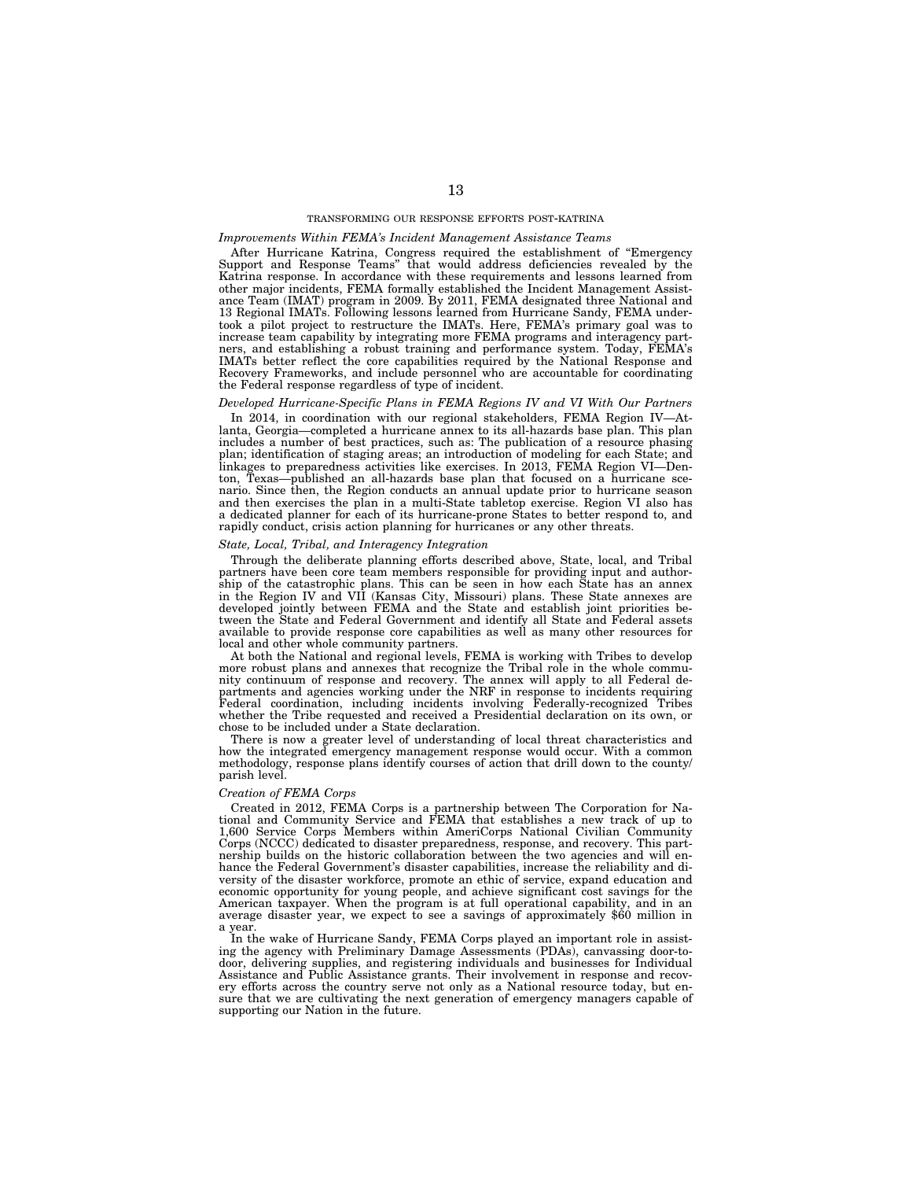## TRANSFORMING OUR RESPONSE EFFORTS POST-KATRINA

## *Improvements Within FEMA's Incident Management Assistance Teams*

After Hurricane Katrina, Congress required the establishment of ''Emergency Support and Response Teams'' that would address deficiencies revealed by the Katrina response. In accordance with these requirements and lessons learned from other major incidents, FEMA formally established the Incident Management Assistance Team (IMAT) program in 2009. By 2011, FEMA designated three National and 13 Regional IMATs. Following lessons learned from Hurricane Sandy, FEMA undertook a pilot project to restructure the IMATs. Here, FEMA's primary goal was to increase team capability by integrating more FEMA programs and interagency partners, and establishing a robust training and performance system. Today, FEMA's IMATs better reflect the core capabilities required by the National Response and Recovery Frameworks, and include personnel who are accountable for coordinating the Federal response regardless of type of incident.

#### *Developed Hurricane-Specific Plans in FEMA Regions IV and VI With Our Partners*

In 2014, in coordination with our regional stakeholders, FEMA Region IV—Atlanta, Georgia—completed a hurricane annex to its all-hazards base plan. This plan includes a number of best practices, such as: The publication of a resource phasing plan; identification of staging areas; an introduction of modeling for each State; and linkages to preparedness activities like exercises. In 2013, FEMA Region VI—Denton, Texas—published an all-hazards base plan that focused on a hurricane scenario. Since then, the Region conducts an annual update prior to hurricane season and then exercises the plan in a multi-State tabletop exercise. Region VI also has a dedicated planner for each of its hurricane-prone States to better respond to, and rapidly conduct, crisis action planning for hurricanes or any other threats.

#### *State, Local, Tribal, and Interagency Integration*

Through the deliberate planning efforts described above, State, local, and Tribal partners have been core team members responsible for providing input and authorship of the catastrophic plans. This can be seen in how each State has an annex in the Region IV and VII (Kansas City, Missouri) plans. These State annexes are developed jointly between FEMA and the State and establish joint priorities between the State and Federal Government and identify all State and Federal assets available to provide response core capabilities as well as many other resources for local and other whole community partners.

At both the National and regional levels, FEMA is working with Tribes to develop more robust plans and annexes that recognize the Tribal role in the whole community continuum of response and recovery. The annex will apply to all Federal departments and agencies working under the NRF in response to incidents requiring Federal coordination, including incidents involving Federally-recognized Tribes whether the Tribe requested and received a Presidential declaration on its own, or chose to be included under a State declaration.

There is now a greater level of understanding of local threat characteristics and how the integrated emergency management response would occur. With a common methodology, response plans identify courses of action that drill down to the county/ parish level.

### *Creation of FEMA Corps*

Created in 2012, FEMA Corps is a partnership between The Corporation for National and Community Service and FEMA that establishes a new track of up to 1,600 Service Corps Members within AmeriCorps National Civilian Community Corps (NCCC) dedicated to disaster preparedness, response, and recovery. This partnership builds on the historic collaboration between the two agencies and will enhance the Federal Government's disaster capabilities, increase the reliability and diversity of the disaster workforce, promote an ethic of service, expand education and economic opportunity for young people, and achieve significant cost savings for the American taxpayer. When the program is at full operational capability, and in an average disaster year, we expect to see a savings of approximately \$60 million in a year.

In the wake of Hurricane Sandy, FEMA Corps played an important role in assisting the agency with Preliminary Damage Assessments (PDAs), canvassing door-todoor, delivering supplies, and registering individuals and businesses for Individual Assistance and Public Assistance grants. Their involvement in response and recovery efforts across the country serve not only as a National resource today, but ensure that we are cultivating the next generation of emergency managers capable of supporting our Nation in the future.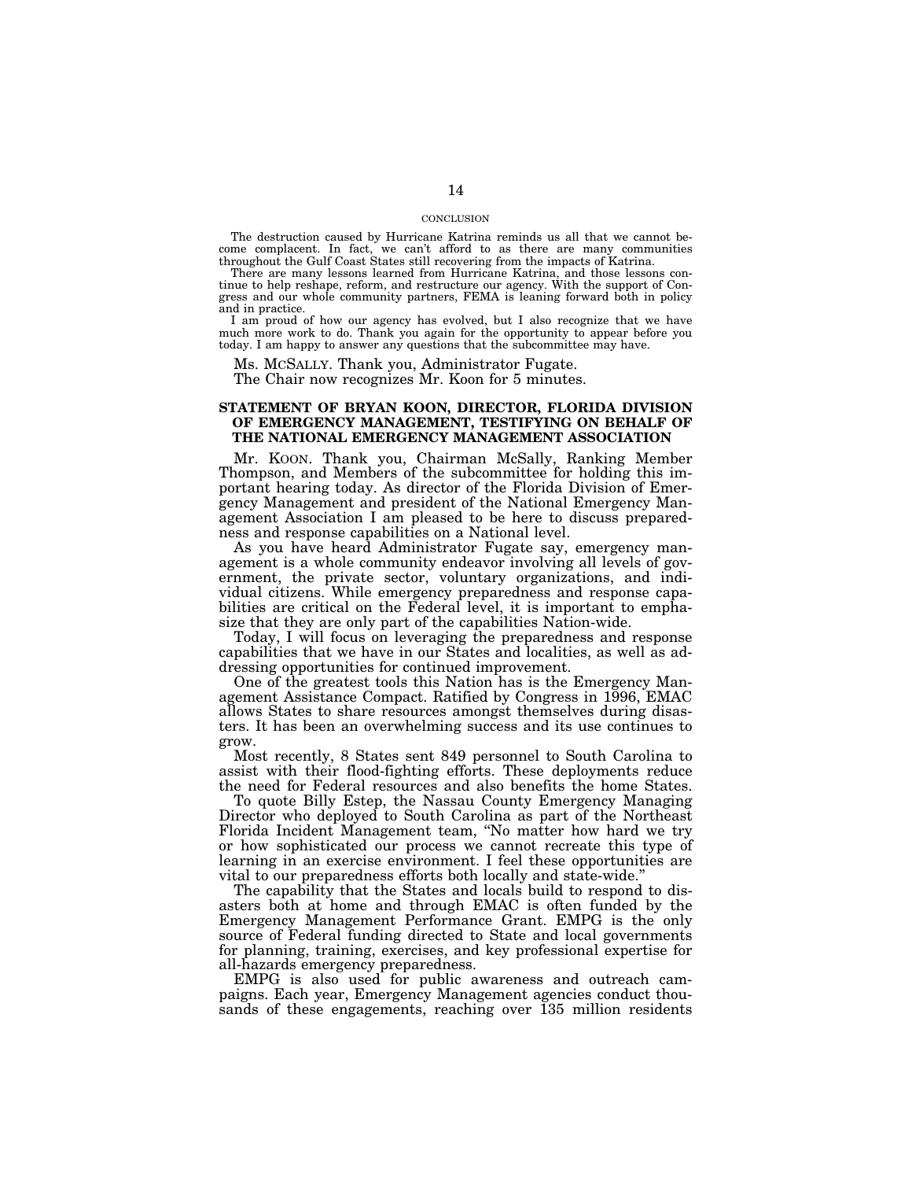## **CONCLUSION**

The destruction caused by Hurricane Katrina reminds us all that we cannot become complacent. In fact, we can't afford to as there are many communities throughout the Gulf Coast States still recovering from the impacts of Katrina.

There are many lessons learned from Hurricane Katrina, and those lessons continue to help reshape, reform, and restructure our agency. With the support of Congress and our whole community partners, FEMA is leaning forward both in policy and in practice.

I am proud of how our agency has evolved, but I also recognize that we have much more work to do. Thank you again for the opportunity to appear before you today. I am happy to answer any questions that the subcommittee may have.

Ms. MCSALLY. Thank you, Administrator Fugate.

The Chair now recognizes Mr. Koon for 5 minutes.

## **STATEMENT OF BRYAN KOON, DIRECTOR, FLORIDA DIVISION OF EMERGENCY MANAGEMENT, TESTIFYING ON BEHALF OF THE NATIONAL EMERGENCY MANAGEMENT ASSOCIATION**

Mr. KOON. Thank you, Chairman McSally, Ranking Member Thompson, and Members of the subcommittee for holding this important hearing today. As director of the Florida Division of Emergency Management and president of the National Emergency Management Association I am pleased to be here to discuss preparedness and response capabilities on a National level.

As you have heard Administrator Fugate say, emergency management is a whole community endeavor involving all levels of government, the private sector, voluntary organizations, and individual citizens. While emergency preparedness and response capabilities are critical on the Federal level, it is important to emphasize that they are only part of the capabilities Nation-wide.

Today, I will focus on leveraging the preparedness and response capabilities that we have in our States and localities, as well as addressing opportunities for continued improvement.

One of the greatest tools this Nation has is the Emergency Management Assistance Compact. Ratified by Congress in 1996, EMAC allows States to share resources amongst themselves during disasters. It has been an overwhelming success and its use continues to grow.

Most recently, 8 States sent 849 personnel to South Carolina to assist with their flood-fighting efforts. These deployments reduce the need for Federal resources and also benefits the home States.

To quote Billy Estep, the Nassau County Emergency Managing Director who deployed to South Carolina as part of the Northeast Florida Incident Management team, ''No matter how hard we try or how sophisticated our process we cannot recreate this type of learning in an exercise environment. I feel these opportunities are vital to our preparedness efforts both locally and state-wide.''

The capability that the States and locals build to respond to disasters both at home and through EMAC is often funded by the Emergency Management Performance Grant. EMPG is the only source of Federal funding directed to State and local governments for planning, training, exercises, and key professional expertise for all-hazards emergency preparedness.

EMPG is also used for public awareness and outreach campaigns. Each year, Emergency Management agencies conduct thousands of these engagements, reaching over 135 million residents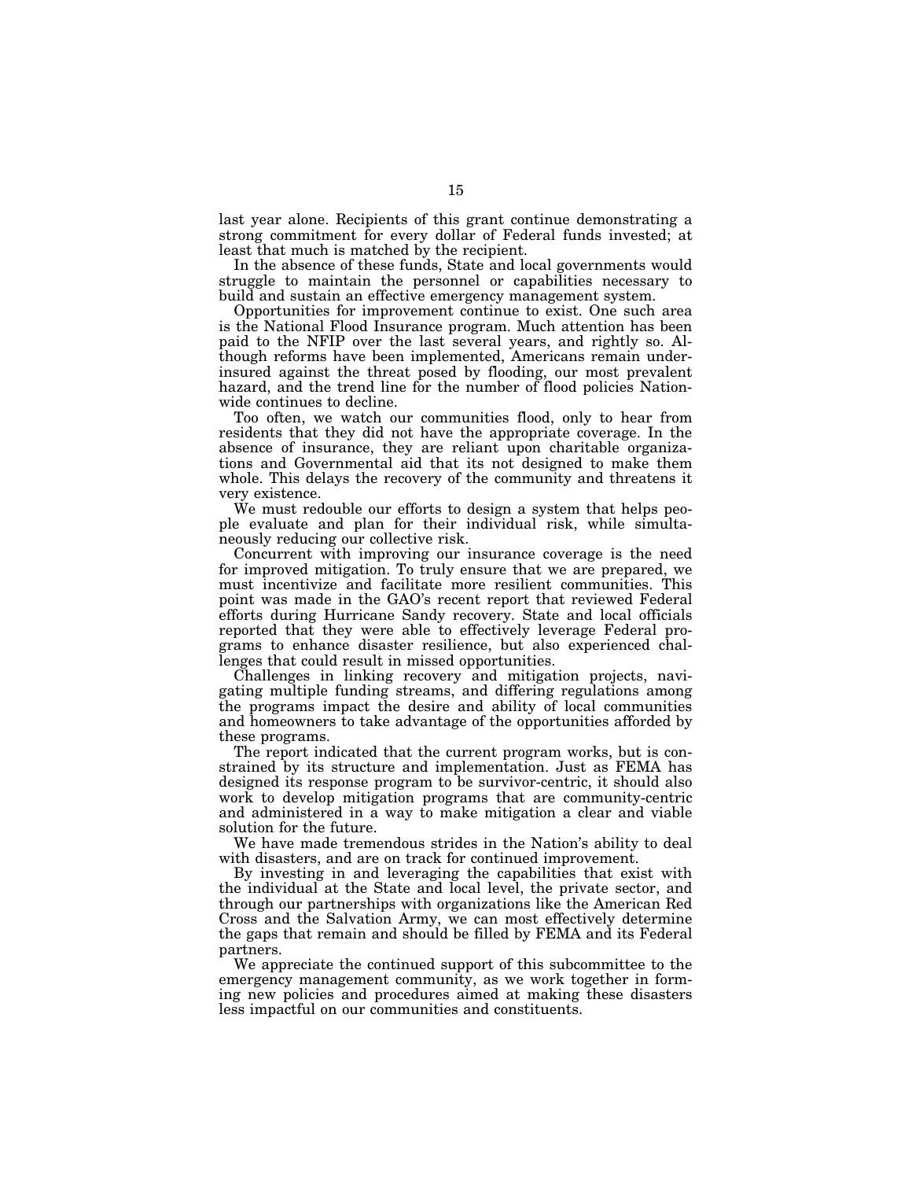last year alone. Recipients of this grant continue demonstrating a strong commitment for every dollar of Federal funds invested; at least that much is matched by the recipient.

In the absence of these funds, State and local governments would struggle to maintain the personnel or capabilities necessary to build and sustain an effective emergency management system.

Opportunities for improvement continue to exist. One such area is the National Flood Insurance program. Much attention has been paid to the NFIP over the last several years, and rightly so. Although reforms have been implemented, Americans remain underinsured against the threat posed by flooding, our most prevalent hazard, and the trend line for the number of flood policies Nationwide continues to decline.

Too often, we watch our communities flood, only to hear from residents that they did not have the appropriate coverage. In the absence of insurance, they are reliant upon charitable organizations and Governmental aid that its not designed to make them whole. This delays the recovery of the community and threatens it very existence.

We must redouble our efforts to design a system that helps people evaluate and plan for their individual risk, while simultaneously reducing our collective risk.

Concurrent with improving our insurance coverage is the need for improved mitigation. To truly ensure that we are prepared, we must incentivize and facilitate more resilient communities. This point was made in the GAO's recent report that reviewed Federal efforts during Hurricane Sandy recovery. State and local officials reported that they were able to effectively leverage Federal programs to enhance disaster resilience, but also experienced challenges that could result in missed opportunities.

Challenges in linking recovery and mitigation projects, navigating multiple funding streams, and differing regulations among the programs impact the desire and ability of local communities and homeowners to take advantage of the opportunities afforded by these programs.

The report indicated that the current program works, but is constrained by its structure and implementation. Just as FEMA has designed its response program to be survivor-centric, it should also work to develop mitigation programs that are community-centric and administered in a way to make mitigation a clear and viable solution for the future.

We have made tremendous strides in the Nation's ability to deal with disasters, and are on track for continued improvement.

By investing in and leveraging the capabilities that exist with the individual at the State and local level, the private sector, and through our partnerships with organizations like the American Red Cross and the Salvation Army, we can most effectively determine the gaps that remain and should be filled by FEMA and its Federal partners.

We appreciate the continued support of this subcommittee to the emergency management community, as we work together in forming new policies and procedures aimed at making these disasters less impactful on our communities and constituents.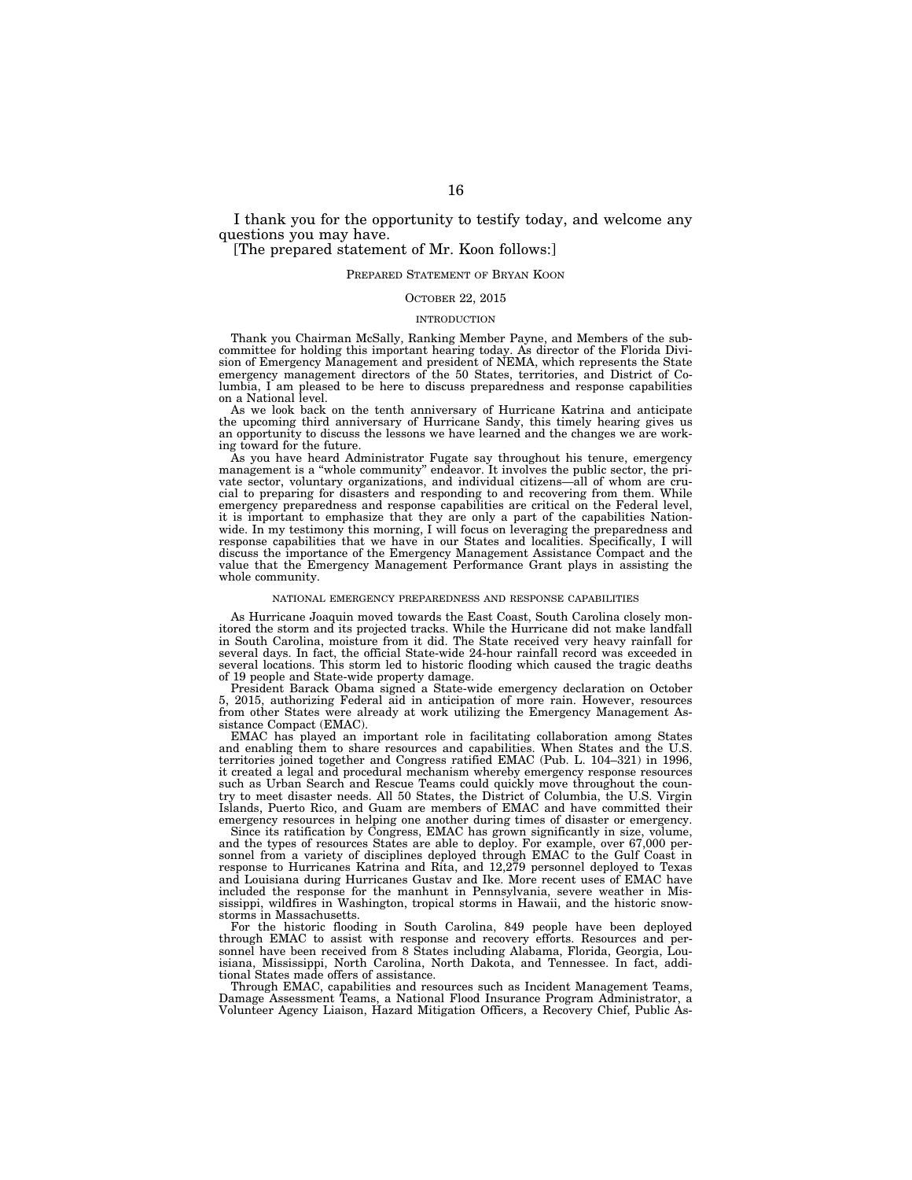I thank you for the opportunity to testify today, and welcome any questions you may have.

## [The prepared statement of Mr. Koon follows:]

## PREPARED STATEMENT OF BRYAN KOON

## OCTOBER 22, 2015

## INTRODUCTION

Thank you Chairman McSally, Ranking Member Payne, and Members of the subcommittee for holding this important hearing today. As director of the Florida Division of Emergency Management and president of NEMA, which represents the State emergency management directors of the 50 States, territories, and District of Columbia, I am pleased to be here to discuss preparedness and response capabilities on a National level.

As we look back on the tenth anniversary of Hurricane Katrina and anticipate the upcoming third anniversary of Hurricane Sandy, this timely hearing gives us an opportunity to discuss the lessons we have learned and the changes we are working toward for the future.

As you have heard Administrator Fugate say throughout his tenure, emergency management is a ''whole community'' endeavor. It involves the public sector, the private sector, voluntary organizations, and individual citizens—all of whom are crucial to preparing for disasters and responding to and recovering from them. While emergency preparedness and response capabilities are critical on the Federal level, it is important to emphasize that they are only a part of the capabilities Nationwide. In my testimony this morning, I will focus on leveraging the preparedness and response capabilities that we have in our States and localities. Specifically, I will discuss the importance of the Emergency Management Assistance Compact and the value that the Emergency Management Performance Grant plays in assisting the whole community.

### NATIONAL EMERGENCY PREPAREDNESS AND RESPONSE CAPABILITIES

As Hurricane Joaquin moved towards the East Coast, South Carolina closely monitored the storm and its projected tracks. While the Hurricane did not make landfall in South Carolina, moisture from it did. The State received very heavy rainfall for several days. In fact, the official State-wide 24-hour rainfall record was exceeded in several locations. This storm led to historic flooding which caused the tragic deaths of 19 people and State-wide property damage.

President Barack Obama signed a State-wide emergency declaration on October 5, 2015, authorizing Federal aid in anticipation of more rain. However, resources from other States were already at work utilizing the Emergency Management Assistance Compact (EMAC).

EMAC has played an important role in facilitating collaboration among States and enabling them to share resources and capabilities. When States and the U.S. territories joined together and Congress ratified EMAC (Pub. L. 104–321) in 1996, it created a legal and procedural mechanism whereby emergency response resources such as Urban Search and Rescue Teams could quickly move throughout the country to meet disaster needs. All 50 States, the District of Columbia, the U.S. Virgin Islands, Puerto Rico, and Guam are members of EMAC and have committed their emergency resources in helping one another during times of disaster or emergency.

Since its ratification by Congress, EMAC has grown significantly in size, volume, and the types of resources States are able to deploy. For example, over 67,000 personnel from a variety of disciplines deployed through EMAC to the Gulf Coast in response to Hurricanes Katrina and Rita, and 12,279 personnel deployed to Texas and Louisiana during Hurricanes Gustav and Ike. More recent uses of EMAC have included the response for the manhunt in Pennsylvania, severe weather in Mississippi, wildfires in Washington, tropical storms in Hawaii, and the historic snowstorms in Massachusetts.

For the historic flooding in South Carolina, 849 people have been deployed through EMAC to assist with response and recovery efforts. Resources and personnel have been received from 8 States including Alabama, Florida, Georgia, Louisiana, Mississippi, North Carolina, North Dakota, and Tennessee. In fact, additional States made offers of assistance.

Through EMAC, capabilities and resources such as Incident Management Teams, Damage Assessment Teams, a National Flood Insurance Program Administrator, a Volunteer Agency Liaison, Hazard Mitigation Officers, a Recovery Chief, Public As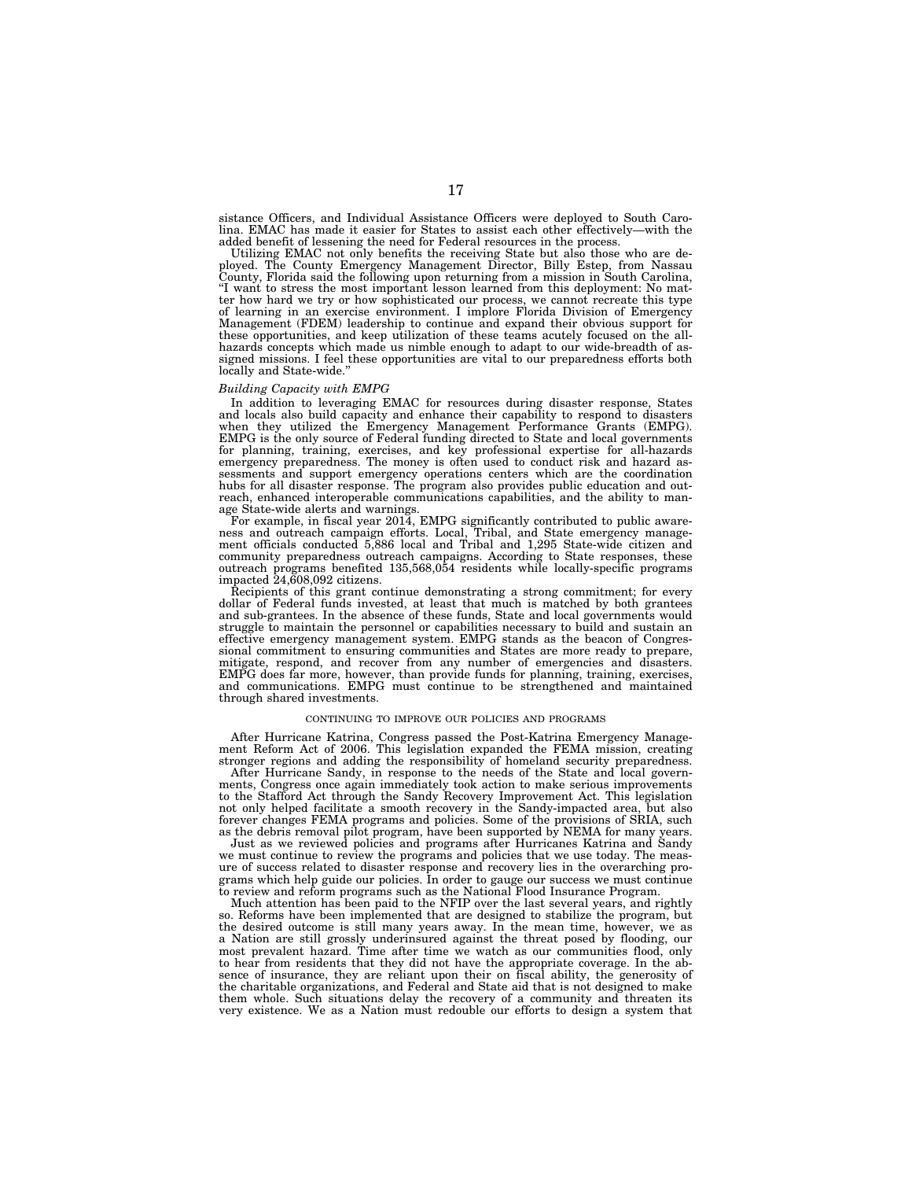sistance Officers, and Individual Assistance Officers were deployed to South Carolina. EMAC has made it easier for States to assist each other effectively—with the added benefit of lessening the need for Federal resources in the process.

Utilizing EMAC not only benefits the receiving State but also those who are deployed. The County Emergency Management Director, Billy Estep, from Nassau County, Florida said the following upon returning from a mission in South Carolina, "I want to stress the most important lesson learned from this deployment: No matter how hard we try or how sophisticated our process, we cannot recreate this type of learning in an exercise environment. I implore Florida Division of Emergency Management (FDEM) leadership to continue and expand their obvious support for these opportunities, and keep utilization of these teams acutely focused on the allhazards concepts which made us nimble enough to adapt to our wide-breadth of assigned missions. I feel these opportunities are vital to our preparedness efforts both locally and State-wide.''

#### *Building Capacity with EMPG*

In addition to leveraging EMAC for resources during disaster response, States and locals also build capacity and enhance their capability to respond to disasters when they utilized the Emergency Management Performance Grants (EMPG). EMPG is the only source of Federal funding directed to State and local governments for planning, training, exercises, and key professional expertise for all-hazards emergency preparedness. The money is often used to conduct risk and hazard assessments and support emergency operations centers which are the coordination hubs for all disaster response. The program also provides public education and outreach, enhanced interoperable communications capabilities, and the ability to manage State-wide alerts and warnings.

For example, in fiscal year 2014, EMPG significantly contributed to public awareness and outreach campaign efforts. Local, Tribal, and State emergency management officials conducted 5,886 local and Tribal and 1,295 State-w community preparedness outreach campaigns. According to State responses, these outreach programs benefited 135,568,054 residents while locally-specific programs impacted 24,608,092 citizens.

Recipients of this grant continue demonstrating a strong commitment; for every dollar of Federal funds invested, at least that much is matched by both grantees and sub-grantees. In the absence of these funds, State and local governments would struggle to maintain the personnel or capabilities necessary to build and sustain an effective emergency management system. EMPG stands as the beacon of Congres-sional commitment to ensuring communities and States are more ready to prepare, mitigate, respond, and recover from any number of emergencies and disasters. EMPG does far more, however, than provide funds for planning, training, exercises, and communications. EMPG must continue to be strengthened and maintained through shared investments.

### CONTINUING TO IMPROVE OUR POLICIES AND PROGRAMS

After Hurricane Katrina, Congress passed the Post-Katrina Emergency Manage-ment Reform Act of 2006. This legislation expanded the FEMA mission, creating stronger regions and adding the responsibility of homeland security preparedness.

After Hurricane Sandy, in response to the needs of the State and local governments, Congress once again immediately took action to make serious improvements to the Stafford Act through the Sandy Recovery Improvement Act. This legislation not only helped facilitate a smooth recovery in the Sandy-impacted area, but also forever changes FEMA programs and policies. Some of the provisions of SRIA, such as the debris removal pilot program, have been supported by NEMA for many years.

Just as we reviewed policies and programs after Hurricanes Katrina and Sandy we must continue to review the programs and policies that we use today. The measure of success related to disaster response and recovery lies in the overarching programs which help guide our policies. In order to gauge our success we must cont to review and reform programs such as the National Flood Insurance Program.

Much attention has been paid to the NFIP over the last several years, and rightly so. Reforms have been implemented that are designed to stabilize the program, but the desired outcome is still many years away. In the mean time, however, we as a Nation are still grossly underinsured against the threat posed by flooding, our most prevalent hazard. Time after time we watch as our communities flood, only to hear from residents that they did not have the appropriate coverage. In the absence of insurance, they are reliant upon their on fiscal ability, the generosity of the charitable organizations, and Federal and State aid that is not designed to make them whole. Such situations delay the recovery of a community and threaten its very existence. We as a Nation must redouble our efforts to design a system that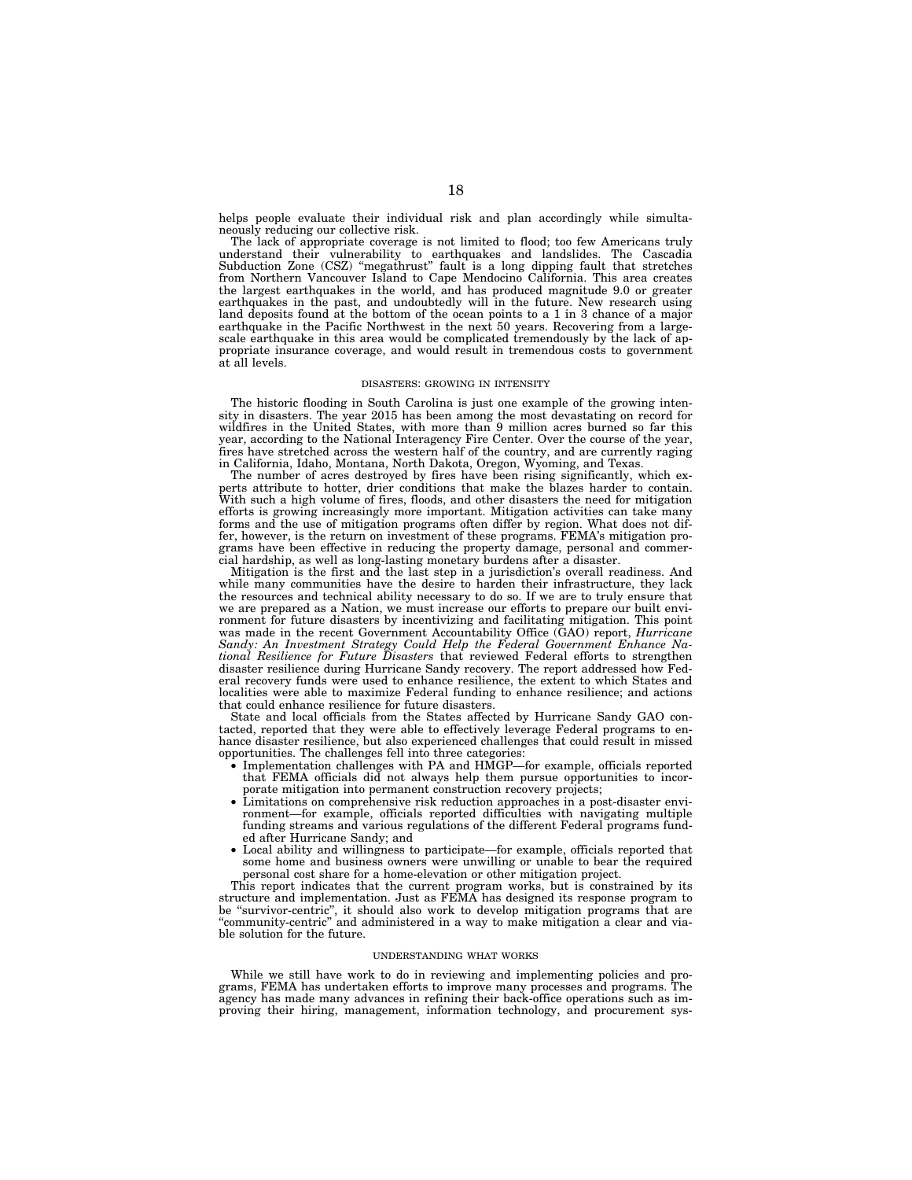helps people evaluate their individual risk and plan accordingly while simultaneously reducing our collective risk.

The lack of appropriate coverage is not limited to flood; too few Americans truly understand their vulnerability to earthquakes and landslides. The Cascadia Subduction Zone (CSZ) ''megathrust'' fault is a long dipping fault that stretches from Northern Vancouver Island to Cape Mendocino California. This area creates the largest earthquakes in the world, and has produced magnitude 9.0 or greater earthquakes in the past, and undoubtedly will in the future. New research using land deposits found at the bottom of the ocean points to a 1 in 3 chance of a major earthquake in the Pacific Northwest in the next 50 years. Recovering from a largescale earthquake in this area would be complicated tremendously by the lack of appropriate insurance coverage, and would result in tremendous costs to government at all levels.

#### DISASTERS: GROWING IN INTENSITY

The historic flooding in South Carolina is just one example of the growing intensity in disasters. The year 2015 has been among the most devastating on record for wildfires in the United States, with more than 9 million acres burned so far this year, according to the National Interagency Fire Center. Over the course of the year, fires have stretched across the western half of the country, and are currently raging in California, Idaho, Montana, North Dakota, Oregon, Wyoming, and Texas.

The number of acres destroyed by fires have been rising significantly, which experts attribute to hotter, drier conditions that make the blazes harder to contain. With such a high volume of fires, floods, and other disasters the need for mitigation efforts is growing increasingly more important. Mitigation activities can take many forms and the use of mitigation programs often differ by region. What does not differ, however, is the return on investment of these programs. FEMA's mitigation programs have been effective in reducing the property damage, personal and commercial hardship, as well as long-lasting monetary burdens after a disaster.

Mitigation is the first and the last step in a jurisdiction's overall readiness. And while many communities have the desire to harden their infrastructure, they lack the resources and technical ability necessary to do so. If we are to truly ensure that we are prepared as a Nation, we must increase our efforts to prepare our built environment for future disasters by incentivizing and facilitating mitigation. This point was made in the recent Government Accountability Office (GAO) report, *Hurricane Sandy: An Investment Strategy Could Help the Federal Government Enhance National Resilience for Future Disasters* that reviewed Federal efforts to strengthen disaster resilience during Hurricane Sandy recovery. The report addressed how Federal recovery funds were used to enhance resilience, the extent to which States and localities were able to maximize Federal funding to enhance resilience; and actions that could enhance resilience for future disasters.

State and local officials from the States affected by Hurricane Sandy GAO contacted, reported that they were able to effectively leverage Federal programs to enhance disaster resilience, but also experienced challenges that could result in missed opportunities. The challenges fell into three categories:

- Implementation challenges with PA and HMGP—for example, officials reported that FEMA officials did not always help them pursue opportunities to incorporate mitigation into permanent construction recovery projects;
- Limitations on comprehensive risk reduction approaches in a post-disaster environment—for example, officials reported difficulties with navigating multiple funding streams and various regulations of the different Federal programs funded after Hurricane Sandy; and
- Local ability and willingness to participate—for example, officials reported that some home and business owners were unwilling or unable to bear the required personal cost share for a home-elevation or other mitigation project.

This report indicates that the current program works, but is constrained by its structure and implementation. Just as FEMA has designed its response program to be ''survivor-centric'', it should also work to develop mitigation programs that are ''community-centric'' and administered in a way to make mitigation a clear and viable solution for the future.

### UNDERSTANDING WHAT WORKS

While we still have work to do in reviewing and implementing policies and programs, FEMA has undertaken efforts to improve many processes and programs. The agency has made many advances in refining their back-office operations such as improving their hiring, management, information technology, and procurement sys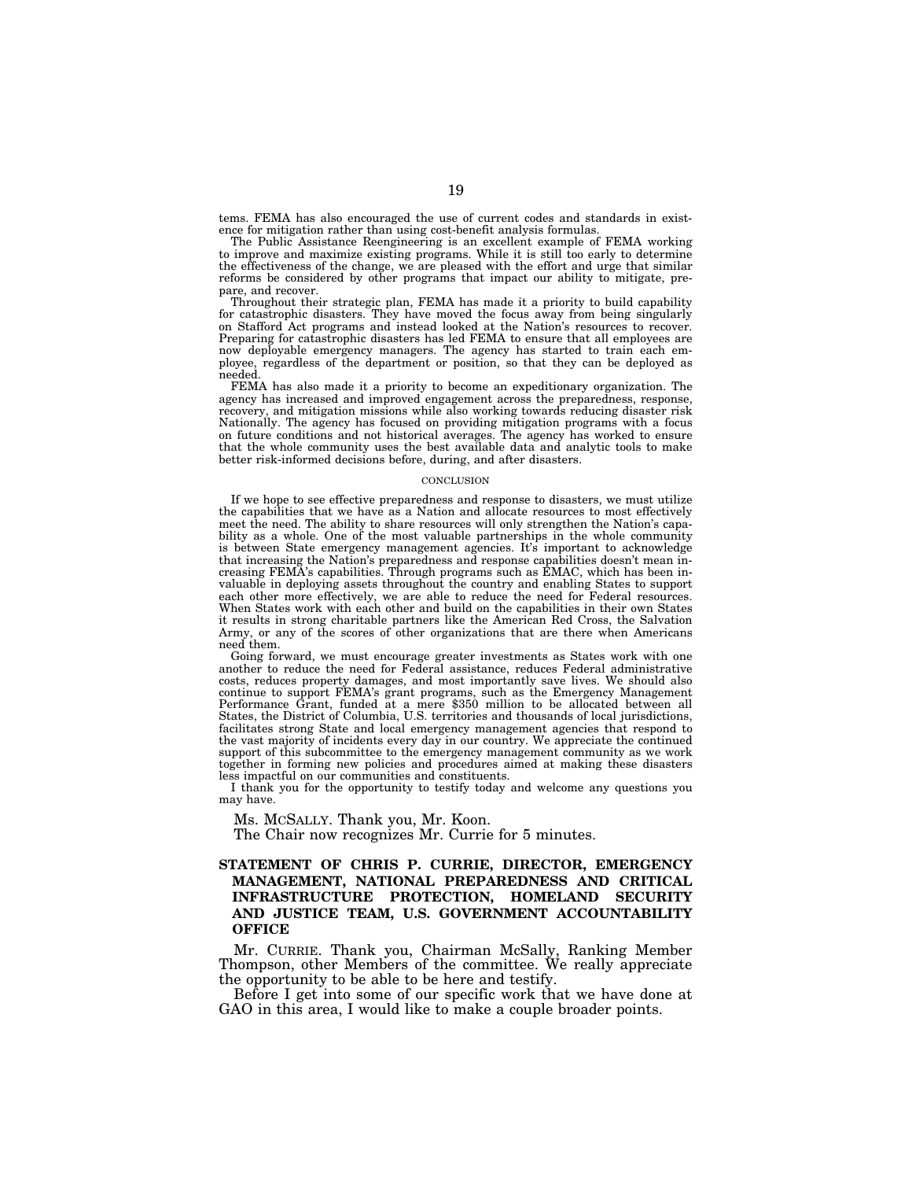tems. FEMA has also encouraged the use of current codes and standards in existence for mitigation rather than using cost-benefit analysis formulas.

The Public Assistance Reengineering is an excellent example of FEMA working to improve and maximize existing programs. While it is still too early to determine the effectiveness of the change, we are pleased with the effort and urge that similar reforms be considered by other programs that impact our ability to mitigate, prepare, and recover.

Throughout their strategic plan, FEMA has made it a priority to build capability for catastrophic disasters. They have moved the focus away from being singularly on Stafford Act programs and instead looked at the Nation's resources to recover. Preparing for catastrophic disasters has led FEMA to ensure that all employees are now deployable emergency managers. The agency has started to train each employee, regardless of the department or position, so that they can be deployed as needed.

FEMA has also made it a priority to become an expeditionary organization. The agency has increased and improved engagement across the preparedness, response, recovery, and mitigation missions while also working towards reducing disaster risk Nationally. The agency has focused on providing mitigation programs with a focus on future conditions and not historical averages. The agency has worked to ensure that the whole community uses the best available data and analytic tools to make better risk-informed decisions before, during, and after disasters.

#### **CONCLUSION**

If we hope to see effective preparedness and response to disasters, we must utilize the capabilities that we have as a Nation and allocate resources to most effectively meet the need. The ability to share resources will only strengthen the Nation's capability as a whole. One of the most valuable partnerships in the whole community is between State emergency management agencies. It's important to acknowledge that increasing the Nation's preparedness and response capabilities doesn't mean increasing FEMA's capabilities. Through programs such as EMAC, which has been invaluable in deploying assets throughout the country and enabling States to support each other more effectively, we are able to reduce the need for Federal resources. When States work with each other and build on the capabilities in their own States it results in strong charitable partners like the American Red Cross, the Salvation Army, or any of the scores of other organizations that are there when Americans need them.

Going forward, we must encourage greater investments as States work with one another to reduce the need for Federal assistance, reduces Federal administrative costs, reduces property damages, and most importantly save lives. We should also continue to support FEMA's grant programs, such as the Emergency Management Performance Grant, funded at a mere \$350 million to be allocated between all States, the District of Columbia, U.S. territories and thousands of local jurisdictions, facilitates strong State and local emergency management agencies that respond to the vast majority of incidents every day in our country. We appreciate the continued support of this subcommittee to the emergency management community as we work together in forming new policies and procedures aimed at making these disasters less impactful on our communities and constituents.

I thank you for the opportunity to testify today and welcome any questions you may have.

Ms. MCSALLY. Thank you, Mr. Koon.

The Chair now recognizes Mr. Currie for 5 minutes.

## **STATEMENT OF CHRIS P. CURRIE, DIRECTOR, EMERGENCY MANAGEMENT, NATIONAL PREPAREDNESS AND CRITICAL INFRASTRUCTURE PROTECTION, HOMELAND SECURITY AND JUSTICE TEAM, U.S. GOVERNMENT ACCOUNTABILITY OFFICE**

Mr. CURRIE. Thank you, Chairman McSally, Ranking Member Thompson, other Members of the committee. We really appreciate the opportunity to be able to be here and testify.

Before I get into some of our specific work that we have done at GAO in this area, I would like to make a couple broader points.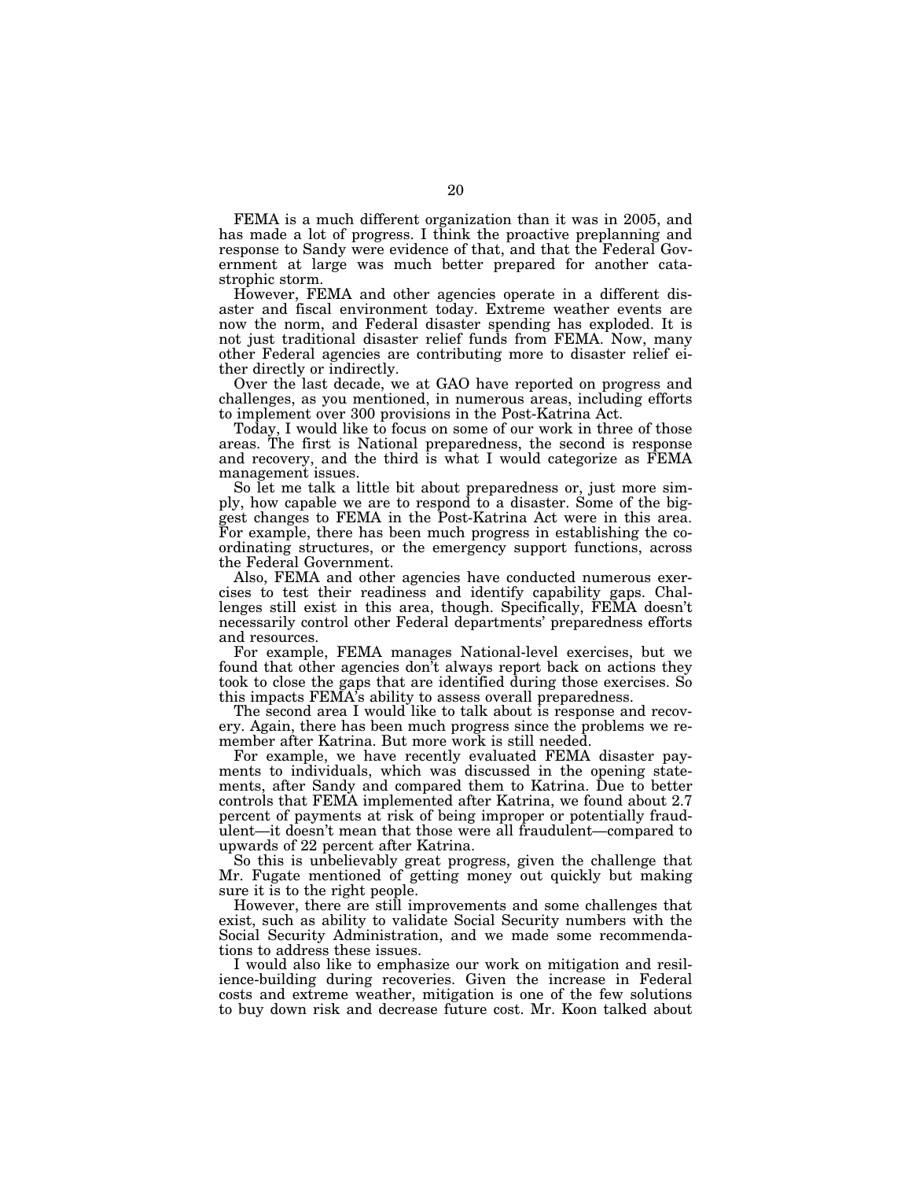FEMA is a much different organization than it was in 2005, and has made a lot of progress. I think the proactive preplanning and response to Sandy were evidence of that, and that the Federal Government at large was much better prepared for another catastrophic storm.

However, FEMA and other agencies operate in a different disaster and fiscal environment today. Extreme weather events are now the norm, and Federal disaster spending has exploded. It is not just traditional disaster relief funds from FEMA. Now, many other Federal agencies are contributing more to disaster relief either directly or indirectly.

Over the last decade, we at GAO have reported on progress and challenges, as you mentioned, in numerous areas, including efforts to implement over 300 provisions in the Post-Katrina Act.

Today, I would like to focus on some of our work in three of those areas. The first is National preparedness, the second is response and recovery, and the third is what I would categorize as FEMA management issues.

So let me talk a little bit about preparedness or, just more simply, how capable we are to respond to a disaster. Some of the biggest changes to FEMA in the Post-Katrina Act were in this area. For example, there has been much progress in establishing the coordinating structures, or the emergency support functions, across the Federal Government.

Also, FEMA and other agencies have conducted numerous exercises to test their readiness and identify capability gaps. Challenges still exist in this area, though. Specifically, FEMA doesn't necessarily control other Federal departments' preparedness efforts and resources.

For example, FEMA manages National-level exercises, but we found that other agencies don't always report back on actions they took to close the gaps that are identified during those exercises. So this impacts FEMA's ability to assess overall preparedness.

The second area I would like to talk about is response and recovery. Again, there has been much progress since the problems we remember after Katrina. But more work is still needed.

For example, we have recently evaluated FEMA disaster payments to individuals, which was discussed in the opening statements, after Sandy and compared them to Katrina. Due to better controls that FEMA implemented after Katrina, we found about 2.7 percent of payments at risk of being improper or potentially fraudulent—it doesn't mean that those were all fraudulent—compared to upwards of 22 percent after Katrina.

So this is unbelievably great progress, given the challenge that Mr. Fugate mentioned of getting money out quickly but making sure it is to the right people.

However, there are still improvements and some challenges that exist, such as ability to validate Social Security numbers with the Social Security Administration, and we made some recommendations to address these issues.

I would also like to emphasize our work on mitigation and resilience-building during recoveries. Given the increase in Federal costs and extreme weather, mitigation is one of the few solutions to buy down risk and decrease future cost. Mr. Koon talked about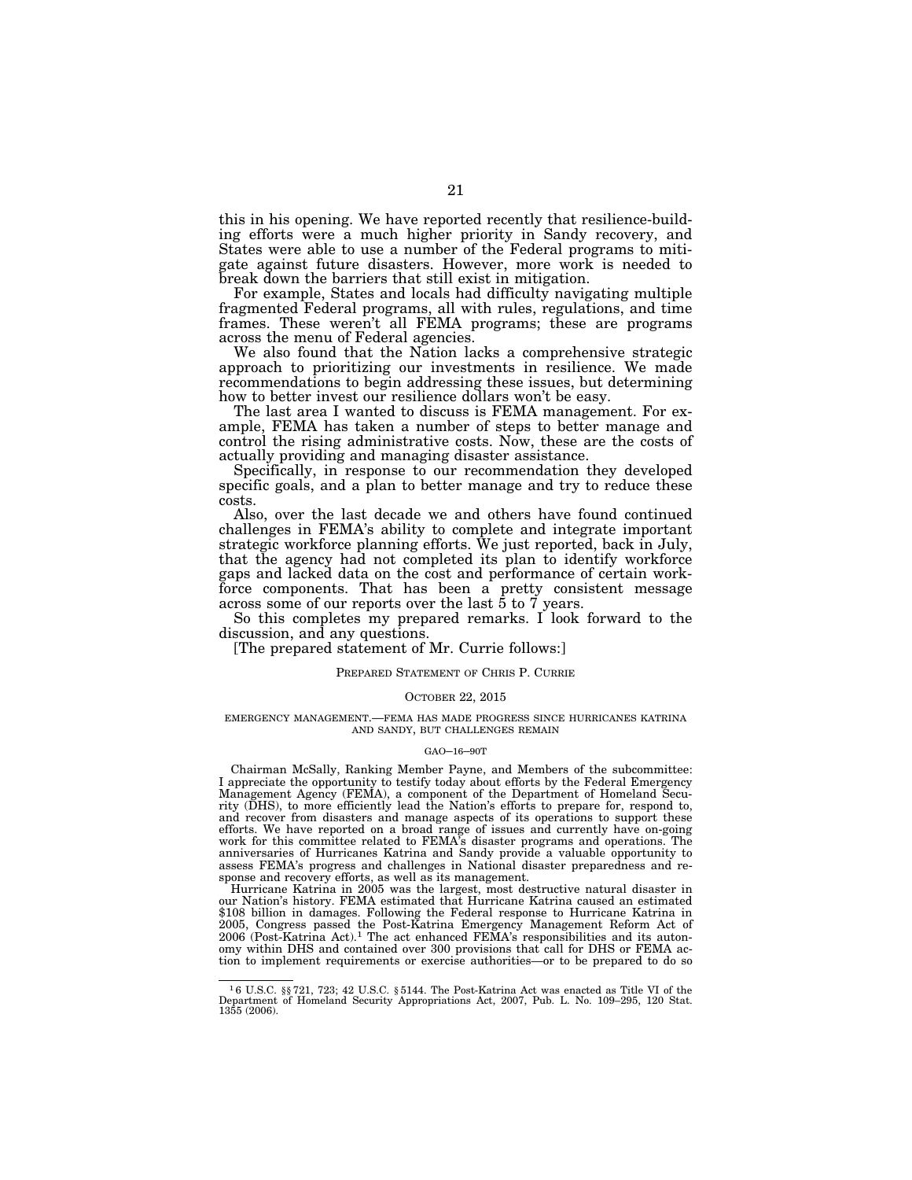this in his opening. We have reported recently that resilience-building efforts were a much higher priority in Sandy recovery, and States were able to use a number of the Federal programs to mitigate against future disasters. However, more work is needed to break down the barriers that still exist in mitigation.

For example, States and locals had difficulty navigating multiple fragmented Federal programs, all with rules, regulations, and time frames. These weren't all FEMA programs; these are programs across the menu of Federal agencies.

We also found that the Nation lacks a comprehensive strategic approach to prioritizing our investments in resilience. We made recommendations to begin addressing these issues, but determining how to better invest our resilience dollars won't be easy.

The last area I wanted to discuss is FEMA management. For example, FEMA has taken a number of steps to better manage and control the rising administrative costs. Now, these are the costs of actually providing and managing disaster assistance.

Specifically, in response to our recommendation they developed specific goals, and a plan to better manage and try to reduce these costs.

Also, over the last decade we and others have found continued challenges in FEMA's ability to complete and integrate important strategic workforce planning efforts. We just reported, back in July, that the agency had not completed its plan to identify workforce gaps and lacked data on the cost and performance of certain workforce components. That has been a pretty consistent message across some of our reports over the last 5 to 7 years.

So this completes my prepared remarks. I look forward to the discussion, and any questions.

[The prepared statement of Mr. Currie follows:]

## PREPARED STATEMENT OF CHRIS P. CURRIE

## OCTOBER 22, 2015

### EMERGENCY MANAGEMENT.—FEMA HAS MADE PROGRESS SINCE HURRICANES KATRINA AND SANDY, BUT CHALLENGES REMAIN

#### GAO–16–90T

Chairman McSally, Ranking Member Payne, and Members of the subcommittee: I appreciate the opportunity to testify today about efforts by the Federal Emergency Management Agency (FEMA), a component of the Department of Homeland Security (DHS), to more efficiently lead the Nation's efforts to prepare for, respond to, and recover from disasters and manage aspects of its operations to support these efforts. We have reported on a broad range of issues and currently have on-going work for this committee related to FEMA's disaster programs and operations. The anniversaries of Hurricanes Katrina and Sandy provide a valuable opportunity to assess FEMA's progress and challenges in National disaster preparedness and response and recovery efforts, as well as its management.

Hurricane Katrina in 2005 was the largest, most destructive natural disaster in our Nation's history. FEMA estimated that Hurricane Katrina caused an estimated \$108 billion in damages. Following the Federal response to Hurricane Katrina in 2005, Congress passed the Post-Katrina Emergency Management Reform Act of 2006 (Post-Katrina Act).1 The act enhanced FEMA's responsibilities and its autonomy within DHS and contained over 300 provisions that call for DHS or FEMA action to implement requirements or exercise authorities—or to be prepared to do so

<sup>1</sup> 6 U.S.C. §§ 721, 723; 42 U.S.C. § 5144. The Post-Katrina Act was enacted as Title VI of the Department of Homeland Security Appropriations Act, 2007, Pub. L. No. 109–295, 120 Stat. 1355 (2006).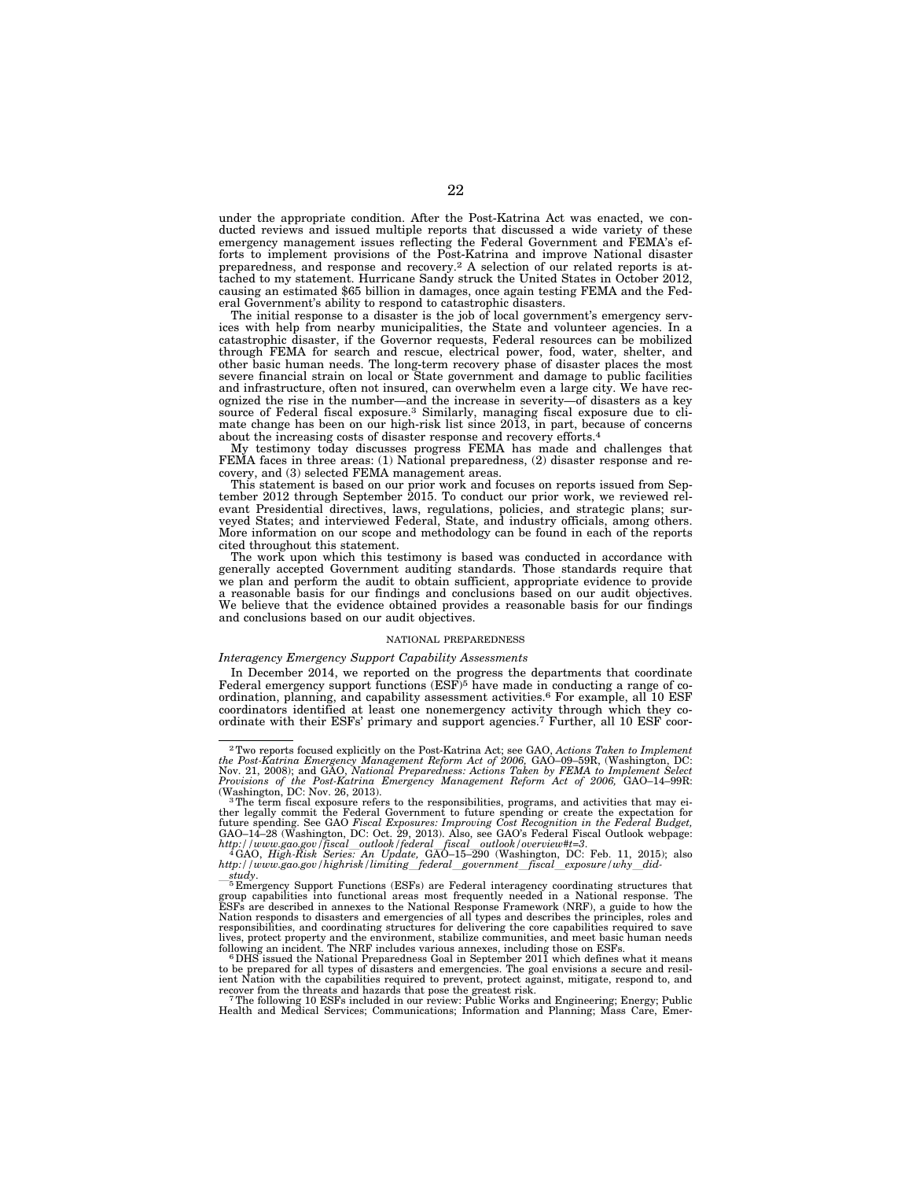under the appropriate condition. After the Post-Katrina Act was enacted, we conducted reviews and issued multiple reports that discussed a wide variety of these emergency management issues reflecting the Federal Government and FEMA's efforts to implement provisions of the Post-Katrina and improve National disaster preparedness, and response and recovery.2 A selection of our related reports is attached to my statement. Hurricane Sandy struck the United States in October 2012, causing an estimated \$65 billion in damages, once again testing FEMA and the Federal Government's ability to respond to catastrophic disasters.

The initial response to a disaster is the job of local government's emergency services with help from nearby municipalities, the State and volunteer agencies. In a catastrophic disaster, if the Governor requests, Federal resources can be mobilized through FEMA for search and rescue, electrical power, food, water, shelter, and other basic human needs. The long-term recovery phase of disaster places the most severe financial strain on local or State government and damage to public facilities and infrastructure, often not insured, can overwhelm even a large city. We have recognized the rise in the number—and the increase in severity—of disasters as a key source of Federal fiscal exposure.3 Similarly, managing fiscal exposure due to climate change has been on our high-risk list since 2013, in part, because of concerns about the increasing costs of disaster response and recovery efforts.<sup>4</sup>

My testimony today discusses progress FEMA has made and challenges that FEMA faces in three areas: (1) National preparedness, (2) disaster response and recovery, and (3) selected FEMA management areas.

This statement is based on our prior work and focuses on reports issued from September 2012 through September 2015. To conduct our prior work, we reviewed relevant Presidential directives, laws, regulations, policies, and strategic plans; surveyed States; and interviewed Federal, State, and industry officials, among others. More information on our scope and methodology can be found in each of the reports cited throughout this statement.

The work upon which this testimony is based was conducted in accordance with generally accepted Government auditing standards. Those standards require that we plan and perform the audit to obtain sufficient, appropriate evidence to provide a reasonable basis for our findings and conclusions based on our audit objectives. We believe that the evidence obtained provides a reasonable basis for our findings and conclusions based on our audit objectives.

#### NATIONAL PREPAREDNESS

### *Interagency Emergency Support Capability Assessments*

In December 2014, we reported on the progress the departments that coordinate Federal emergency support functions  $(ESF)^5$  have made in conducting a range of coordination, planning, and capability assessment activities.<sup>6</sup> For example, all 10 ESF coordinators identified at least one nonemergency activity through which they co-ordinate with their ESFs' primary and support agencies.7 Further, all 10 ESF coor-

 $^{2}$ Two reports focused explicitly on the Post-Katrina Act; see GAO, Actions Taken to Implement the Post-Katrina Emergency Management Reform Act of 2006, GAO-09-59R, (Washington, DC: Nov. 21, 2008); and GAO, National Pre *Provisions of the Post-Katrina Emergency Management Reform Act of 2006,* GAO–14–99R:

<sup>&</sup>lt;sup>3</sup>The term fiscal exposure refers to the responsibilities, programs, and activities that may either legally commit the Federal Government to future spending or create the expectation for<br>future spending. See GAO *Fiscal Exposures: Improving Cost Recognition in the Federal Budget,*<br>GAO–14–28 (Washington, DC: Oct. 29,

*http://www.gao.gov/fiscal*l*outlook/federal*l*fiscal*l*outlook/overview#t=3*. 4GAO, *High-Risk Series: An Update,* GAO–15–290 (Washington, DC: Feb. 11, 2015); also

 $http://www.gao.gov/highrisk/limiting_federal_government_fiscal_gvposure/why_did-  
 5Emergency Support Functions (ESFs) are Federal interagency coordinating structures that  
 5Emergency Support Functions (ESFs) are Federal interagency coordinating structures that  
 group capabilities into functional areas most frequently needed in a National response. The  
ESFs are described in annexes to the National Response Framework (NRF), a guide to how the  
National responses to disasters and convergence is of all types and describes the principles, roles and  
 responsibilityes, and coordinate structures for delivering the core capabilities required to save$ lives, protect property and the environment, stabilize communities, and meet basic human needs<br>following an incident. The NRF includes various annexes, including those on ESFs.<br>"DHS issued the National Preparedness Goal in

to be prepared for all types of disasters and emergencies. The goal envisions a secure and resil-ient Nation with the capabilities required to prevent, protect against, mitigate, respond to, and

recover from the threats and hazards that pose the greatest risk.<br>7The following 10 ESFs included in our review: Public Works and Engineering; Energy; Public<br>Health and Medical Services; Communications; Information and Pla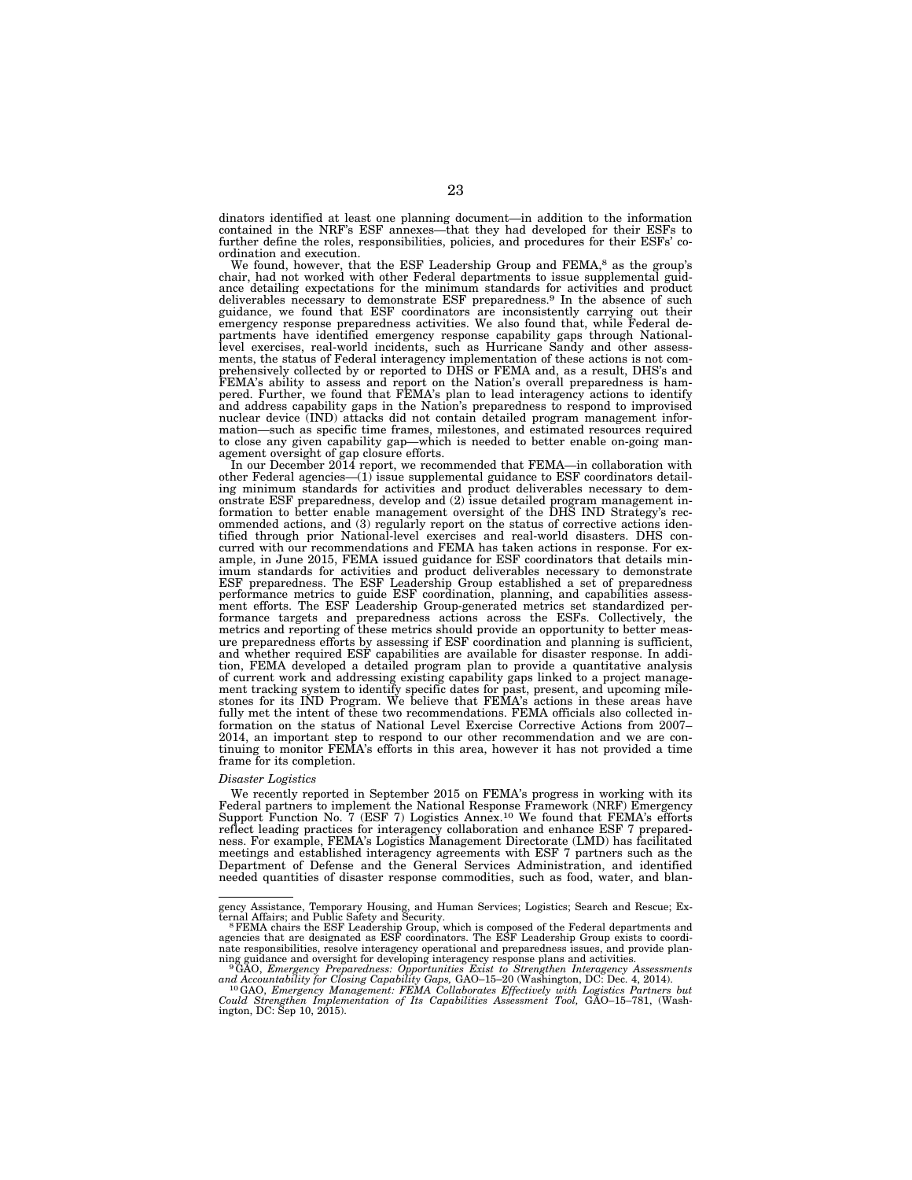dinators identified at least one planning document—in addition to the information contained in the NRF's ESF annexes—that they had developed for their ESFs to further define the roles, responsibilities, policies, and procedures for their ESFs' coordination and execution.

We found, however, that the ESF Leadership Group and FEMA,<sup>8</sup> as the group's chair, had not worked with other Federal departments to issue supplemental guidance detailing expectations for the minimum standards for activities and product deliverables necessary to demonstrate ESF preparedness.9 In the absence of such guidance, we found that ESF coordinators are inconsistently carrying out their emergency response preparedness activities. We also found that, while Federal departments have identified emergency response capability gaps through Nationallevel exercises, real-world incidents, such as Hurricane Sandy and other assessments, the status of Federal interagency implementation of these actions is not comprehensively collected by or reported to DHS or FEMA and, as a result, DHS's and FEMA's ability to assess and report on the Nation's overall preparedness is hampered. Further, we found that FEMA's plan to lead interagency actions to identify and address capability gaps in the Nation's preparedness to respond to improvised nuclear device (IND) attacks did not contain detailed program management infor-mation—such as specific time frames, milestones, and estimated resources required to close any given capability gap—which is needed to better enable on-going management oversight of gap closure efforts.

In our December 2014 report, we recommended that FEMA—in collaboration with other Federal agencies—(1) issue supplemental guidance to ESF coordinators detailing minimum standards for activities and product deliverables necessary to dem-onstrate ESF preparedness, develop and (2) issue detailed program management information to better enable management oversight of the DHS IND Strategy's recommended actions, and (3) regularly report on the status of corrective actions identified through prior National-level exercises and real-world disasters. DHS con-curred with our recommendations and FEMA has taken actions in response. For example, in June 2015, FEMA issued guidance for ESF coordinators that details minimum standards for activities and product deliverables necessary to demonstrate ESF preparedness. The ESF Leadership Group established a set of preparedness<br>performance metrics to guide ESF coordination, planning, and capabilities assess-<br>ment efforts. The ESF Leadership Group-generated metrics set st formance targets and preparedness actions across the ESFs. Collectively, the metrics and reporting of these metrics should provide an opportunity to better measure preparedness efforts by assessing if ESF coordination and planning is sufficient, and whether required ESF capabilities are available for disaster response. In addition, FEMA developed a detailed program plan to provide a quantitative analysis of current work and addressing existing capability gaps linked to a project management tracking system to identify specific dates for past, present, and upcoming milestones for its IND Program. We believe that FEMA's actions in these areas have fully met the intent of these two recommendations. FEMA officials also collected information on the status of National Level Exercise Corrective Actions from 2007– 2014, an important step to respond to our other recommendation and we are continuing to monitor FEMA's efforts in this area, however it has not provided a time frame for its completion.

#### *Disaster Logistics*

We recently reported in September 2015 on FEMA's progress in working with its Federal partners to implement the National Response Framework (NRF) Emergency Support Function No. 7 (ESF 7) Logistics Annex.<sup>10</sup> We found that FEMA's efforts reflect leading practices for interagency collaboration and enhance ESF 7 preparedness. For example, FEMA's Logistics Management Directorate (LMD) has facilitated meetings and established interagency agreements with ESF 7 partners such as the Department of Defense and the General Services Administration, and identified needed quantities of disaster response commodities, such as food, water, and blan-

gency Assistance, Temporary Housing, and Human Services; Logistics; Search and Rescue; Ex-<br>ternal Affairs; and Public Safety and Security.<br> FEMA chairs the ESF Leadership Group, which is composed of the Federal depart

agencies that are designated as ESF coordinators. The ESF Leadership Group exists to coordi-nate responsibilities, resolve interagency operational and preparedness issues, and provide planning guidance and oversight for developing interagency response plans and activities. 9GAO, *Emergency Preparedness: Opportunities Exist to Strengthen Interagency Assessments* 

and Accountability for Closing Capability Gaps, GAO–15–20 (Washington, DC: Dec. 4, 2014).<br><sup>10</sup>GAO, *Emergency Management: FEMA Collaborates Effectively with Logistics Partners but Could Strengthen Implementation of Its Cap*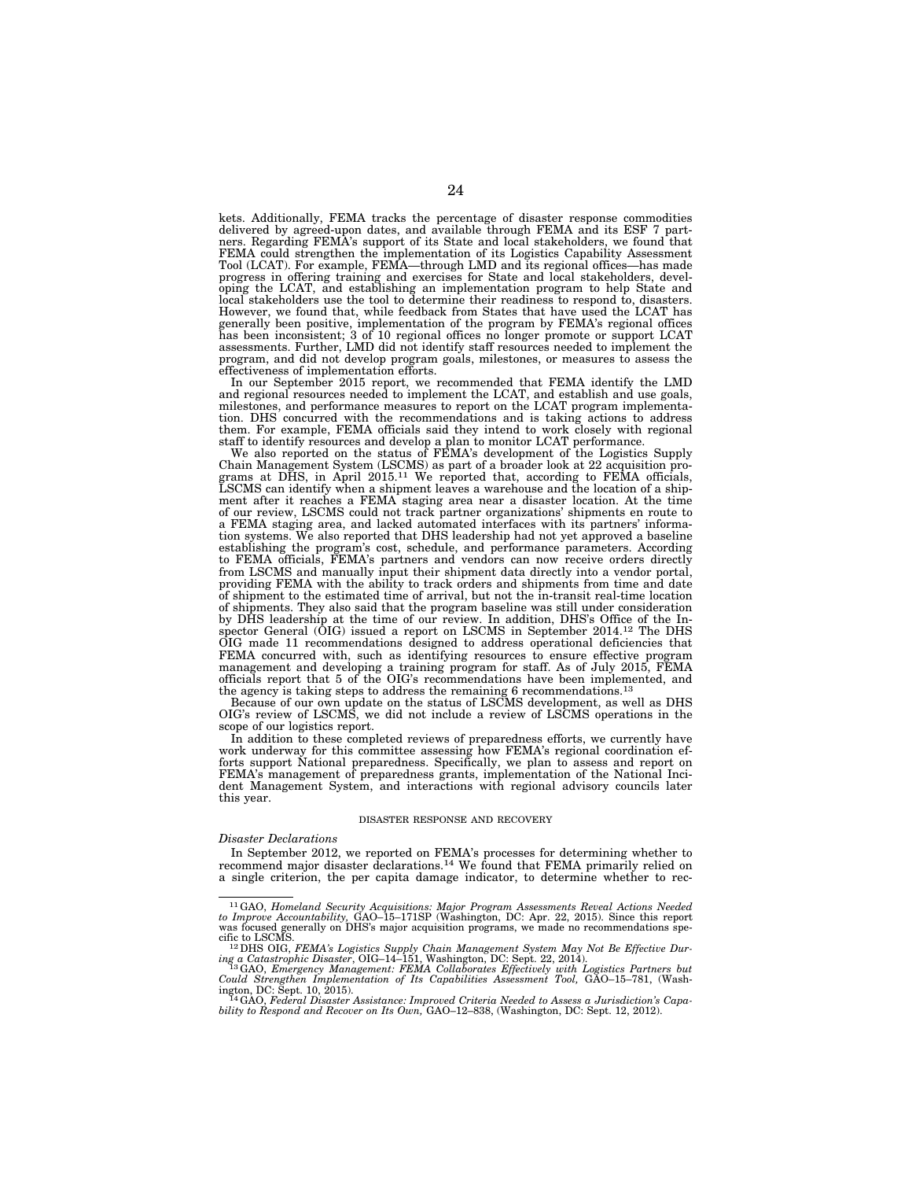kets. Additionally, FEMA tracks the percentage of disaster response commodities delivered by agreed-upon dates, and available through FEMA and its ESF 7 partners. Regarding FEMA's support of its State and local stakeholders, we found that FEMA could strengthen the implementation of its Logistics Capability Assessment Tool (LCAT). For example, FEMA—through LMD and its regional offices—has made progress in offering training and exercises for State and local stakeholders, developing the LCAT, and establishing an implementation program to help State and local stakeholders use the tool to determine their readiness to respond to, disasters. However, we found that, while feedback from States that have used the LCAT has generally been positive, implementation of the program by FEMA's regional offices has been inconsistent; 3 of 10 regional offices no longer promote or support LCAT assessments. Further, LMD did not identify staff resources needed to implement the program, and did not develop program goals, milestones, or measures to assess the effectiveness of implementation efforts.

In our September 2015 report, we recommended that FEMA identify the LMD and regional resources needed to implement the LCAT, and establish and use goals, milestones, and performance measures to report on the LCAT program implementation. DHS concurred with the recommendations and is taking actions to address them. For example, FEMA officials said they intend to work closely with regional

staff to identify resources and develop a plan to monitor LCAT performance. We also reported on the status of FEMA's development of the Logistics Supply Chain Management System (LSCMS) as part of a broader look at 22 acquisition programs at DHS, in April 2015.<sup>11</sup> We reported that, according to FEMA officials, LSCMS can identify when a shipment leaves a warehouse and the l of our review, LSCMS could not track partner organizations' shipments en route to a FEMA staging area, and lacked automated interfaces with its partners' information systems. We also reported that DHS leadership had not yet approved a baseline establishing the program's cost, schedule, and performance parameters. According to FEMA officials, FEMA's partners and vendors can now receive orders directly from LSCMS and manually input their shipment data directly into a vendor portal, providing FEMA with the ability to track orders and shipments from time and date of shipment to the estimated time of arrival, but not the in-transit real-time location of shipments. They also said that the program baseline was still under consideration by DHS leadership at the time of our review. In addition, DHS's Office of the Inspector General (OIG) issued a report on LSCMS in September 2014.12 The DHS OIG made 11 recommendations designed to address operational deficiencies that FEMA concurred with, such as identifying resources to ensure effective program management and developing a training program for staff. As of July 2015, FEMA officials report that 5 of the OIG's recommendations have been implemented, and the agency is taking steps to address the remaining 6 recommendations.<sup>13</sup>

Because of our own update on the status of LSCMS development, as well as DHS OIG's review of LSCMS, we did not include a review of LSCMS operations in the scope of our logistics report.

In addition to these completed reviews of preparedness efforts, we currently have work underway for this committee assessing how FEMA's regional coordination efforts support National preparedness. Specifically, we plan to assess and report on FEMA's management of preparedness grants, implementation of the National Incident Management System, and interactions with regional advisory councils later this year.

#### DISASTER RESPONSE AND RECOVERY

### *Disaster Declarations*

In September 2012, we reported on FEMA's processes for determining whether to recommend major disaster declarations.14 We found that FEMA primarily relied on a single criterion, the per capita damage indicator, to determine whether to rec-

<sup>11</sup>GAO, *Homeland Security Acquisitions: Major Program Assessments Reveal Actions Needed to Improve Accountability,* GAO–15–171SP (Washington, DC: Apr. 22, 2015). Since this report was focused generally on DHS's major acquisition programs, we made no recommendations spe-<br>cific to LSCMS.<br><sup>12</sup>DHS OIG, *FEMA's Logistics Supply Chain Management System May Not Be Effective Dur-*

ing a Catastrophic Disaster, OIG-14-151, Washington, DC: Sept. 22, 2014).<br><sup>13</sup> GAO, *Emergency Management: FEMA Collaborates Effectively with Logistics Partners but Could Strengthen Implementation of Its Capabilities Asse* 

<sup>&</sup>lt;sup>14</sup>GAO, Federal Disaster Assistance: Improved Criteria Needed to Assess a Jurisdiction's Capability to Respond and Recover on Its Own, GAO–12–838, (Washington, DC: Sept. 12, 2012).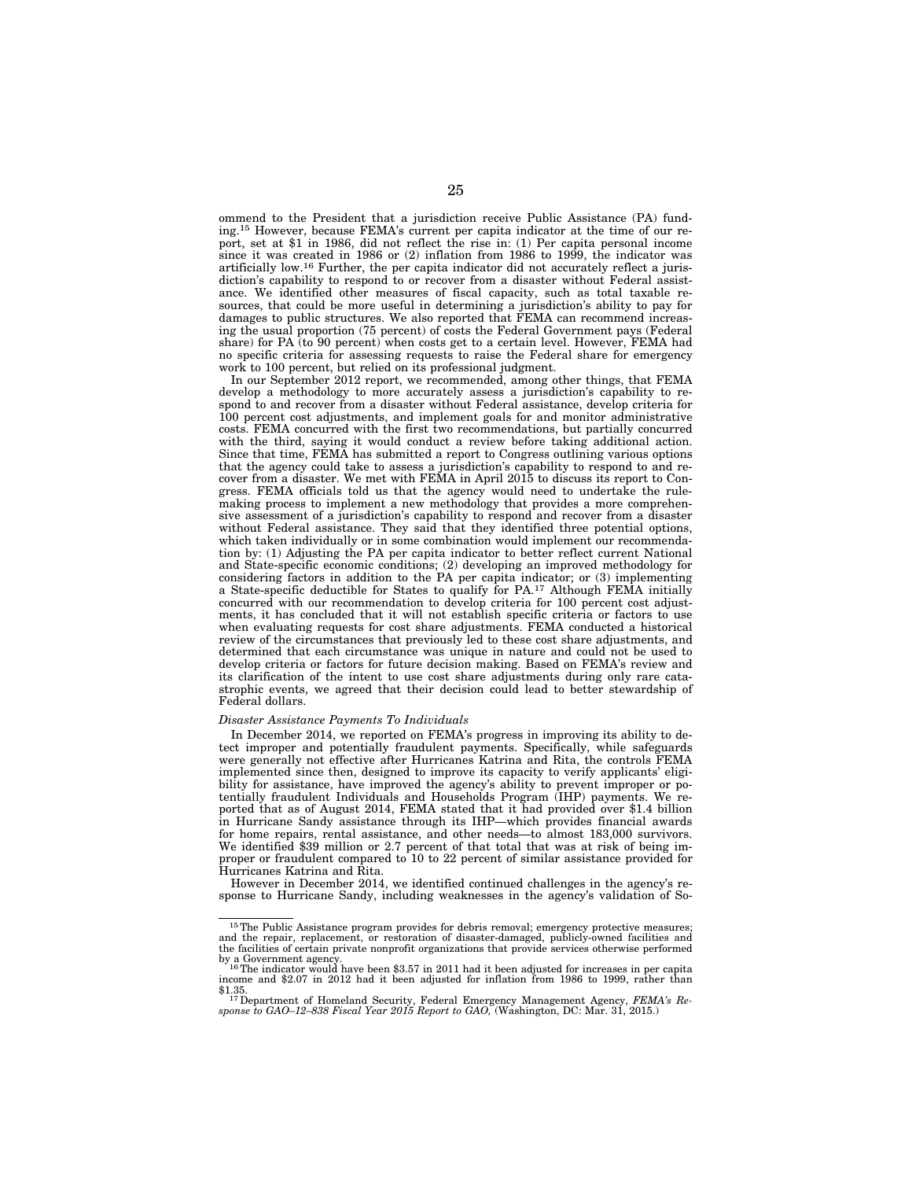ommend to the President that a jurisdiction receive Public Assistance (PA) funding.15 However, because FEMA's current per capita indicator at the time of our report, set at \$1 in 1986, did not reflect the rise in: (1) Per capita personal income since it was created in 1986 or (2) inflation from 1986 to 1999, the indicator was artificially low.16 Further, the per capita indicator did not accurately reflect a jurisdiction's capability to respond to or recover from a disaster without Federal assistance. We identified other measures of fiscal capacity, such as total taxable resources, that could be more useful in determining a jurisdiction's ability to pay for damages to public structures. We also reported that FEMA can recommend increasing the usual proportion (75 percent) of costs the Federal Government pays (Federal share) for PA (to 90 percent) when costs get to a certain level. However, FEMA had no specific criteria for assessing requests to raise the Federal share for emergency work to 100 percent, but relied on its professional judgment.

In our September 2012 report, we recommended, among other things, that FEMA develop a methodology to more accurately assess a jurisdiction's capability to respond to and recover from a disaster without Federal assistance, develop criteria for 100 percent cost adjustments, and implement goals for and monitor administrative costs. FEMA concurred with the first two recommendations, but partially concurred with the third, saying it would conduct a review before taking additional action. Since that time, FEMA has submitted a report to Congress outlining various options that the agency could take to assess a jurisdiction's capability to respond to and recover from a disaster. We met with FEMA in April 2015 to discuss its report to Congress. FEMA officials told us that the agency would need to undertake the rulemaking process to implement a new methodology that provides a more comprehensive assessment of a jurisdiction's capability to respond and recover from a disaster without Federal assistance. They said that they identified three potential options, which taken individually or in some combination would implement our recommendation by: (1) Adjusting the PA per capita indicator to better reflect current National and State-specific economic conditions; (2) developing an improved methodology for considering factors in addition to the PA per capita indicator; or (3) implementing a State-specific deductible for States to qualify for PA.<sup>17</sup> Although FEMA initially concurred with our recommendation to develop criteria for 100 percent cost adjustments, it has concluded that it will not establish specific criteria or factors to use when evaluating requests for cost share adjustments. FEMA conducted a historical review of the circumstances that previously led to these cost share adjustments, and determined that each circumstance was unique in nature and could not be used to develop criteria or factors for future decision making. Based on FEMA's review and its clarification of the intent to use cost share adjustments during only rare catastrophic events, we agreed that their decision could lead to better stewardship of Federal dollars.

## *Disaster Assistance Payments To Individuals*

In December 2014, we reported on FEMA's progress in improving its ability to detect improper and potentially fraudulent payments. Specifically, while safeguards were generally not effective after Hurricanes Katrina and Rita, the controls FEMA implemented since then, designed to improve its capacity to verify applicants' eligibility for assistance, have improved the agency's ability to prevent improper or potentially fraudulent Individuals and Households Program (IHP) payments. We reported that as of August 2014, FEMA stated that it had provided over \$1.4 billion in Hurricane Sandy assistance through its IHP—which provides financial awards for home repairs, rental assistance, and other needs—to almost 183,000 survivors. We identified \$39 million or 2.7 percent of that total that was at risk of being improper or fraudulent compared to 10 to 22 percent of similar assistance provided for Hurricanes Katrina and Rita.

However in December 2014, we identified continued challenges in the agency's response to Hurricane Sandy, including weaknesses in the agency's validation of So-

<sup>&</sup>lt;sup>15</sup>The Public Assistance program provides for debris removal; emergency protective measures; and the repair, replacement, or restoration of disaster-damaged, publicly-owned facilities and the facilities of certain private nonprofit organizations that provide services otherwise performed

by a Government agency.<br><sup>16</sup>The indicator would have been \$3.57 in 2011 had it been adjusted for increases in per capita<br><sup>income</sup> and \$2.07 in 2012 had it been adjusted for inflation from 1986 to 1999, rather than

<sup>\$1.35. 17</sup>Department of Homeland Security, Federal Emergency Management Agency, *FEMA's Re-sponse to GAO–12–838 Fiscal Year 2015 Report to GAO,* (Washington, DC: Mar. 31, 2015.)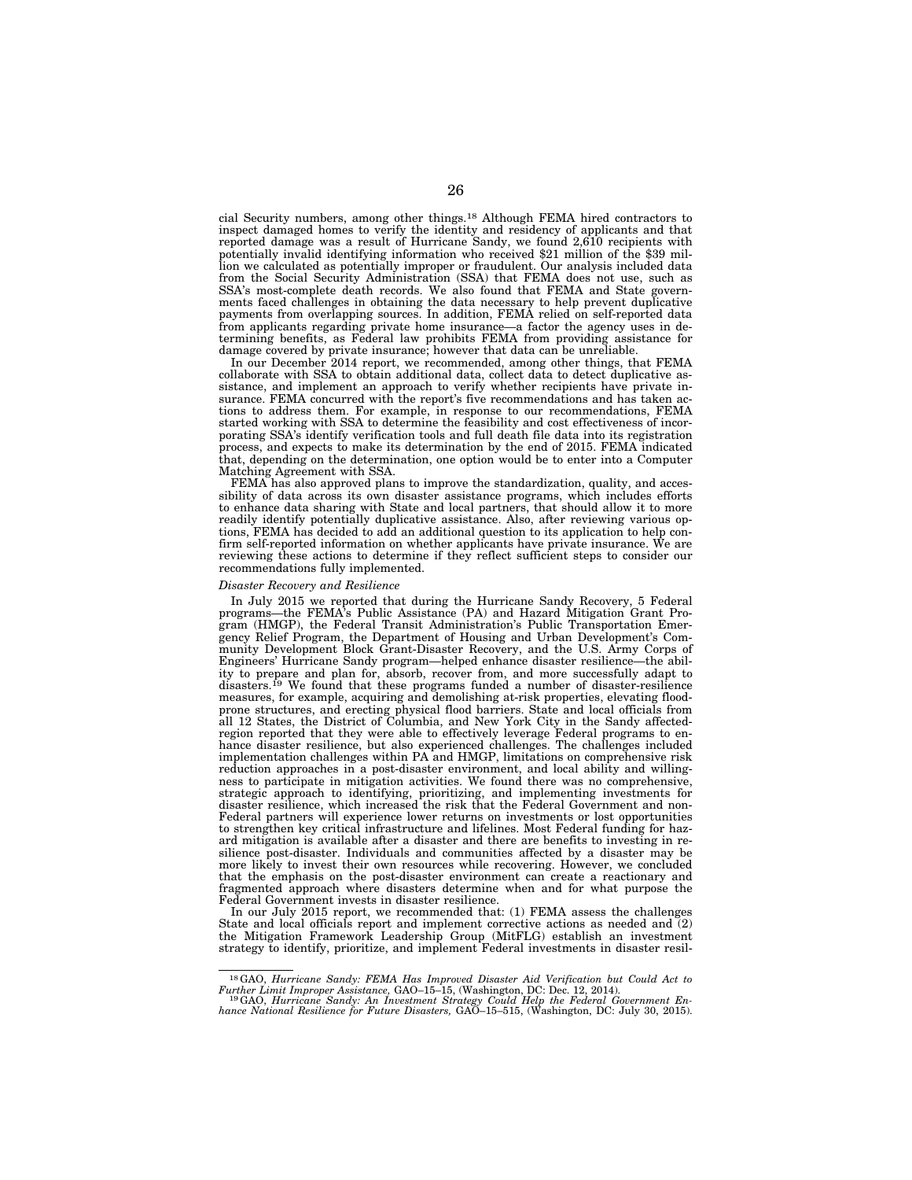cial Security numbers, among other things.18 Although FEMA hired contractors to inspect damaged homes to verify the identity and residency of applicants and that reported damage was a result of Hurricane Sandy, we found 2,610 recipients with potentially invalid identifying information who received \$21 million of the \$39 million we calculated as potentially improper or fraudulent. Our analysis included data from the Social Security Administration (SSA) that FEMA does not use, such as SSA's most-complete death records. We also found that FEMA and State governments faced challenges in obtaining the data necessary to help prevent duplicative payments from overlapping sources. In addition, FEMA relied on self-reported data from applicants regarding private home insurance—a factor the agency uses in determining benefits, as Federal law prohibits FEMA from providing assistance for damage covered by private insurance; however that data can be unreliable.

In our December 2014 report, we recommended, among other things, that FEMA collaborate with SSA to obtain additional data, collect data to detect duplicative assistance, and implement an approach to verify whether recipients have private insurance. FEMA concurred with the report's five recommendations and has taken actions to address them. For example, in response to our recommendations, FEMA started working with SSA to determine the feasibility and cost effectiveness of incorporating SSA's identify verification tools and full death file data into its registration process, and expects to make its determination by the end of 2015. FEMA indicated that, depending on the determination, one option would be to enter into a Computer Matching Agreement with SSA.

FEMA has also approved plans to improve the standardization, quality, and accessibility of data across its own disaster assistance programs, which includes efforts to enhance data sharing with State and local partners, that should allow it to more readily identify potentially duplicative assistance. Also, after reviewing various options, FEMA has decided to add an additional question to its application to help confirm self-reported information on whether applicants have private insurance. We are reviewing these actions to determine if they reflect sufficient steps to consider our recommendations fully implemented.

#### *Disaster Recovery and Resilience*

In July 2015 we reported that during the Hurricane Sandy Recovery, 5 Federal programs—the FEMA's Public Assistance (PA) and Hazard Mitigation Grant Program (HMGP), the Federal Transit Administration's Public Transportation Emergency Relief Program, the Department of Housing and Urban Development's Community Development Block Grant-Disaster Recovery, and the U.S. Army Corps of Engineers' Hurricane Sandy program—helped enhance disaster resilience—the ability to prepare and plan for, absorb, recover from, and more successfully adapt to disasters.<sup>19</sup> We found that these programs funded a number of disaster-resilience measures, for example, acquiring and demolishing at-risk properties, elevating floodprone structures, and erecting physical flood barriers. State and local officials from all 12 States, the District of Columbia, and New York City in the Sandy affectedregion reported that they were able to effectively leverage Federal programs to enhance disaster resilience, but also experienced challenges. The challenges included implementation challenges within PA and HMGP, limitations on comprehensive risk reduction approaches in a post-disaster environment, and local ability and willingness to participate in mitigation activities. We found there was no comprehensive, strategic approach to identifying, prioritizing, and implementing investments for disaster resilience, which increased the risk that the Federal Government and non-Federal partners will experience lower returns on investments or lost opportunities to strengthen key critical infrastructure and lifelines. Most Federal funding for hazard mitigation is available after a disaster and there are benefits to investing in resilience post-disaster. Individuals and communities affected by a disaster may be more likely to invest their own resources while recovering. However, we concluded that the emphasis on the post-disaster environment can create a reactionary and fragmented approach where disasters determine when and for what purpose the Federal Government invests in disaster resilience.

In our July 2015 report, we recommended that: (1) FEMA assess the challenges State and local officials report and implement corrective actions as needed and (2) the Mitigation Framework Leadership Group (MitFLG) establish an investment strategy to identify, prioritize, and implement Federal investments in disaster resil-

<sup>&</sup>lt;sup>18</sup>GAO, *Hurricane Sandy: FEMA Has Improved Disaster Aid Verification but Could Act to Further Limit Improper Assistance, GAO-15-15, (Washington, DC: Dec. 12, 2014).* 

Further Limit Improper Assistance, GAO–15–15, (Washington, DC: Dec. 12, 2014).<br><sup>19</sup>GAO, *Hurricane Sandy: An Investment Strategy Could Help the Federal Government En-<br>hance National Resilience for Future Disasters, GAO–15–*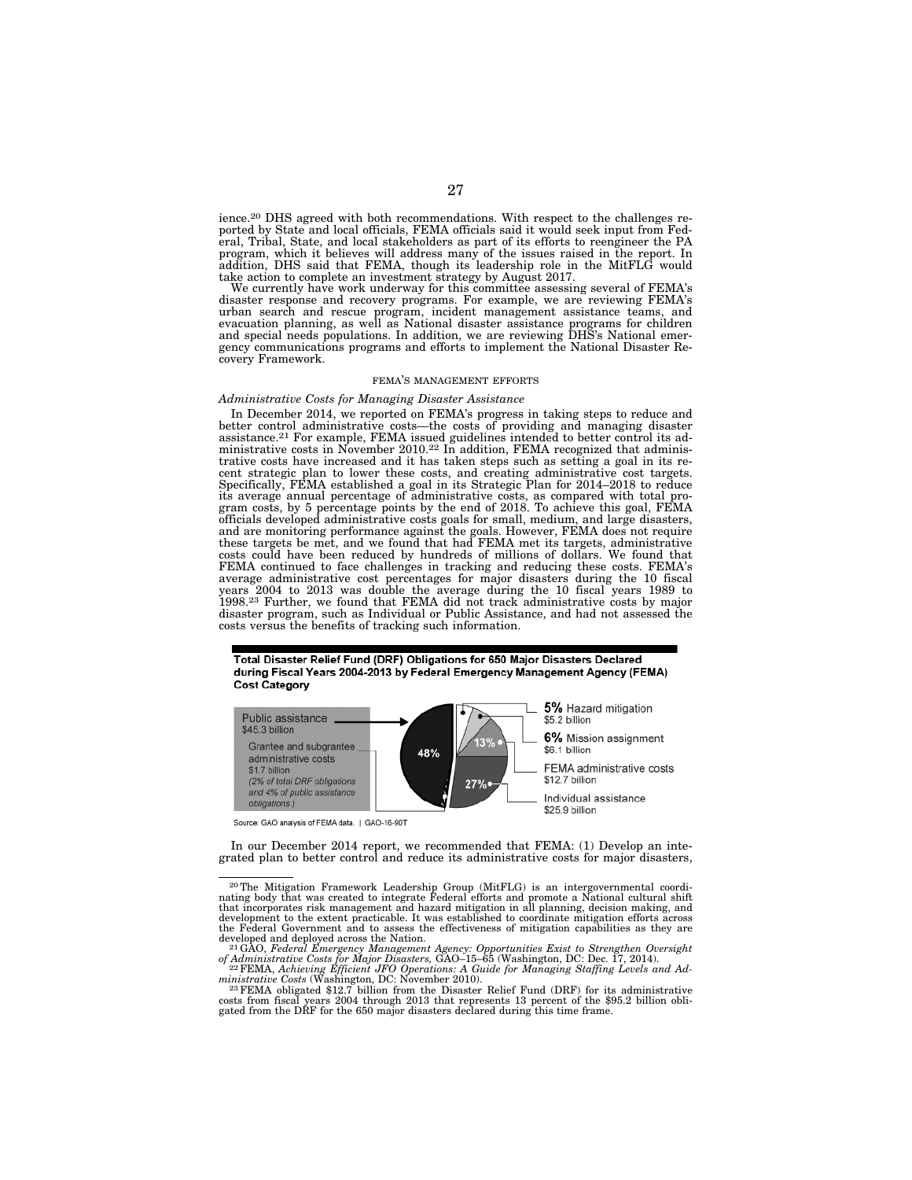ience.20 DHS agreed with both recommendations. With respect to the challenges reported by State and local officials, FEMA officials said it would seek input from Federal, Tribal, State, and local stakeholders as part of its efforts to reengineer the PA program, which it believes will address many of the issues raised in the report. In addition, DHS said that FEMA, though its leadership role in the MitFLG would take action to complete an investment strategy by August 2017.

We currently have work underway for this committee assessing several of FEMA's disaster response and recovery programs. For example, we are reviewing FEMA's urban search and rescue program, incident management assistance teams, and<br>evacuation planning, as well as National disaster assistance programs for children<br>and special needs populations. In addition, we are reviewing DHS gency communications programs and efforts to implement the National Disaster Recovery Framework.

#### FEMA'S MANAGEMENT EFFORTS

### *Administrative Costs for Managing Disaster Assistance*

In December 2014, we reported on FEMA's progress in taking steps to reduce and better control administrative costs—the costs of providing and managing disaster assistance.<sup>21</sup> For example, FEMA issued guidelines intended to better control its administrative costs in November 2010.<sup>22</sup> In addition, FEMA recognized that administrative costs have increased and it has taken steps such as setting a goal in its recent strategic plan to lower these costs, and creating administrative cost targets. Specifically, FEMA established a goal in its Strategic Plan for 2014–2018 to reduce its average annual percentage of administrative costs, as compared with total pro-gram costs, by 5 percentage points by the end of 2018. To achieve this goal, FEMA officials developed administrative costs goals for small, medium, and large disasters,<br>and are monitoring performance against the goals. However, FEMA does not require<br>these targets be met, and we found that had FEMA met i FEMA continued to face challenges in tracking and reducing these costs. FEMA's average administrative cost percentages for major disasters during the 10 fiscal years 2004 to 2013 was double the average during the 10 fiscal years 1989 to 1998.23 Further, we found that FEMA did not track administrative costs by major disaster program, such as Individual or Public Assistance, and had not assessed the costs versus the benefits of tracking such information.

Total Disaster Relief Fund (DRF) Obligations for 650 Major Disasters Declared during Fiscal Years 2004-2013 by Federal Emergency Management Agency (FEMA) **Cost Category** 



Source: GAO analysis of FEMA data. | GAO-16-90T

In our December 2014 report, we recommended that FEMA: (1) Develop an integrated plan to better control and reduce its administrative costs for major disasters,

developed and deployed across the Nation.<br><sup>21</sup>GAO, *Federal Emergency Management Agency: Opportunities Exist to Strengthen Oversight* of Administrative Costs for Major Disasters, GAO–15–65 (Washington, DC: Dec. 17, 2014).<br><sup>22</sup> FEMA, Achieving Efficient JFO Operations: A Guide for Managing Staffing Levels and Ad-

ministrative Costs (Washington, DC: November 2010).<br><sup>23</sup> FEMA obligated \$12.7 billion from the Disaster Relief Fund (DRF) for its administrative costs from fiscal years 2004 through 2013 that represents 13 percent of the

<sup>20</sup>The Mitigation Framework Leadership Group (MitFLG) is an intergovernmental coordi-nating body that was created to integrate Federal efforts and promote a National cultural shift that incorporates risk management and hazard mitigation in all planning, decision making, and development to the extent practicable. It was established to coordinate mitigation efforts across the Federal Government and to assess the effectiveness of mitigation capabilities as they are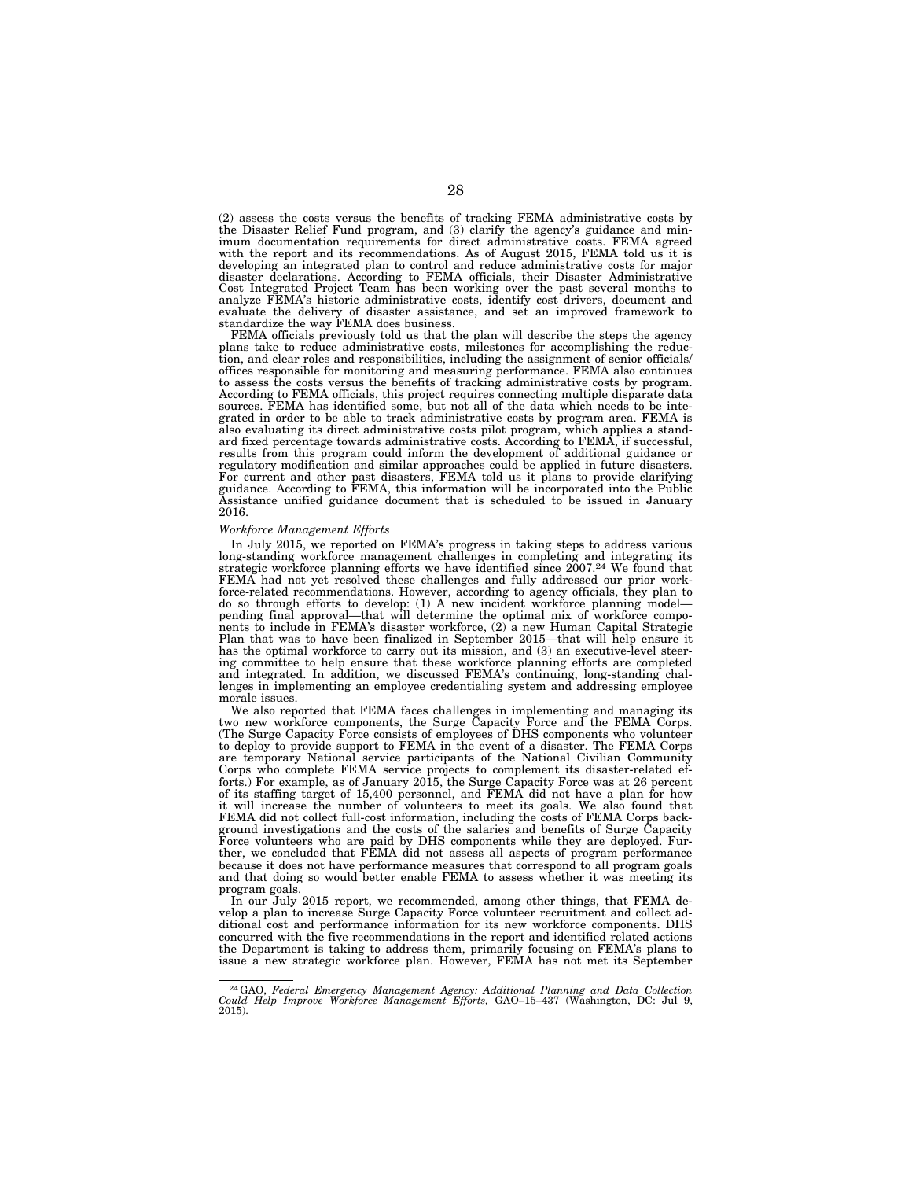(2) assess the costs versus the benefits of tracking FEMA administrative costs by the Disaster Relief Fund program, and (3) clarify the agency's guidance and minimum documentation requirements for direct administrative costs. FEMA agreed with the report and its recommendations. As of August 2015, FEMA told us it is developing an integrated plan to control and reduce administrative costs for major disaster declarations. According to FEMA officials, their Disaster Administrative Cost Integrated Project Team has been working over the past several months to analyze FEMA's historic administrative costs, identify cost drivers, document and evaluate the delivery of disaster assistance, and set an improved framework to standardize the way FEMA does business.

FEMA officials previously told us that the plan will describe the steps the agency plans take to reduce administrative costs, milestones for accomplishing the reduction, and clear roles and responsibilities, including the assignment of senior officials/ offices responsible for monitoring and measuring performance. FEMA also continues to assess the costs versus the benefits of tracking administrative costs by program. According to FEMA officials, this project requires connecting multiple disparate data sources. FEMA has identified some, but not all of the data which needs to be integrated in order to be able to track administrative costs by program area. FEMA is also evaluating its direct administrative costs pilot program, which applies a standard fixed percentage towards administrative costs. According to FEMA, if successful, results from this program could inform the development of additional guidance or regulatory modification and similar approaches could be applied in future disasters. For current and other past disasters, FEMA told us it plans to provide clarifying guidance. According to FEMA, this information will be incorporated into the Public Assistance unified guidance document that is scheduled to be issued in January 2016.

## *Workforce Management Efforts*

In July 2015, we reported on FEMA's progress in taking steps to address various long-standing workforce management challenges in completing and integrating its strategic workforce planning efforts we have identified since 2007.24 We found that FEMA had not yet resolved these challenges and fully addressed our prior workforce-related recommendations. However, according to agency officials, they plan to do so through efforts to develop: (1) A new incident workforce planning model— pending final approval—that will determine the optimal mix of workforce components to include in FEMA's disaster workforce, (2) a new Human Capital Strategic Plan that was to have been finalized in September 2015—that will help ensure it has the optimal workforce to carry out its mission, and (3) an executive-level steering committee to help ensure that these workforce planning efforts are completed and integrated. In addition, we discussed FEMA's continuing, long-standing challenges in implementing an employee credentialing system and addressing employee morale issues.

We also reported that FEMA faces challenges in implementing and managing its two new workforce components, the Surge Capacity Force and the FEMA Corps. (The Surge Capacity Force consists of employees of DHS components who volunteer to deploy to provide support to FEMA in the event of a disaster. The FEMA Corps are temporary National service participants of the National Civilian Community Corps who complete FEMA service projects to complement its disaster-related efforts.) For example, as of January 2015, the Surge Capacity Force was at 26 percent of its staffing target of 15,400 personnel, and FEMA did not have a plan for how it will increase the number of volunteers to meet its goals. We also found that FEMA did not collect full-cost information, including the costs of FEMA Corps background investigations and the costs of the salaries and benefits of Surge Capacity Force volunteers who are paid by DHS components while they are deployed. Further, we concluded that FEMA did not assess all aspects of program performance because it does not have performance measures that correspond to all program goals and that doing so would better enable FEMA to assess whether it was meeting its program goals.

In our July 2015 report, we recommended, among other things, that FEMA develop a plan to increase Surge Capacity Force volunteer recruitment and collect additional cost and performance information for its new workforce components. DHS concurred with the five recommendations in the report and identified related actions the Department is taking to address them, primarily focusing on FEMA's plans to issue a new strategic workforce plan. However, FEMA has not met its September

<sup>24</sup>GAO, *Federal Emergency Management Agency: Additional Planning and Data Collection Could Help Improve Workforce Management Efforts,* GAO–15–437 (Washington, DC: Jul 9, 2015).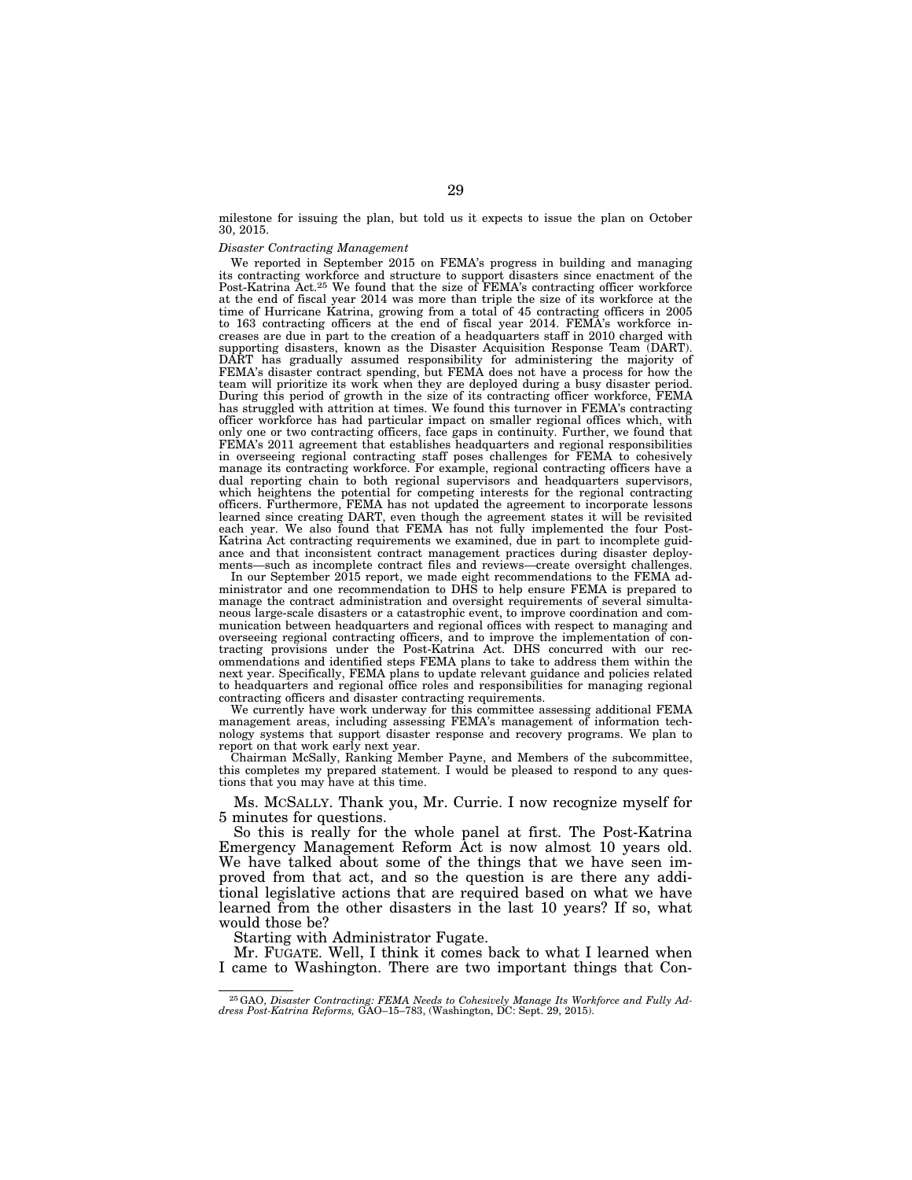milestone for issuing the plan, but told us it expects to issue the plan on October 30, 2015.

#### *Disaster Contracting Management*

We reported in September 2015 on FEMA's progress in building and managing its contracting workforce and structure to support disasters since enactment of the Post-Katrina Act.25 We found that the size of FEMA's contracting officer workforce at the end of fiscal year 2014 was more than triple the size of its workforce at the time of Hurricane Katrina, growing from a total of 45 contracting officers in 2005 to 163 contracting officers at the end of fiscal year 2014. FEMA's workforce increases are due in part to the creation of a headquarters staff in 2010 charged with supporting disasters, known as the Disaster Acquisition Response Team (DART). DART has gradually assumed responsibility for administering the majority of FEMA's disaster contract spending, but FEMA does not have a process for how the team will prioritize its work when they are deployed during a busy disaster period. During this period of growth in the size of its contracting officer workforce, FEMA has struggled with attrition at times. We found this turnover in FEMA's contracting officer workforce has had particular impact on smaller regional offices which, with only one or two contracting officers, face gaps in continuity. Further, we found that FEMA's 2011 agreement that establishes headquarters and regional responsibilities in overseeing regional contracting staff poses challenges for FEMA to cohesively manage its contracting workforce. For example, regional contracting officers have a dual reporting chain to both regional supervisors and headquarters supervisors, which heightens the potential for competing interests for the regional contracting officers. Furthermore, FEMA has not updated the agreement to incorporate lessons learned since creating DART, even though the agreement states it will be revisited each year. We also found that FEMA has not fully implemented the four Post-Katrina Act contracting requirements we examined, due in part to incomplete guidance and that inconsistent contract management practices during disaster deployments—such as incomplete contract files and reviews—create oversight challenges.

In our September 2015 report, we made eight recommendations to the FEMA administrator and one recommendation to DHS to help ensure FEMA is prepared to manage the contract administration and oversight requirements of several simultaneous large-scale disasters or a catastrophic event, to improve coordination and communication between headquarters and regional offices with respect to managing and overseeing regional contracting officers, and to improve the implementation of contracting provisions under the Post-Katrina Act. DHS concurred with our recommendations and identified steps FEMA plans to take to address them within the next year. Specifically, FEMA plans to update relevant guidance and policies related to headquarters and regional office roles and responsibilities for managing regional contracting officers and disaster contracting requirements.

We currently have work underway for this committee assessing additional FEMA management areas, including assessing FEMA's management of information technology systems that support disaster response and recovery programs. We plan to report on that work early next year.

Chairman McSally, Ranking Member Payne, and Members of the subcommittee, this completes my prepared statement. I would be pleased to respond to any questions that you may have at this time.

Ms. MCSALLY. Thank you, Mr. Currie. I now recognize myself for 5 minutes for questions.

So this is really for the whole panel at first. The Post-Katrina Emergency Management Reform Act is now almost 10 years old. We have talked about some of the things that we have seen improved from that act, and so the question is are there any additional legislative actions that are required based on what we have learned from the other disasters in the last 10 years? If so, what would those be?

Starting with Administrator Fugate.

Mr. FUGATE. Well, I think it comes back to what I learned when I came to Washington. There are two important things that Con-

<sup>25</sup>GAO, *Disaster Contracting: FEMA Needs to Cohesively Manage Its Workforce and Fully Ad-dress Post-Katrina Reforms,* GAO–15–783, (Washington, DC: Sept. 29, 2015).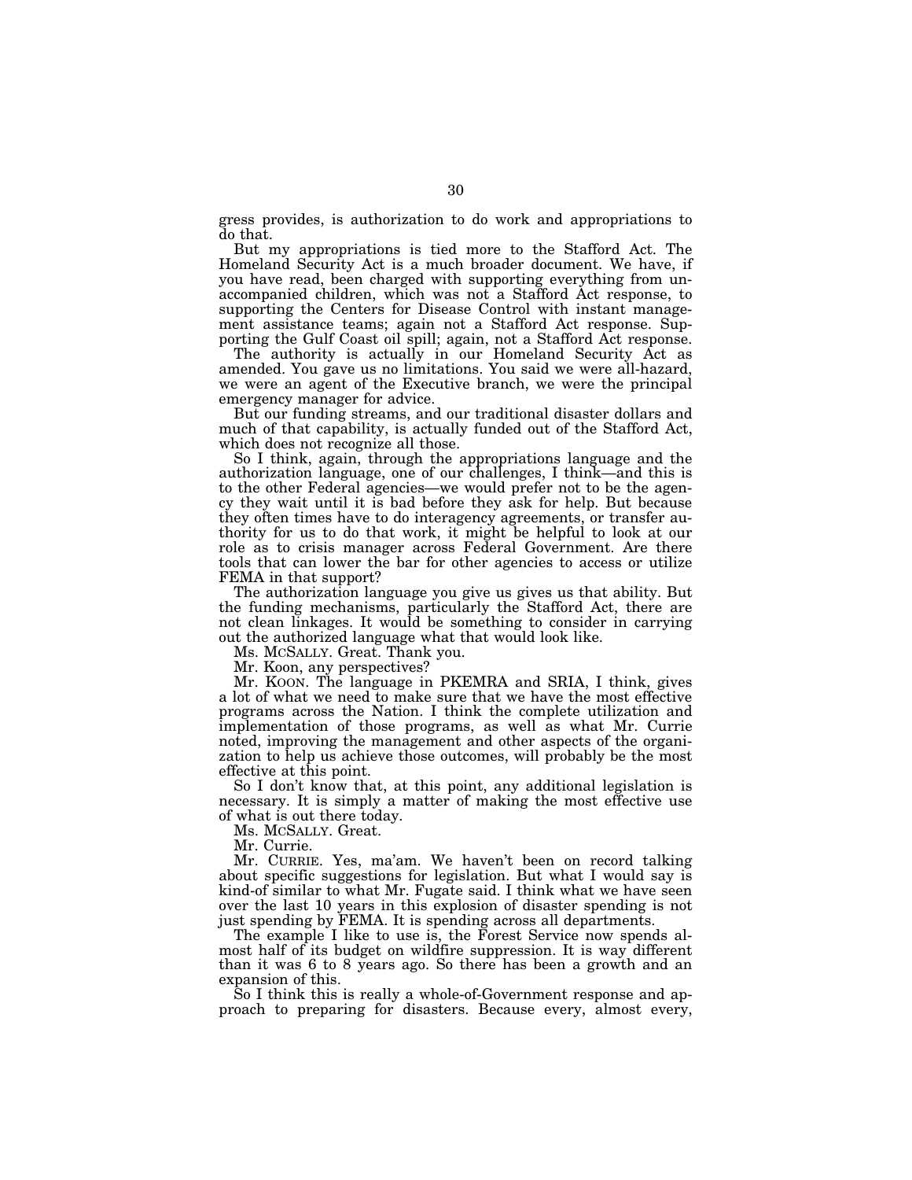gress provides, is authorization to do work and appropriations to do that.

But my appropriations is tied more to the Stafford Act. The Homeland Security Act is a much broader document. We have, if you have read, been charged with supporting everything from unaccompanied children, which was not a Stafford Act response, to supporting the Centers for Disease Control with instant management assistance teams; again not a Stafford Act response. Supporting the Gulf Coast oil spill; again, not a Stafford Act response.

The authority is actually in our Homeland Security Act as amended. You gave us no limitations. You said we were all-hazard, we were an agent of the Executive branch, we were the principal emergency manager for advice.

But our funding streams, and our traditional disaster dollars and much of that capability, is actually funded out of the Stafford Act, which does not recognize all those.

So I think, again, through the appropriations language and the authorization language, one of our challenges, I think—and this is to the other Federal agencies—we would prefer not to be the agency they wait until it is bad before they ask for help. But because they often times have to do interagency agreements, or transfer authority for us to do that work, it might be helpful to look at our role as to crisis manager across Federal Government. Are there tools that can lower the bar for other agencies to access or utilize FEMA in that support?

The authorization language you give us gives us that ability. But the funding mechanisms, particularly the Stafford Act, there are not clean linkages. It would be something to consider in carrying out the authorized language what that would look like.

Ms. MCSALLY. Great. Thank you.

Mr. Koon, any perspectives?

Mr. KOON. The language in PKEMRA and SRIA, I think, gives a lot of what we need to make sure that we have the most effective programs across the Nation. I think the complete utilization and implementation of those programs, as well as what Mr. Currie noted, improving the management and other aspects of the organization to help us achieve those outcomes, will probably be the most effective at this point.

So I don't know that, at this point, any additional legislation is necessary. It is simply a matter of making the most effective use of what is out there today.

Ms. MCSALLY. Great.

Mr. Currie.

Mr. CURRIE. Yes, ma'am. We haven't been on record talking about specific suggestions for legislation. But what I would say is kind-of similar to what Mr. Fugate said. I think what we have seen over the last 10 years in this explosion of disaster spending is not just spending by FEMA. It is spending across all departments.

The example I like to use is, the Forest Service now spends almost half of its budget on wildfire suppression. It is way different than it was 6 to 8 years ago. So there has been a growth and an expansion of this.

So I think this is really a whole-of-Government response and approach to preparing for disasters. Because every, almost every,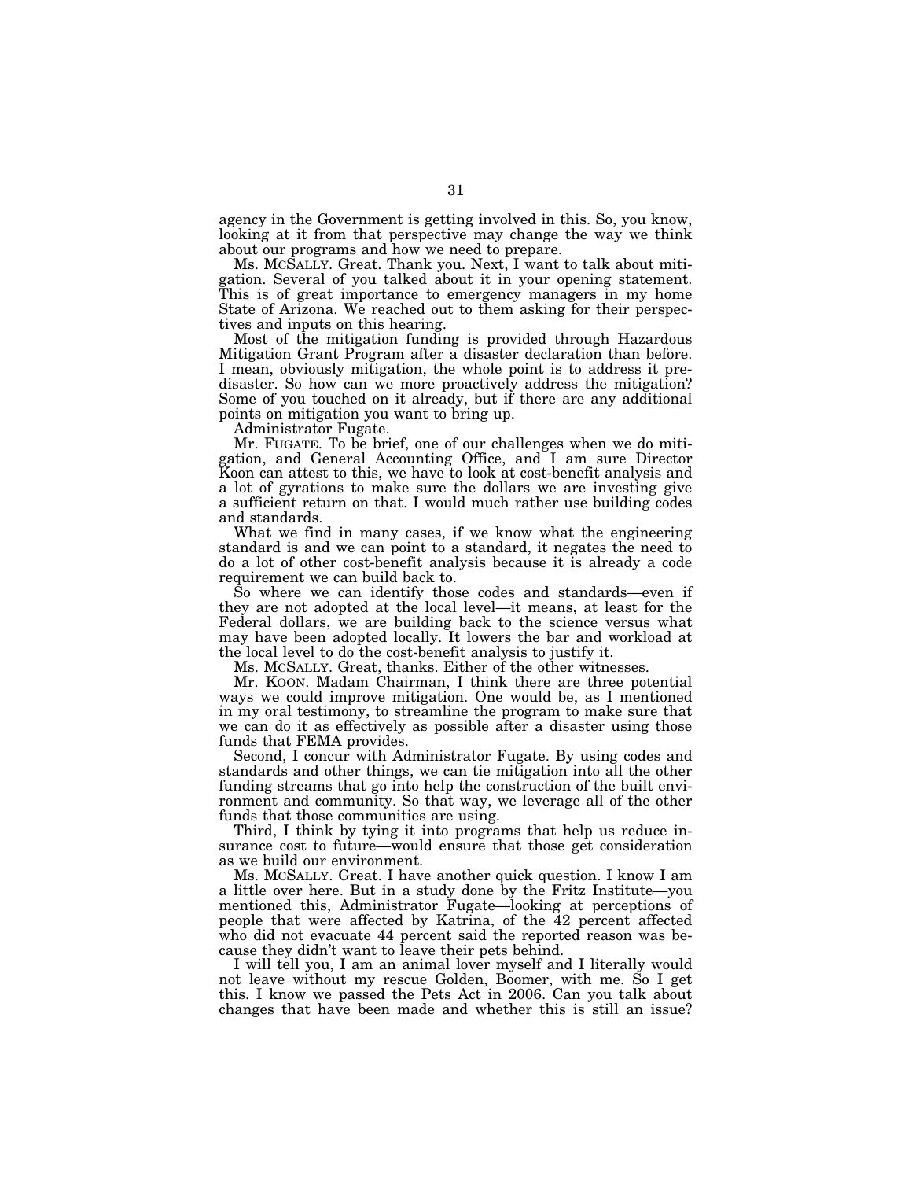agency in the Government is getting involved in this. So, you know, looking at it from that perspective may change the way we think about our programs and how we need to prepare.

Ms. MCSALLY. Great. Thank you. Next, I want to talk about mitigation. Several of you talked about it in your opening statement. This is of great importance to emergency managers in my home State of Arizona. We reached out to them asking for their perspectives and inputs on this hearing.

Most of the mitigation funding is provided through Hazardous Mitigation Grant Program after a disaster declaration than before. I mean, obviously mitigation, the whole point is to address it predisaster. So how can we more proactively address the mitigation? Some of you touched on it already, but if there are any additional points on mitigation you want to bring up.

Administrator Fugate.

Mr. FUGATE. To be brief, one of our challenges when we do mitigation, and General Accounting Office, and I am sure Director Koon can attest to this, we have to look at cost-benefit analysis and a lot of gyrations to make sure the dollars we are investing give a sufficient return on that. I would much rather use building codes and standards.

What we find in many cases, if we know what the engineering standard is and we can point to a standard, it negates the need to do a lot of other cost-benefit analysis because it is already a code requirement we can build back to.

So where we can identify those codes and standards—even if they are not adopted at the local level—it means, at least for the Federal dollars, we are building back to the science versus what may have been adopted locally. It lowers the bar and workload at the local level to do the cost-benefit analysis to justify it.

Ms. MCSALLY. Great, thanks. Either of the other witnesses.

Mr. KOON. Madam Chairman, I think there are three potential ways we could improve mitigation. One would be, as I mentioned in my oral testimony, to streamline the program to make sure that we can do it as effectively as possible after a disaster using those funds that FEMA provides.

Second, I concur with Administrator Fugate. By using codes and standards and other things, we can tie mitigation into all the other funding streams that go into help the construction of the built environment and community. So that way, we leverage all of the other funds that those communities are using.

Third, I think by tying it into programs that help us reduce insurance cost to future—would ensure that those get consideration as we build our environment.

Ms. MCSALLY. Great. I have another quick question. I know I am a little over here. But in a study done by the Fritz Institute—you mentioned this, Administrator Fugate—looking at perceptions of people that were affected by Katrina, of the 42 percent affected who did not evacuate 44 percent said the reported reason was because they didn't want to leave their pets behind.

I will tell you, I am an animal lover myself and I literally would not leave without my rescue Golden, Boomer, with me. So I get this. I know we passed the Pets Act in 2006. Can you talk about changes that have been made and whether this is still an issue?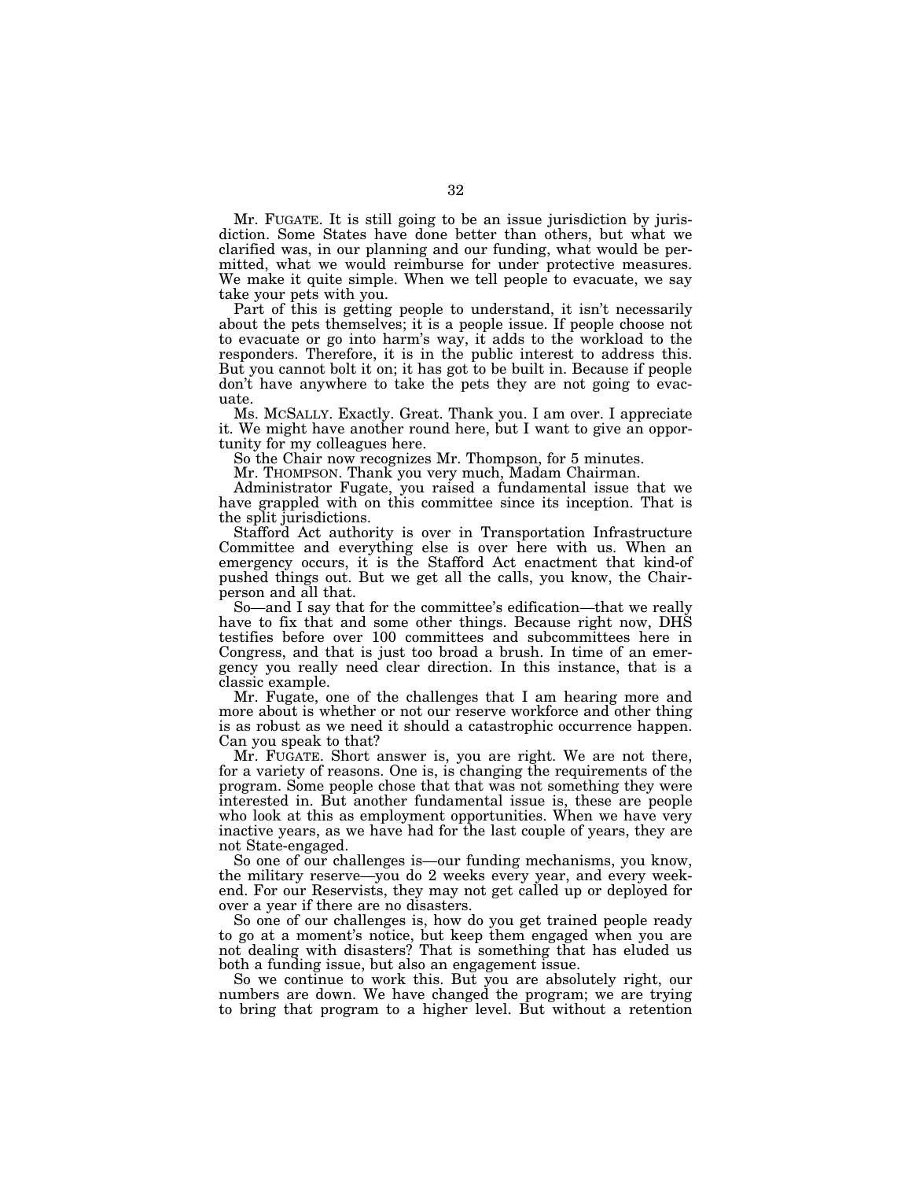Mr. FUGATE. It is still going to be an issue jurisdiction by jurisdiction. Some States have done better than others, but what we clarified was, in our planning and our funding, what would be permitted, what we would reimburse for under protective measures. We make it quite simple. When we tell people to evacuate, we say take your pets with you.

Part of this is getting people to understand, it isn't necessarily about the pets themselves; it is a people issue. If people choose not to evacuate or go into harm's way, it adds to the workload to the responders. Therefore, it is in the public interest to address this. But you cannot bolt it on; it has got to be built in. Because if people don't have anywhere to take the pets they are not going to evacuate.

Ms. MCSALLY. Exactly. Great. Thank you. I am over. I appreciate it. We might have another round here, but I want to give an opportunity for my colleagues here.

So the Chair now recognizes Mr. Thompson, for 5 minutes.

Mr. THOMPSON. Thank you very much, Madam Chairman.

Administrator Fugate, you raised a fundamental issue that we have grappled with on this committee since its inception. That is the split jurisdictions.

Stafford Act authority is over in Transportation Infrastructure Committee and everything else is over here with us. When an emergency occurs, it is the Stafford Act enactment that kind-of pushed things out. But we get all the calls, you know, the Chairperson and all that.

So—and I say that for the committee's edification—that we really have to fix that and some other things. Because right now, DHS testifies before over 100 committees and subcommittees here in Congress, and that is just too broad a brush. In time of an emergency you really need clear direction. In this instance, that is a classic example.

Mr. Fugate, one of the challenges that I am hearing more and more about is whether or not our reserve workforce and other thing is as robust as we need it should a catastrophic occurrence happen. Can you speak to that?

Mr. FUGATE. Short answer is, you are right. We are not there, for a variety of reasons. One is, is changing the requirements of the program. Some people chose that that was not something they were interested in. But another fundamental issue is, these are people who look at this as employment opportunities. When we have very inactive years, as we have had for the last couple of years, they are not State-engaged.

So one of our challenges is—our funding mechanisms, you know, the military reserve—you do 2 weeks every year, and every weekend. For our Reservists, they may not get called up or deployed for over a year if there are no disasters.

So one of our challenges is, how do you get trained people ready to go at a moment's notice, but keep them engaged when you are not dealing with disasters? That is something that has eluded us both a funding issue, but also an engagement issue.

So we continue to work this. But you are absolutely right, our numbers are down. We have changed the program; we are trying to bring that program to a higher level. But without a retention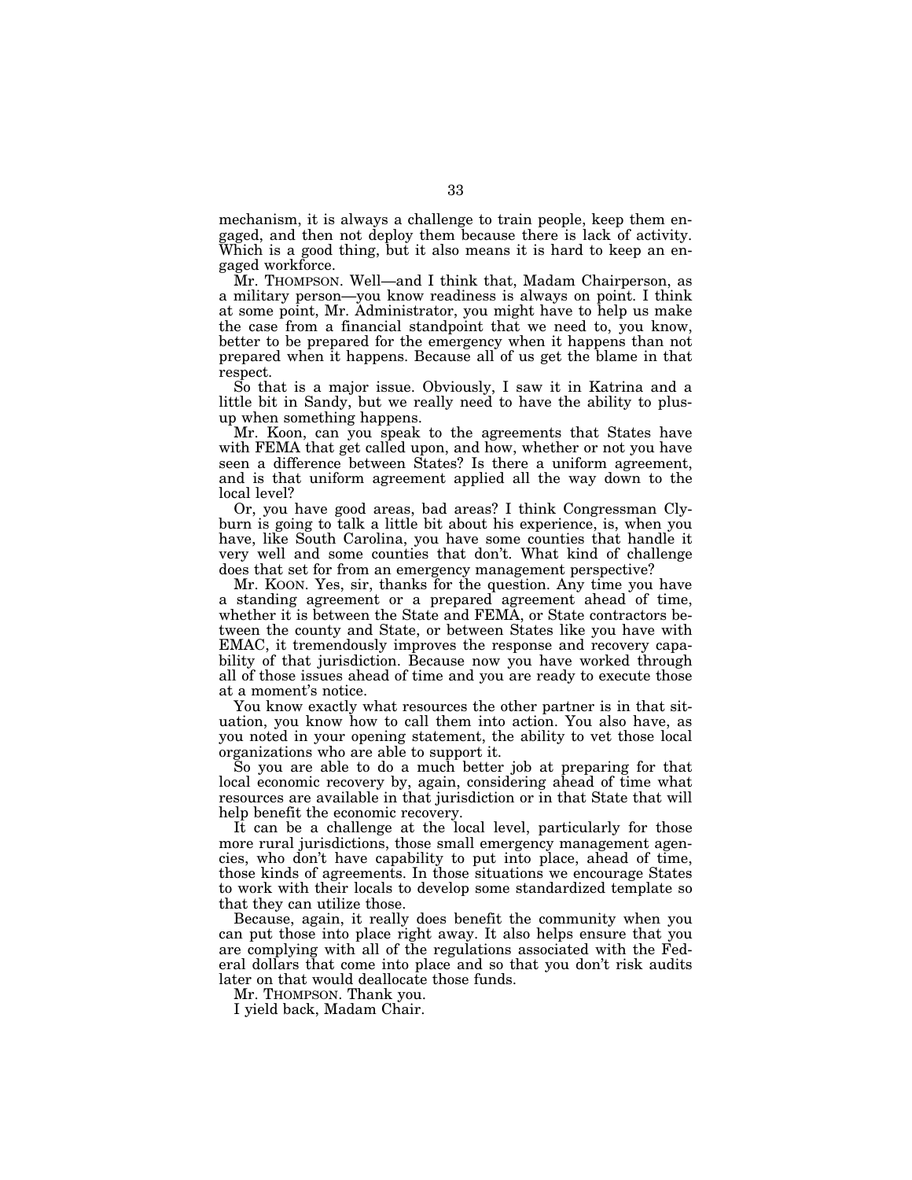mechanism, it is always a challenge to train people, keep them engaged, and then not deploy them because there is lack of activity. Which is a good thing, but it also means it is hard to keep an engaged workforce.

Mr. THOMPSON. Well—and I think that, Madam Chairperson, as a military person—you know readiness is always on point. I think at some point, Mr. Administrator, you might have to help us make the case from a financial standpoint that we need to, you know, better to be prepared for the emergency when it happens than not prepared when it happens. Because all of us get the blame in that respect.

So that is a major issue. Obviously, I saw it in Katrina and a little bit in Sandy, but we really need to have the ability to plusup when something happens.

Mr. Koon, can you speak to the agreements that States have with FEMA that get called upon, and how, whether or not you have seen a difference between States? Is there a uniform agreement, and is that uniform agreement applied all the way down to the local level?

Or, you have good areas, bad areas? I think Congressman Clyburn is going to talk a little bit about his experience, is, when you have, like South Carolina, you have some counties that handle it very well and some counties that don't. What kind of challenge does that set for from an emergency management perspective?

Mr. KOON. Yes, sir, thanks for the question. Any time you have a standing agreement or a prepared agreement ahead of time, whether it is between the State and FEMA, or State contractors between the county and State, or between States like you have with EMAC, it tremendously improves the response and recovery capability of that jurisdiction. Because now you have worked through all of those issues ahead of time and you are ready to execute those at a moment's notice.

You know exactly what resources the other partner is in that situation, you know how to call them into action. You also have, as you noted in your opening statement, the ability to vet those local organizations who are able to support it.

So you are able to do a much better job at preparing for that local economic recovery by, again, considering ahead of time what resources are available in that jurisdiction or in that State that will help benefit the economic recovery.

It can be a challenge at the local level, particularly for those more rural jurisdictions, those small emergency management agencies, who don't have capability to put into place, ahead of time, those kinds of agreements. In those situations we encourage States to work with their locals to develop some standardized template so that they can utilize those.

Because, again, it really does benefit the community when you can put those into place right away. It also helps ensure that you are complying with all of the regulations associated with the Federal dollars that come into place and so that you don't risk audits later on that would deallocate those funds.

Mr. THOMPSON. Thank you.

I yield back, Madam Chair.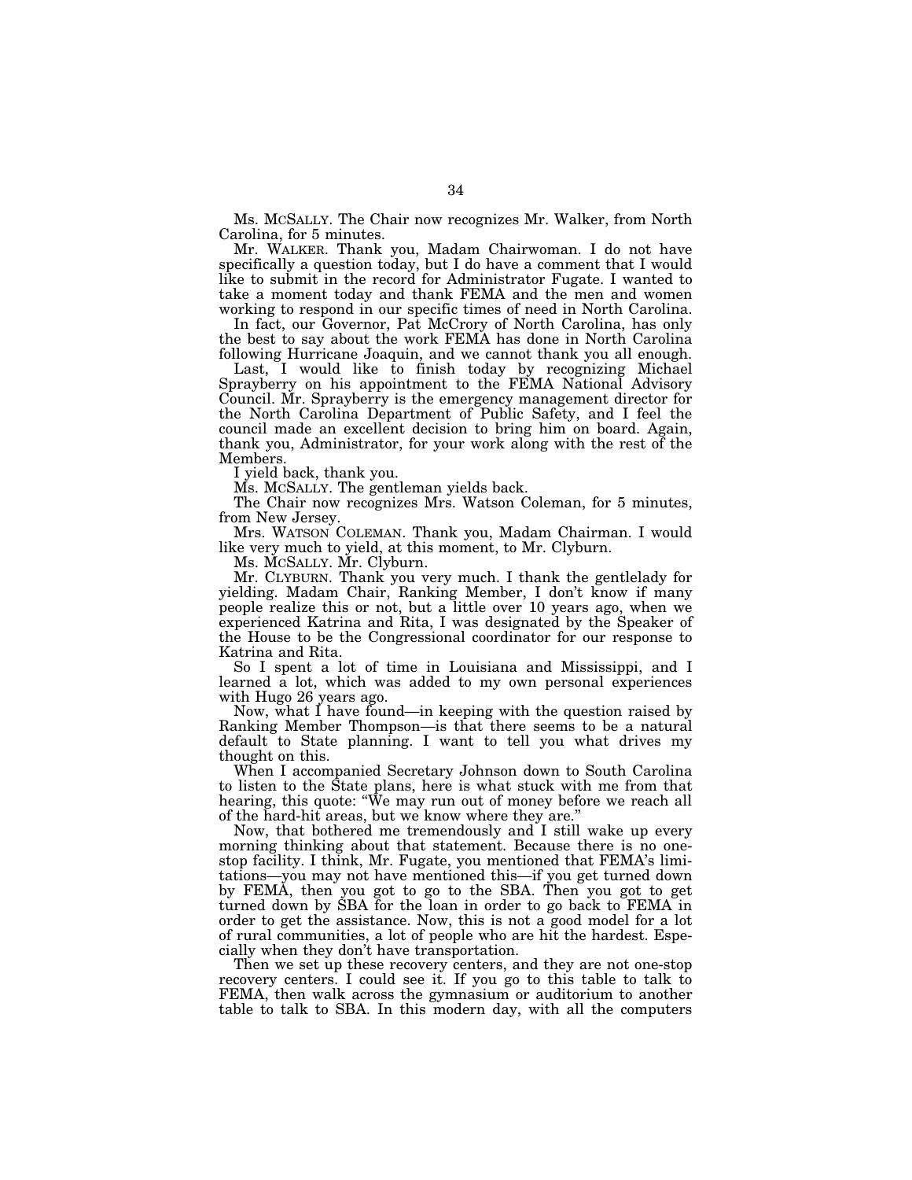Ms. MCSALLY. The Chair now recognizes Mr. Walker, from North Carolina, for 5 minutes.

Mr. WALKER. Thank you, Madam Chairwoman. I do not have specifically a question today, but I do have a comment that I would like to submit in the record for Administrator Fugate. I wanted to take a moment today and thank FEMA and the men and women working to respond in our specific times of need in North Carolina.

In fact, our Governor, Pat McCrory of North Carolina, has only the best to say about the work FEMA has done in North Carolina following Hurricane Joaquin, and we cannot thank you all enough.

Last, I would like to finish today by recognizing Michael Sprayberry on his appointment to the FEMA National Advisory Council. Mr. Sprayberry is the emergency management director for the North Carolina Department of Public Safety, and I feel the council made an excellent decision to bring him on board. Again, thank you, Administrator, for your work along with the rest of the Members.

I yield back, thank you.

Ms. MCSALLY. The gentleman yields back.

The Chair now recognizes Mrs. Watson Coleman, for 5 minutes, from New Jersey.

Mrs. WATSON COLEMAN. Thank you, Madam Chairman. I would like very much to yield, at this moment, to Mr. Clyburn.

Ms. MCSALLY. Mr. Clyburn.

Mr. CLYBURN. Thank you very much. I thank the gentlelady for yielding. Madam Chair, Ranking Member, I don't know if many people realize this or not, but a little over 10 years ago, when we experienced Katrina and Rita, I was designated by the Speaker of the House to be the Congressional coordinator for our response to Katrina and Rita.

So I spent a lot of time in Louisiana and Mississippi, and I learned a lot, which was added to my own personal experiences with Hugo 26 years ago.

Now, what I have found—in keeping with the question raised by Ranking Member Thompson—is that there seems to be a natural default to State planning. I want to tell you what drives my thought on this.

When I accompanied Secretary Johnson down to South Carolina to listen to the State plans, here is what stuck with me from that hearing, this quote: "We may run out of money before we reach all of the hard-hit areas, but we know where they are.''

Now, that bothered me tremendously and I still wake up every morning thinking about that statement. Because there is no onestop facility. I think, Mr. Fugate, you mentioned that FEMA's limitations—you may not have mentioned this—if you get turned down by FEMA, then you got to go to the SBA. Then you got to get turned down by SBA for the loan in order to go back to FEMA in order to get the assistance. Now, this is not a good model for a lot of rural communities, a lot of people who are hit the hardest. Especially when they don't have transportation.

Then we set up these recovery centers, and they are not one-stop recovery centers. I could see it. If you go to this table to talk to FEMA, then walk across the gymnasium or auditorium to another table to talk to SBA. In this modern day, with all the computers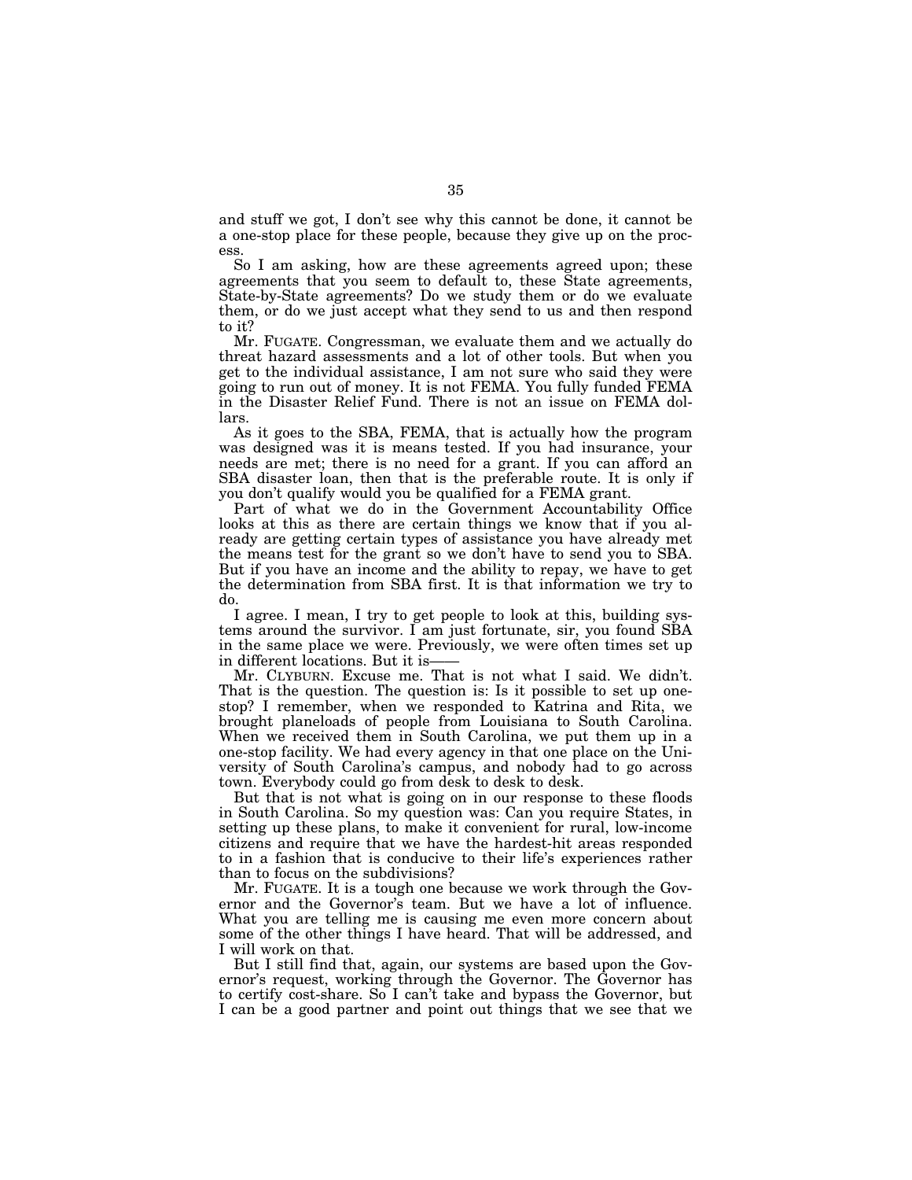and stuff we got, I don't see why this cannot be done, it cannot be a one-stop place for these people, because they give up on the process.

So I am asking, how are these agreements agreed upon; these agreements that you seem to default to, these State agreements, State-by-State agreements? Do we study them or do we evaluate them, or do we just accept what they send to us and then respond to it?

Mr. FUGATE. Congressman, we evaluate them and we actually do threat hazard assessments and a lot of other tools. But when you get to the individual assistance, I am not sure who said they were going to run out of money. It is not FEMA. You fully funded FEMA in the Disaster Relief Fund. There is not an issue on FEMA dollars.

As it goes to the SBA, FEMA, that is actually how the program was designed was it is means tested. If you had insurance, your needs are met; there is no need for a grant. If you can afford an SBA disaster loan, then that is the preferable route. It is only if you don't qualify would you be qualified for a FEMA grant.

Part of what we do in the Government Accountability Office looks at this as there are certain things we know that if you already are getting certain types of assistance you have already met the means test for the grant so we don't have to send you to SBA. But if you have an income and the ability to repay, we have to get the determination from SBA first. It is that information we try to do.

I agree. I mean, I try to get people to look at this, building systems around the survivor. I am just fortunate, sir, you found SBA in the same place we were. Previously, we were often times set up in different locations. But it is-

Mr. CLYBURN. Excuse me. That is not what I said. We didn't. That is the question. The question is: Is it possible to set up onestop? I remember, when we responded to Katrina and Rita, we brought planeloads of people from Louisiana to South Carolina. When we received them in South Carolina, we put them up in a one-stop facility. We had every agency in that one place on the University of South Carolina's campus, and nobody had to go across town. Everybody could go from desk to desk to desk.

But that is not what is going on in our response to these floods in South Carolina. So my question was: Can you require States, in setting up these plans, to make it convenient for rural, low-income citizens and require that we have the hardest-hit areas responded to in a fashion that is conducive to their life's experiences rather than to focus on the subdivisions?

Mr. FUGATE. It is a tough one because we work through the Governor and the Governor's team. But we have a lot of influence. What you are telling me is causing me even more concern about some of the other things I have heard. That will be addressed, and I will work on that.

But I still find that, again, our systems are based upon the Governor's request, working through the Governor. The Governor has to certify cost-share. So I can't take and bypass the Governor, but I can be a good partner and point out things that we see that we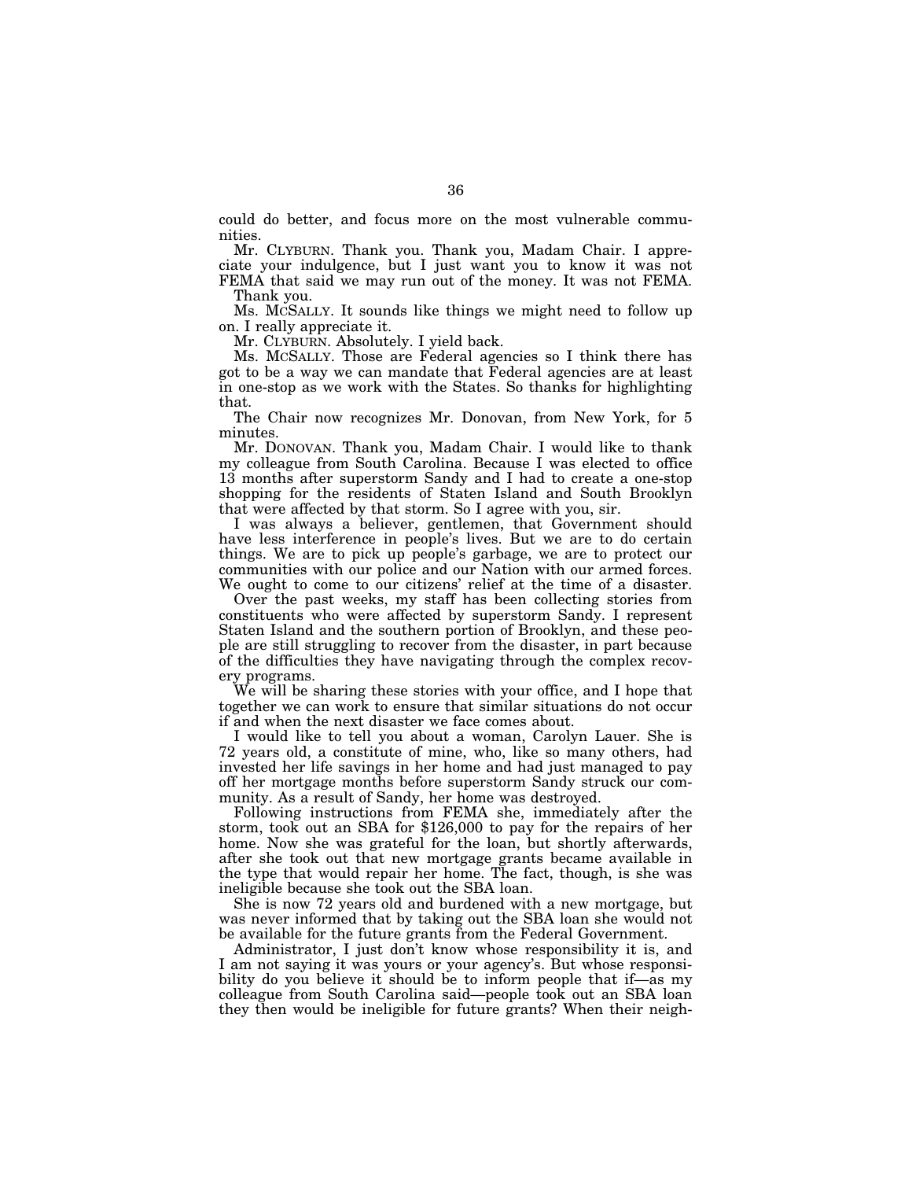could do better, and focus more on the most vulnerable communities.

Mr. CLYBURN. Thank you. Thank you, Madam Chair. I appreciate your indulgence, but I just want you to know it was not FEMA that said we may run out of the money. It was not FEMA.

Thank you.

Ms. MCSALLY. It sounds like things we might need to follow up on. I really appreciate it.

Mr. CLYBURN. Absolutely. I yield back.

Ms. MCSALLY. Those are Federal agencies so I think there has got to be a way we can mandate that Federal agencies are at least in one-stop as we work with the States. So thanks for highlighting that.

The Chair now recognizes Mr. Donovan, from New York, for 5 minutes.

Mr. DONOVAN. Thank you, Madam Chair. I would like to thank my colleague from South Carolina. Because I was elected to office 13 months after superstorm Sandy and I had to create a one-stop shopping for the residents of Staten Island and South Brooklyn that were affected by that storm. So I agree with you, sir.

I was always a believer, gentlemen, that Government should have less interference in people's lives. But we are to do certain things. We are to pick up people's garbage, we are to protect our communities with our police and our Nation with our armed forces. We ought to come to our citizens' relief at the time of a disaster.

Over the past weeks, my staff has been collecting stories from constituents who were affected by superstorm Sandy. I represent Staten Island and the southern portion of Brooklyn, and these people are still struggling to recover from the disaster, in part because of the difficulties they have navigating through the complex recovery programs.

We will be sharing these stories with your office, and I hope that together we can work to ensure that similar situations do not occur if and when the next disaster we face comes about.

I would like to tell you about a woman, Carolyn Lauer. She is 72 years old, a constitute of mine, who, like so many others, had invested her life savings in her home and had just managed to pay off her mortgage months before superstorm Sandy struck our community. As a result of Sandy, her home was destroyed.

Following instructions from FEMA she, immediately after the storm, took out an SBA for \$126,000 to pay for the repairs of her home. Now she was grateful for the loan, but shortly afterwards, after she took out that new mortgage grants became available in the type that would repair her home. The fact, though, is she was ineligible because she took out the SBA loan.

She is now 72 years old and burdened with a new mortgage, but was never informed that by taking out the SBA loan she would not be available for the future grants from the Federal Government.

Administrator, I just don't know whose responsibility it is, and I am not saying it was yours or your agency's. But whose responsibility do you believe it should be to inform people that if—as my colleague from South Carolina said—people took out an SBA loan they then would be ineligible for future grants? When their neigh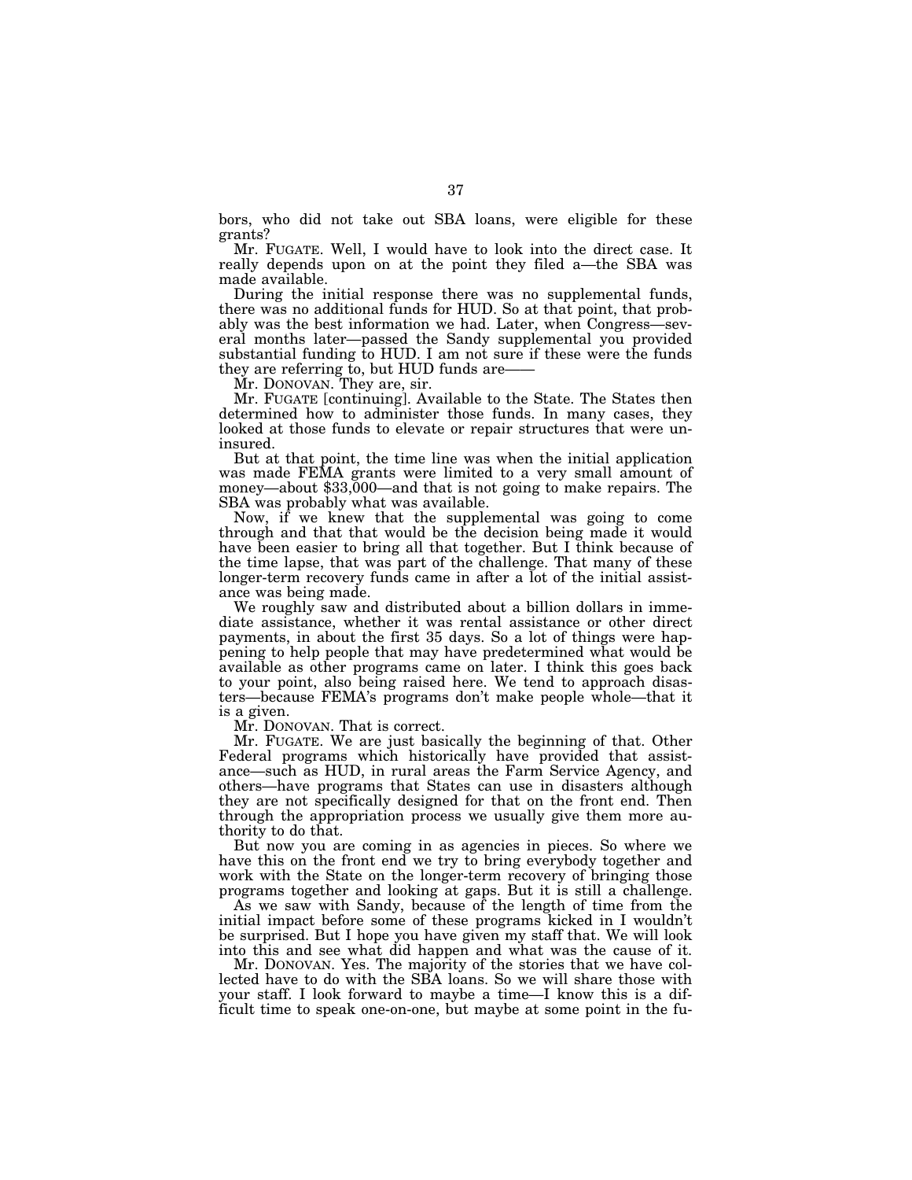bors, who did not take out SBA loans, were eligible for these grants?

Mr. FUGATE. Well, I would have to look into the direct case. It really depends upon on at the point they filed a—the SBA was made available.

During the initial response there was no supplemental funds, there was no additional funds for HUD. So at that point, that probably was the best information we had. Later, when Congress—several months later—passed the Sandy supplemental you provided substantial funding to HUD. I am not sure if these were the funds they are referring to, but HUD funds are——

Mr. DONOVAN. They are, sir.

Mr. FUGATE [continuing]. Available to the State. The States then determined how to administer those funds. In many cases, they looked at those funds to elevate or repair structures that were uninsured.

But at that point, the time line was when the initial application was made FEMA grants were limited to a very small amount of money—about \$33,000—and that is not going to make repairs. The SBA was probably what was available.

Now, if we knew that the supplemental was going to come through and that that would be the decision being made it would have been easier to bring all that together. But I think because of the time lapse, that was part of the challenge. That many of these longer-term recovery funds came in after a lot of the initial assistance was being made.

We roughly saw and distributed about a billion dollars in immediate assistance, whether it was rental assistance or other direct payments, in about the first 35 days. So a lot of things were happening to help people that may have predetermined what would be available as other programs came on later. I think this goes back to your point, also being raised here. We tend to approach disasters—because FEMA's programs don't make people whole—that it is a given.

Mr. DONOVAN. That is correct.

Mr. FUGATE. We are just basically the beginning of that. Other Federal programs which historically have provided that assistance—such as HUD, in rural areas the Farm Service Agency, and others—have programs that States can use in disasters although they are not specifically designed for that on the front end. Then through the appropriation process we usually give them more authority to do that.

But now you are coming in as agencies in pieces. So where we have this on the front end we try to bring everybody together and work with the State on the longer-term recovery of bringing those programs together and looking at gaps. But it is still a challenge.

As we saw with Sandy, because of the length of time from the initial impact before some of these programs kicked in I wouldn't be surprised. But I hope you have given my staff that. We will look into this and see what did happen and what was the cause of it.

Mr. DONOVAN. Yes. The majority of the stories that we have collected have to do with the SBA loans. So we will share those with your staff. I look forward to maybe a time—I know this is a difficult time to speak one-on-one, but maybe at some point in the fu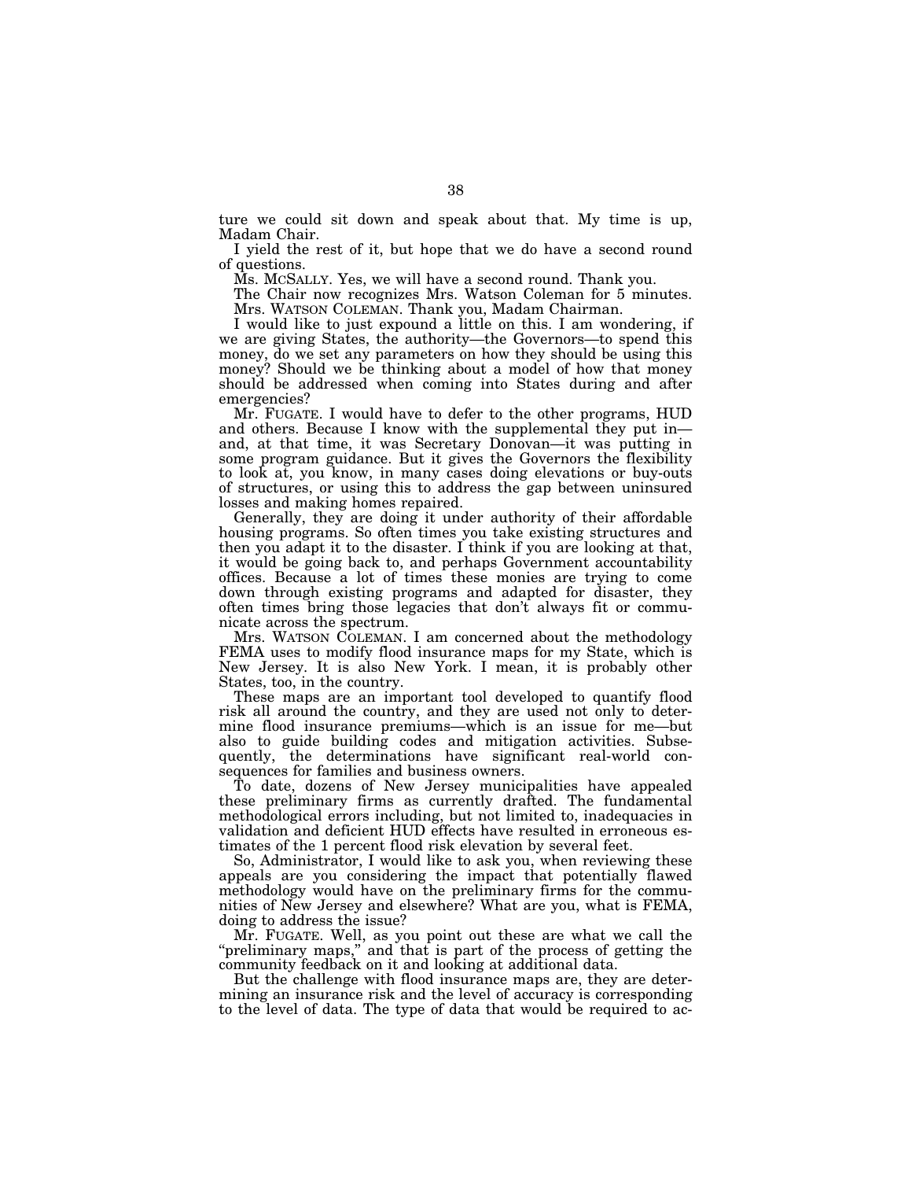ture we could sit down and speak about that. My time is up, Madam Chair.

I yield the rest of it, but hope that we do have a second round of questions.

Ms. MCSALLY. Yes, we will have a second round. Thank you.

The Chair now recognizes Mrs. Watson Coleman for 5 minutes. Mrs. WATSON COLEMAN. Thank you, Madam Chairman.

I would like to just expound a little on this. I am wondering, if we are giving States, the authority—the Governors—to spend this money, do we set any parameters on how they should be using this money? Should we be thinking about a model of how that money should be addressed when coming into States during and after emergencies?

Mr. FUGATE. I would have to defer to the other programs, HUD and others. Because I know with the supplemental they put in and, at that time, it was Secretary Donovan—it was putting in some program guidance. But it gives the Governors the flexibility to look at, you know, in many cases doing elevations or buy-outs of structures, or using this to address the gap between uninsured losses and making homes repaired.

Generally, they are doing it under authority of their affordable housing programs. So often times you take existing structures and then you adapt it to the disaster. I think if you are looking at that, it would be going back to, and perhaps Government accountability offices. Because a lot of times these monies are trying to come down through existing programs and adapted for disaster, they often times bring those legacies that don't always fit or communicate across the spectrum.

Mrs. WATSON COLEMAN. I am concerned about the methodology FEMA uses to modify flood insurance maps for my State, which is New Jersey. It is also New York. I mean, it is probably other States, too, in the country.

These maps are an important tool developed to quantify flood risk all around the country, and they are used not only to determine flood insurance premiums—which is an issue for me—but also to guide building codes and mitigation activities. Subsequently, the determinations have significant real-world consequences for families and business owners.

To date, dozens of New Jersey municipalities have appealed these preliminary firms as currently drafted. The fundamental methodological errors including, but not limited to, inadequacies in validation and deficient HUD effects have resulted in erroneous estimates of the 1 percent flood risk elevation by several feet.

So, Administrator, I would like to ask you, when reviewing these appeals are you considering the impact that potentially flawed methodology would have on the preliminary firms for the communities of New Jersey and elsewhere? What are you, what is FEMA, doing to address the issue?

Mr. FUGATE. Well, as you point out these are what we call the ''preliminary maps,'' and that is part of the process of getting the community feedback on it and looking at additional data.

But the challenge with flood insurance maps are, they are determining an insurance risk and the level of accuracy is corresponding to the level of data. The type of data that would be required to ac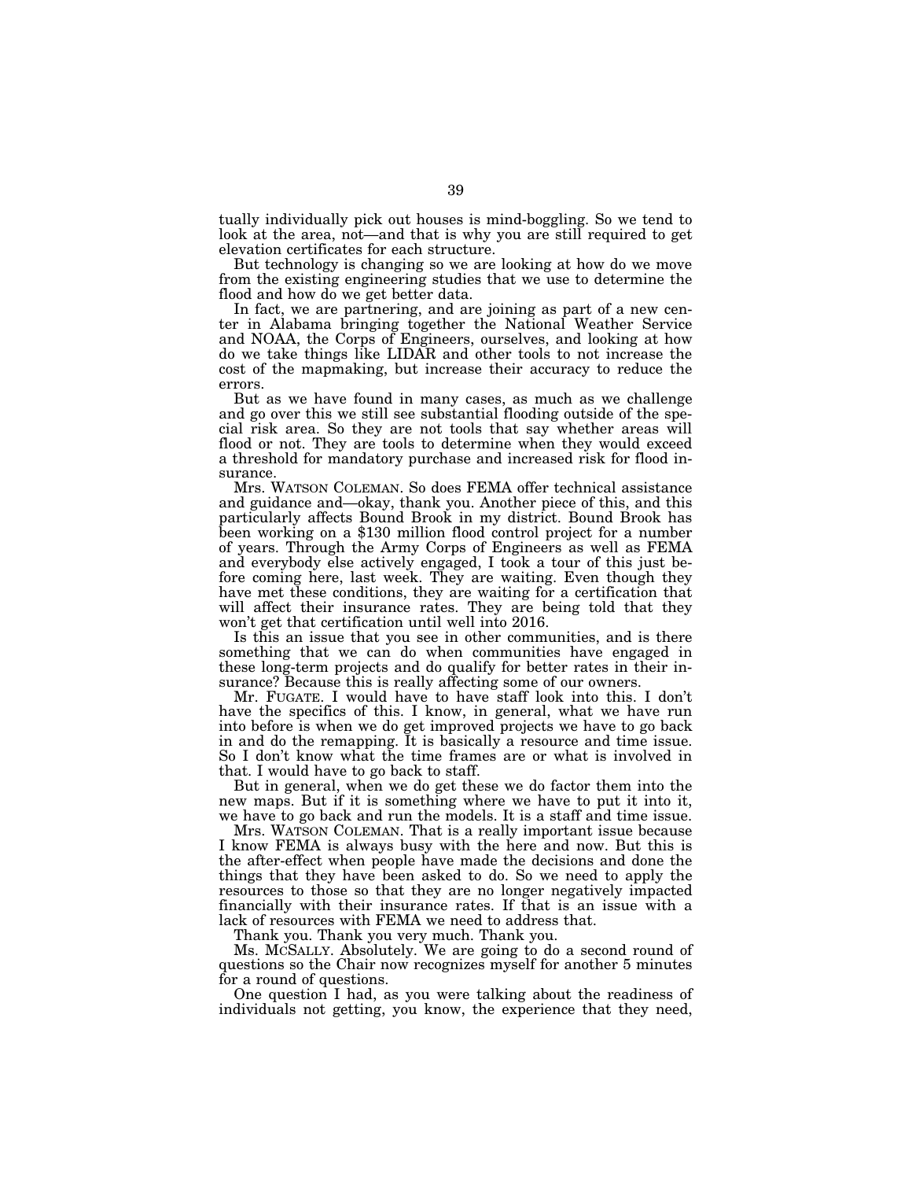tually individually pick out houses is mind-boggling. So we tend to look at the area, not—and that is why you are still required to get elevation certificates for each structure.

But technology is changing so we are looking at how do we move from the existing engineering studies that we use to determine the flood and how do we get better data.

In fact, we are partnering, and are joining as part of a new center in Alabama bringing together the National Weather Service and NOAA, the Corps of Engineers, ourselves, and looking at how do we take things like LIDAR and other tools to not increase the cost of the mapmaking, but increase their accuracy to reduce the errors.

But as we have found in many cases, as much as we challenge and go over this we still see substantial flooding outside of the special risk area. So they are not tools that say whether areas will flood or not. They are tools to determine when they would exceed a threshold for mandatory purchase and increased risk for flood insurance.

Mrs. WATSON COLEMAN. So does FEMA offer technical assistance and guidance and—okay, thank you. Another piece of this, and this particularly affects Bound Brook in my district. Bound Brook has been working on a \$130 million flood control project for a number of years. Through the Army Corps of Engineers as well as FEMA and everybody else actively engaged, I took a tour of this just before coming here, last week. They are waiting. Even though they have met these conditions, they are waiting for a certification that will affect their insurance rates. They are being told that they won't get that certification until well into 2016.

Is this an issue that you see in other communities, and is there something that we can do when communities have engaged in these long-term projects and do qualify for better rates in their insurance? Because this is really affecting some of our owners.

Mr. FUGATE. I would have to have staff look into this. I don't have the specifics of this. I know, in general, what we have run into before is when we do get improved projects we have to go back in and do the remapping. It is basically a resource and time issue. So I don't know what the time frames are or what is involved in that. I would have to go back to staff.

But in general, when we do get these we do factor them into the new maps. But if it is something where we have to put it into it, we have to go back and run the models. It is a staff and time issue.

Mrs. WATSON COLEMAN. That is a really important issue because I know FEMA is always busy with the here and now. But this is the after-effect when people have made the decisions and done the things that they have been asked to do. So we need to apply the resources to those so that they are no longer negatively impacted financially with their insurance rates. If that is an issue with a lack of resources with FEMA we need to address that.

Thank you. Thank you very much. Thank you.

Ms. MCSALLY. Absolutely. We are going to do a second round of questions so the Chair now recognizes myself for another 5 minutes for a round of questions.

One question I had, as you were talking about the readiness of individuals not getting, you know, the experience that they need,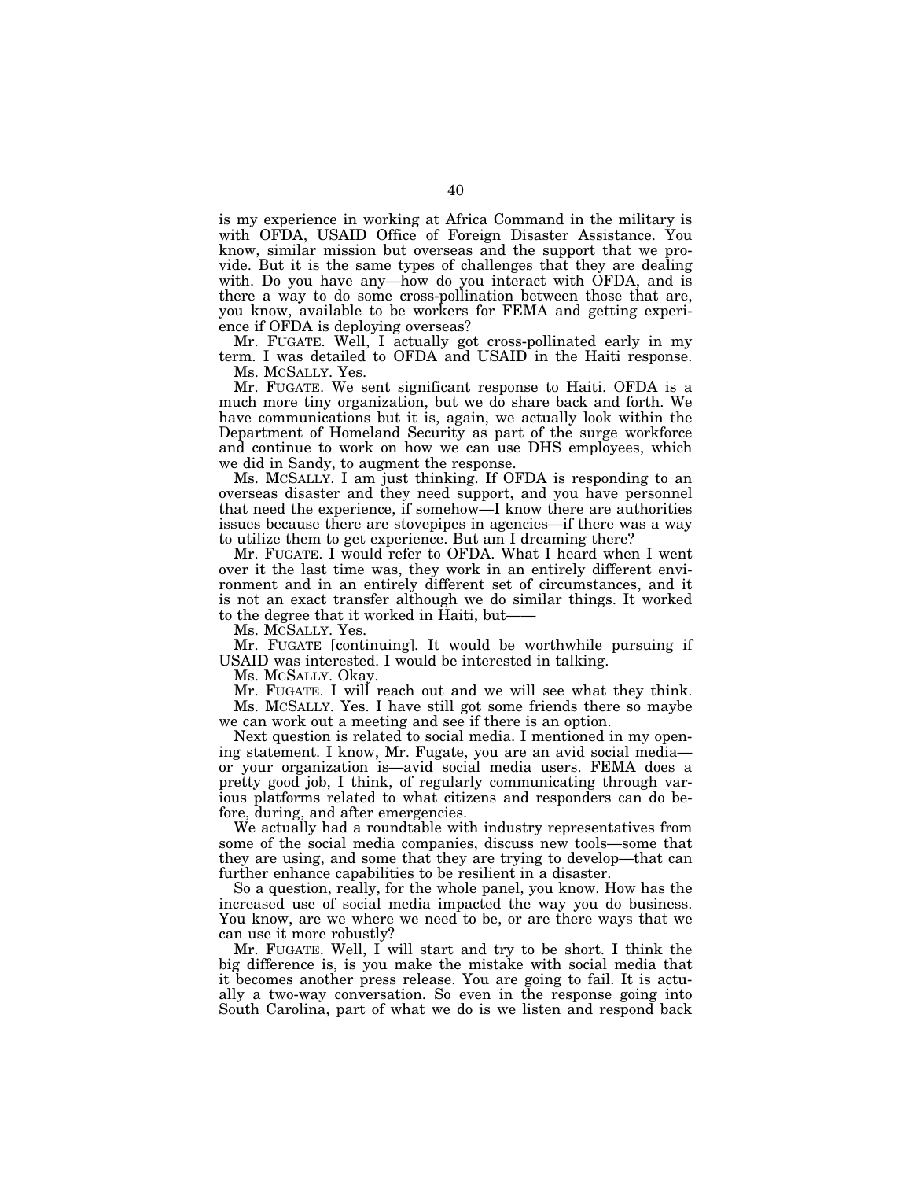is my experience in working at Africa Command in the military is with OFDA, USAID Office of Foreign Disaster Assistance. You know, similar mission but overseas and the support that we provide. But it is the same types of challenges that they are dealing with. Do you have any—how do you interact with OFDA, and is there a way to do some cross-pollination between those that are, you know, available to be workers for FEMA and getting experience if OFDA is deploying overseas?

Mr. FUGATE. Well, I actually got cross-pollinated early in my term. I was detailed to OFDA and USAID in the Haiti response. Ms. MCSALLY. Yes.

Mr. FUGATE. We sent significant response to Haiti. OFDA is a much more tiny organization, but we do share back and forth. We have communications but it is, again, we actually look within the Department of Homeland Security as part of the surge workforce and continue to work on how we can use DHS employees, which we did in Sandy, to augment the response.

Ms. MCSALLY. I am just thinking. If OFDA is responding to an overseas disaster and they need support, and you have personnel that need the experience, if somehow—I know there are authorities issues because there are stovepipes in agencies—if there was a way to utilize them to get experience. But am I dreaming there?

Mr. FUGATE. I would refer to OFDA. What I heard when I went over it the last time was, they work in an entirely different environment and in an entirely different set of circumstances, and it is not an exact transfer although we do similar things. It worked to the degree that it worked in Haiti, but——

Ms. MCSALLY. Yes.

Mr. FUGATE [continuing]. It would be worthwhile pursuing if USAID was interested. I would be interested in talking.

Ms. MCSALLY. Okay.

Mr. FUGATE. I will reach out and we will see what they think. Ms. MCSALLY. Yes. I have still got some friends there so maybe we can work out a meeting and see if there is an option.

Next question is related to social media. I mentioned in my opening statement. I know, Mr. Fugate, you are an avid social media or your organization is—avid social media users. FEMA does a pretty good job, I think, of regularly communicating through various platforms related to what citizens and responders can do before, during, and after emergencies.

We actually had a roundtable with industry representatives from some of the social media companies, discuss new tools—some that they are using, and some that they are trying to develop—that can further enhance capabilities to be resilient in a disaster.

So a question, really, for the whole panel, you know. How has the increased use of social media impacted the way you do business. You know, are we where we need to be, or are there ways that we can use it more robustly?

Mr. FUGATE. Well, I will start and try to be short. I think the big difference is, is you make the mistake with social media that it becomes another press release. You are going to fail. It is actually a two-way conversation. So even in the response going into South Carolina, part of what we do is we listen and respond back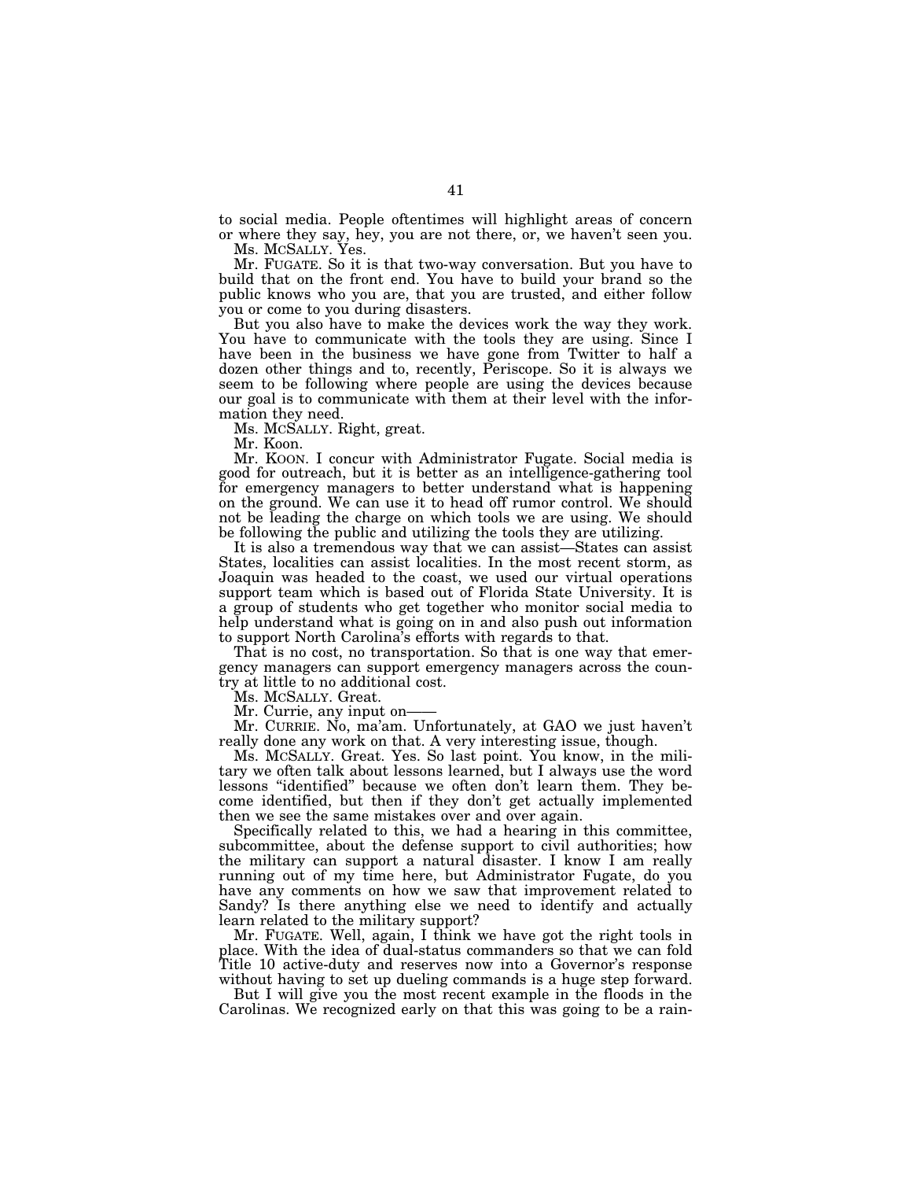to social media. People oftentimes will highlight areas of concern or where they say, hey, you are not there, or, we haven't seen you. Ms. MCSALLY. Yes.

Mr. FUGATE. So it is that two-way conversation. But you have to build that on the front end. You have to build your brand so the public knows who you are, that you are trusted, and either follow you or come to you during disasters.

But you also have to make the devices work the way they work. You have to communicate with the tools they are using. Since I have been in the business we have gone from Twitter to half a dozen other things and to, recently, Periscope. So it is always we seem to be following where people are using the devices because our goal is to communicate with them at their level with the information they need.

Ms. MCSALLY. Right, great.

Mr. Koon.

Mr. KOON. I concur with Administrator Fugate. Social media is good for outreach, but it is better as an intelligence-gathering tool for emergency managers to better understand what is happening on the ground. We can use it to head off rumor control. We should not be leading the charge on which tools we are using. We should be following the public and utilizing the tools they are utilizing.

It is also a tremendous way that we can assist—States can assist States, localities can assist localities. In the most recent storm, as Joaquin was headed to the coast, we used our virtual operations support team which is based out of Florida State University. It is a group of students who get together who monitor social media to help understand what is going on in and also push out information to support North Carolina's efforts with regards to that.

That is no cost, no transportation. So that is one way that emergency managers can support emergency managers across the country at little to no additional cost.

Ms. MCSALLY. Great.

Mr. Currie, any input on-

Mr. CURRIE. No, ma'am. Unfortunately, at GAO we just haven't really done any work on that. A very interesting issue, though.

Ms. MCSALLY. Great. Yes. So last point. You know, in the military we often talk about lessons learned, but I always use the word lessons ''identified'' because we often don't learn them. They become identified, but then if they don't get actually implemented then we see the same mistakes over and over again.

Specifically related to this, we had a hearing in this committee, subcommittee, about the defense support to civil authorities; how the military can support a natural disaster. I know I am really running out of my time here, but Administrator Fugate, do you have any comments on how we saw that improvement related to Sandy? Is there anything else we need to identify and actually learn related to the military support?

Mr. FUGATE. Well, again, I think we have got the right tools in place. With the idea of dual-status commanders so that we can fold Title 10 active-duty and reserves now into a Governor's response without having to set up dueling commands is a huge step forward.

But I will give you the most recent example in the floods in the Carolinas. We recognized early on that this was going to be a rain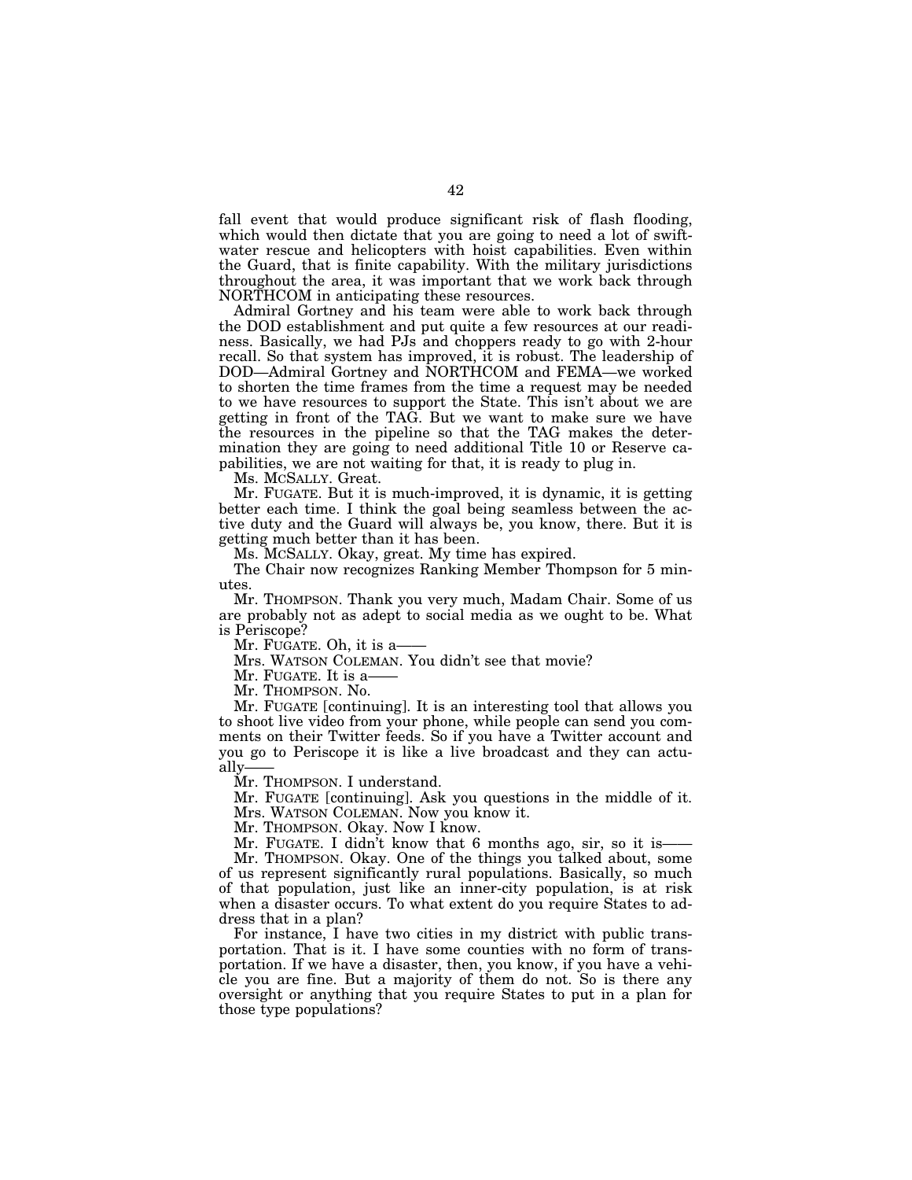fall event that would produce significant risk of flash flooding, which would then dictate that you are going to need a lot of swiftwater rescue and helicopters with hoist capabilities. Even within the Guard, that is finite capability. With the military jurisdictions throughout the area, it was important that we work back through NORTHCOM in anticipating these resources.

Admiral Gortney and his team were able to work back through the DOD establishment and put quite a few resources at our readiness. Basically, we had PJs and choppers ready to go with 2-hour recall. So that system has improved, it is robust. The leadership of DOD—Admiral Gortney and NORTHCOM and FEMA—we worked to shorten the time frames from the time a request may be needed to we have resources to support the State. This isn't about we are getting in front of the TAG. But we want to make sure we have the resources in the pipeline so that the TAG makes the determination they are going to need additional Title 10 or Reserve capabilities, we are not waiting for that, it is ready to plug in.

Ms. MCSALLY. Great.

Mr. FUGATE. But it is much-improved, it is dynamic, it is getting better each time. I think the goal being seamless between the active duty and the Guard will always be, you know, there. But it is getting much better than it has been.

Ms. MCSALLY. Okay, great. My time has expired.

The Chair now recognizes Ranking Member Thompson for 5 minutes.

Mr. THOMPSON. Thank you very much, Madam Chair. Some of us are probably not as adept to social media as we ought to be. What is Periscope?

Mr. FUGATE. Oh, it is a-

Mrs. WATSON COLEMAN. You didn't see that movie?

Mr. FUGATE. It is a-

Mr. THOMPSON. No.

Mr. FUGATE [continuing]. It is an interesting tool that allows you to shoot live video from your phone, while people can send you comments on their Twitter feeds. So if you have a Twitter account and you go to Periscope it is like a live broadcast and they can actually-

Mr. THOMPSON. I understand.

Mr. FUGATE [continuing]. Ask you questions in the middle of it. Mrs. WATSON COLEMAN. Now you know it.

Mr. THOMPSON. Okay. Now I know.

Mr. FUGATE. I didn't know that 6 months ago, sir, so it is Mr. THOMPSON. Okay. One of the things you talked about, some of us represent significantly rural populations. Basically, so much of that population, just like an inner-city population, is at risk when a disaster occurs. To what extent do you require States to address that in a plan?

For instance, I have two cities in my district with public transportation. That is it. I have some counties with no form of transportation. If we have a disaster, then, you know, if you have a vehicle you are fine. But a majority of them do not. So is there any oversight or anything that you require States to put in a plan for those type populations?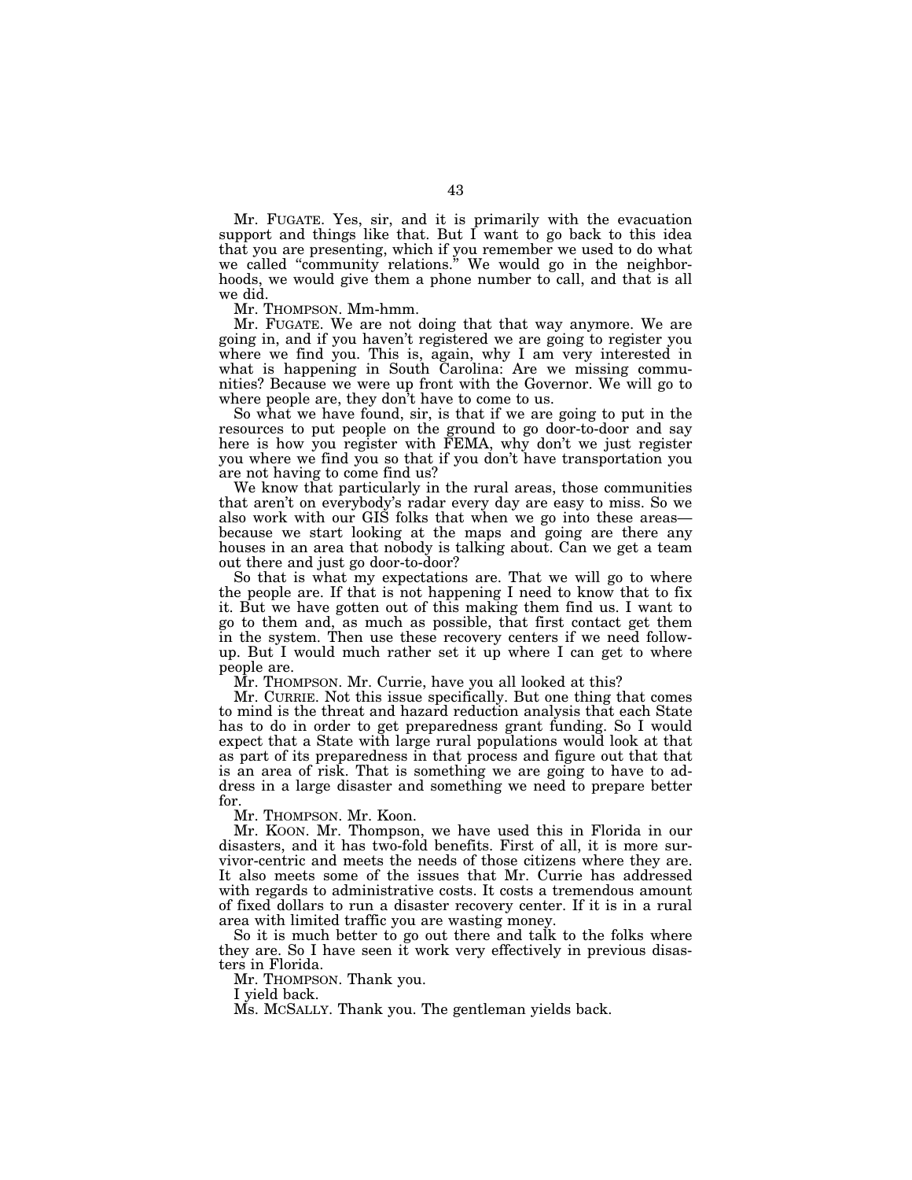Mr. FUGATE. Yes, sir, and it is primarily with the evacuation support and things like that. But I want to go back to this idea that you are presenting, which if you remember we used to do what we called ''community relations.'' We would go in the neighborhoods, we would give them a phone number to call, and that is all we did.

Mr. THOMPSON. Mm-hmm.

Mr. FUGATE. We are not doing that that way anymore. We are going in, and if you haven't registered we are going to register you where we find you. This is, again, why I am very interested in what is happening in South Carolina: Are we missing communities? Because we were up front with the Governor. We will go to where people are, they don't have to come to us.

So what we have found, sir, is that if we are going to put in the resources to put people on the ground to go door-to-door and say here is how you register with FEMA, why don't we just register you where we find you so that if you don't have transportation you are not having to come find us?

We know that particularly in the rural areas, those communities that aren't on everybody's radar every day are easy to miss. So we also work with our GIS folks that when we go into these areas because we start looking at the maps and going are there any houses in an area that nobody is talking about. Can we get a team out there and just go door-to-door?

So that is what my expectations are. That we will go to where the people are. If that is not happening I need to know that to fix it. But we have gotten out of this making them find us. I want to go to them and, as much as possible, that first contact get them in the system. Then use these recovery centers if we need followup. But I would much rather set it up where I can get to where people are.

Mr. THOMPSON. Mr. Currie, have you all looked at this?

Mr. CURRIE. Not this issue specifically. But one thing that comes to mind is the threat and hazard reduction analysis that each State has to do in order to get preparedness grant funding. So I would expect that a State with large rural populations would look at that as part of its preparedness in that process and figure out that that is an area of risk. That is something we are going to have to address in a large disaster and something we need to prepare better for.

Mr. THOMPSON. Mr. Koon.

Mr. KOON. Mr. Thompson, we have used this in Florida in our disasters, and it has two-fold benefits. First of all, it is more survivor-centric and meets the needs of those citizens where they are. It also meets some of the issues that Mr. Currie has addressed with regards to administrative costs. It costs a tremendous amount of fixed dollars to run a disaster recovery center. If it is in a rural area with limited traffic you are wasting money.

So it is much better to go out there and talk to the folks where they are. So I have seen it work very effectively in previous disasters in Florida.

Mr. THOMPSON. Thank you.

I yield back.

Ms. MCSALLY. Thank you. The gentleman yields back.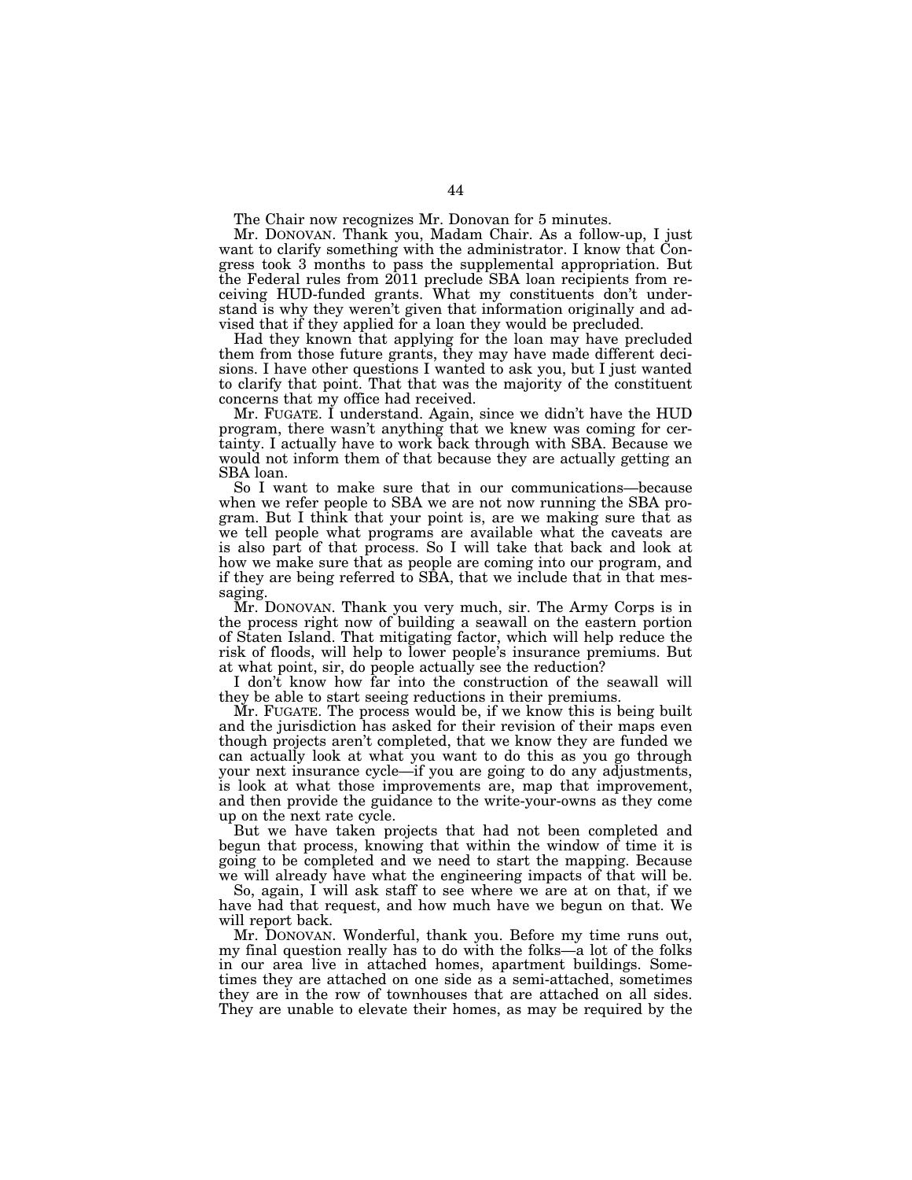The Chair now recognizes Mr. Donovan for 5 minutes.

Mr. DONOVAN. Thank you, Madam Chair. As a follow-up, I just want to clarify something with the administrator. I know that Congress took 3 months to pass the supplemental appropriation. But the Federal rules from 2011 preclude SBA loan recipients from receiving HUD-funded grants. What my constituents don't understand is why they weren't given that information originally and advised that if they applied for a loan they would be precluded.

Had they known that applying for the loan may have precluded them from those future grants, they may have made different decisions. I have other questions I wanted to ask you, but I just wanted to clarify that point. That that was the majority of the constituent concerns that my office had received.

Mr. FUGATE. I understand. Again, since we didn't have the HUD program, there wasn't anything that we knew was coming for certainty. I actually have to work back through with SBA. Because we would not inform them of that because they are actually getting an SBA loan.

So I want to make sure that in our communications—because when we refer people to SBA we are not now running the SBA program. But I think that your point is, are we making sure that as we tell people what programs are available what the caveats are is also part of that process. So I will take that back and look at how we make sure that as people are coming into our program, and if they are being referred to SBA, that we include that in that messaging.

Mr. DONOVAN. Thank you very much, sir. The Army Corps is in the process right now of building a seawall on the eastern portion of Staten Island. That mitigating factor, which will help reduce the risk of floods, will help to lower people's insurance premiums. But at what point, sir, do people actually see the reduction?

I don't know how far into the construction of the seawall will they be able to start seeing reductions in their premiums.

Mr. FUGATE. The process would be, if we know this is being built and the jurisdiction has asked for their revision of their maps even though projects aren't completed, that we know they are funded we can actually look at what you want to do this as you go through your next insurance cycle—if you are going to do any adjustments, is look at what those improvements are, map that improvement, and then provide the guidance to the write-your-owns as they come up on the next rate cycle.

But we have taken projects that had not been completed and begun that process, knowing that within the window of time it is going to be completed and we need to start the mapping. Because we will already have what the engineering impacts of that will be.

So, again, I will ask staff to see where we are at on that, if we have had that request, and how much have we begun on that. We will report back.

Mr. DONOVAN. Wonderful, thank you. Before my time runs out, my final question really has to do with the folks—a lot of the folks in our area live in attached homes, apartment buildings. Sometimes they are attached on one side as a semi-attached, sometimes they are in the row of townhouses that are attached on all sides. They are unable to elevate their homes, as may be required by the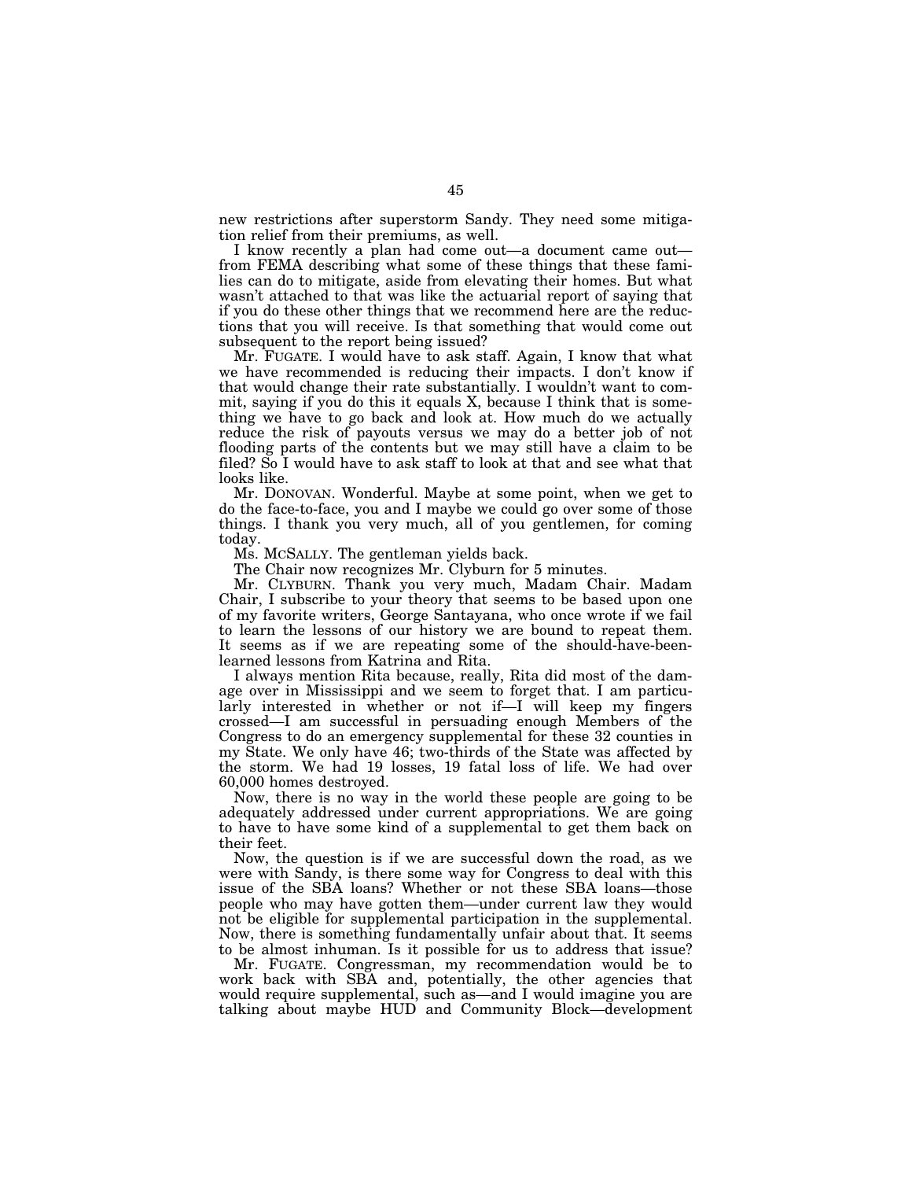new restrictions after superstorm Sandy. They need some mitigation relief from their premiums, as well.

I know recently a plan had come out—a document came out from FEMA describing what some of these things that these families can do to mitigate, aside from elevating their homes. But what wasn't attached to that was like the actuarial report of saying that if you do these other things that we recommend here are the reductions that you will receive. Is that something that would come out subsequent to the report being issued?

Mr. FUGATE. I would have to ask staff. Again, I know that what we have recommended is reducing their impacts. I don't know if that would change their rate substantially. I wouldn't want to commit, saying if you do this it equals X, because I think that is something we have to go back and look at. How much do we actually reduce the risk of payouts versus we may do a better job of not flooding parts of the contents but we may still have a claim to be filed? So I would have to ask staff to look at that and see what that looks like.

Mr. DONOVAN. Wonderful. Maybe at some point, when we get to do the face-to-face, you and I maybe we could go over some of those things. I thank you very much, all of you gentlemen, for coming today.

Ms. MCSALLY. The gentleman yields back.

The Chair now recognizes Mr. Clyburn for 5 minutes.

Mr. CLYBURN. Thank you very much, Madam Chair. Madam Chair, I subscribe to your theory that seems to be based upon one of my favorite writers, George Santayana, who once wrote if we fail to learn the lessons of our history we are bound to repeat them. It seems as if we are repeating some of the should-have-beenlearned lessons from Katrina and Rita.

I always mention Rita because, really, Rita did most of the damage over in Mississippi and we seem to forget that. I am particularly interested in whether or not if-I will keep my fingers crossed—I am successful in persuading enough Members of the Congress to do an emergency supplemental for these 32 counties in my State. We only have 46; two-thirds of the State was affected by the storm. We had 19 losses, 19 fatal loss of life. We had over 60,000 homes destroyed.

Now, there is no way in the world these people are going to be adequately addressed under current appropriations. We are going to have to have some kind of a supplemental to get them back on their feet.

Now, the question is if we are successful down the road, as we were with Sandy, is there some way for Congress to deal with this issue of the SBA loans? Whether or not these SBA loans—those people who may have gotten them—under current law they would not be eligible for supplemental participation in the supplemental. Now, there is something fundamentally unfair about that. It seems to be almost inhuman. Is it possible for us to address that issue?

Mr. FUGATE. Congressman, my recommendation would be to work back with SBA and, potentially, the other agencies that would require supplemental, such as—and I would imagine you are talking about maybe HUD and Community Block—development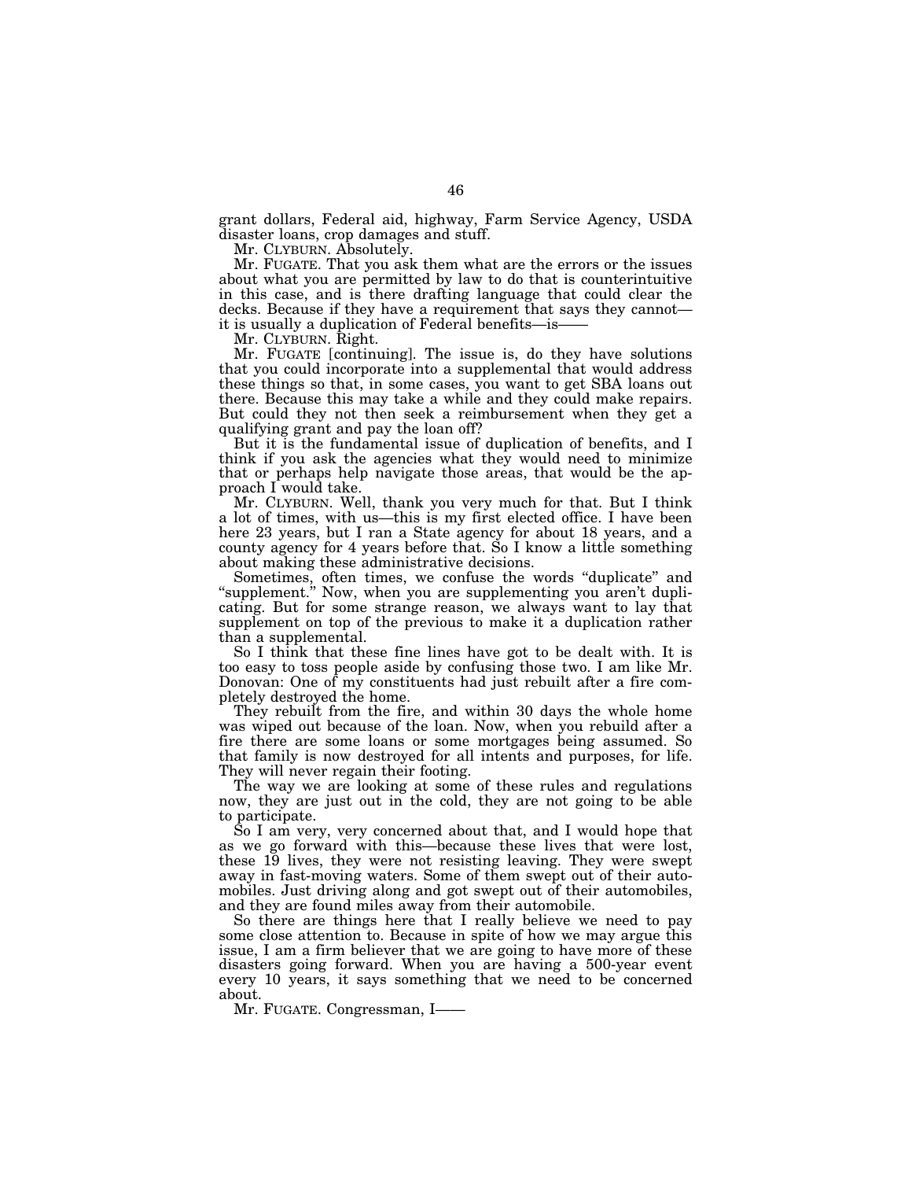grant dollars, Federal aid, highway, Farm Service Agency, USDA disaster loans, crop damages and stuff.

Mr. CLYBURN. Absolutely.

Mr. FUGATE. That you ask them what are the errors or the issues about what you are permitted by law to do that is counterintuitive in this case, and is there drafting language that could clear the decks. Because if they have a requirement that says they cannot it is usually a duplication of Federal benefits—is-

Mr. CLYBURN. Right.

Mr. FUGATE [continuing]. The issue is, do they have solutions that you could incorporate into a supplemental that would address these things so that, in some cases, you want to get SBA loans out there. Because this may take a while and they could make repairs. But could they not then seek a reimbursement when they get a qualifying grant and pay the loan off?

But it is the fundamental issue of duplication of benefits, and I think if you ask the agencies what they would need to minimize that or perhaps help navigate those areas, that would be the approach I would take.

Mr. CLYBURN. Well, thank you very much for that. But I think a lot of times, with us—this is my first elected office. I have been here 23 years, but I ran a State agency for about 18 years, and a county agency for 4 years before that. So I know a little something about making these administrative decisions.

Sometimes, often times, we confuse the words "duplicate" and ''supplement.'' Now, when you are supplementing you aren't duplicating. But for some strange reason, we always want to lay that supplement on top of the previous to make it a duplication rather than a supplemental.

So I think that these fine lines have got to be dealt with. It is too easy to toss people aside by confusing those two. I am like Mr. Donovan: One of my constituents had just rebuilt after a fire completely destroyed the home.

They rebuilt from the fire, and within 30 days the whole home was wiped out because of the loan. Now, when you rebuild after a fire there are some loans or some mortgages being assumed. So that family is now destroyed for all intents and purposes, for life. They will never regain their footing.

The way we are looking at some of these rules and regulations now, they are just out in the cold, they are not going to be able to participate.

So I am very, very concerned about that, and I would hope that as we go forward with this—because these lives that were lost, these 19 lives, they were not resisting leaving. They were swept away in fast-moving waters. Some of them swept out of their automobiles. Just driving along and got swept out of their automobiles, and they are found miles away from their automobile.

So there are things here that I really believe we need to pay some close attention to. Because in spite of how we may argue this issue, I am a firm believer that we are going to have more of these disasters going forward. When you are having a 500-year event every 10 years, it says something that we need to be concerned about.

Mr. FUGATE. Congressman, I——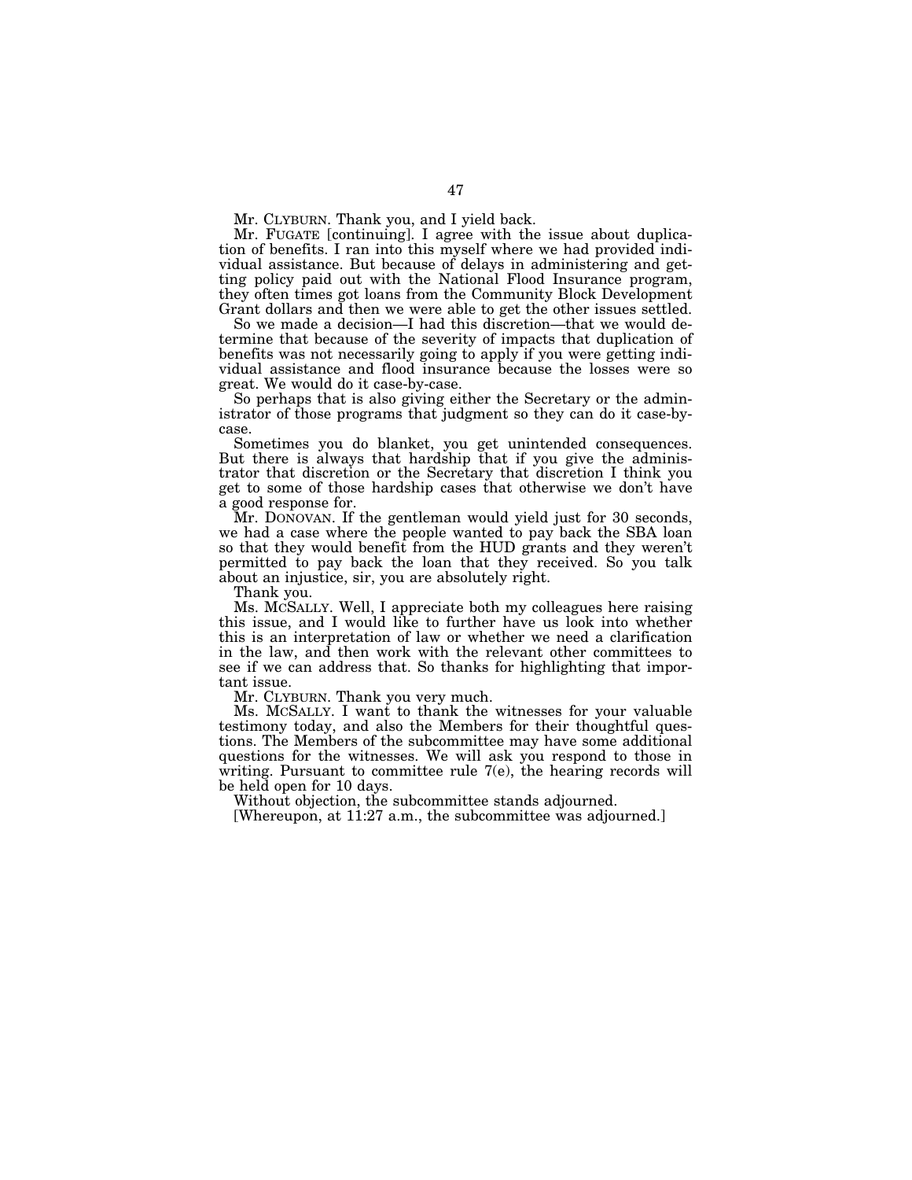Mr. CLYBURN. Thank you, and I yield back.

Mr. FUGATE [continuing]. I agree with the issue about duplication of benefits. I ran into this myself where we had provided individual assistance. But because of delays in administering and getting policy paid out with the National Flood Insurance program, they often times got loans from the Community Block Development Grant dollars and then we were able to get the other issues settled.

So we made a decision—I had this discretion—that we would determine that because of the severity of impacts that duplication of benefits was not necessarily going to apply if you were getting individual assistance and flood insurance because the losses were so great. We would do it case-by-case.

So perhaps that is also giving either the Secretary or the administrator of those programs that judgment so they can do it case-bycase.

Sometimes you do blanket, you get unintended consequences. But there is always that hardship that if you give the administrator that discretion or the Secretary that discretion I think you get to some of those hardship cases that otherwise we don't have a good response for.

Mr. DONOVAN. If the gentleman would yield just for 30 seconds, we had a case where the people wanted to pay back the SBA loan so that they would benefit from the HUD grants and they weren't permitted to pay back the loan that they received. So you talk about an injustice, sir, you are absolutely right.

Thank you.

Ms. MCSALLY. Well, I appreciate both my colleagues here raising this issue, and I would like to further have us look into whether this is an interpretation of law or whether we need a clarification in the law, and then work with the relevant other committees to see if we can address that. So thanks for highlighting that important issue.

Mr. CLYBURN. Thank you very much.

Ms. MCSALLY. I want to thank the witnesses for your valuable testimony today, and also the Members for their thoughtful questions. The Members of the subcommittee may have some additional questions for the witnesses. We will ask you respond to those in writing. Pursuant to committee rule 7(e), the hearing records will be held open for 10 days.

Without objection, the subcommittee stands adjourned.

[Whereupon, at 11:27 a.m., the subcommittee was adjourned.]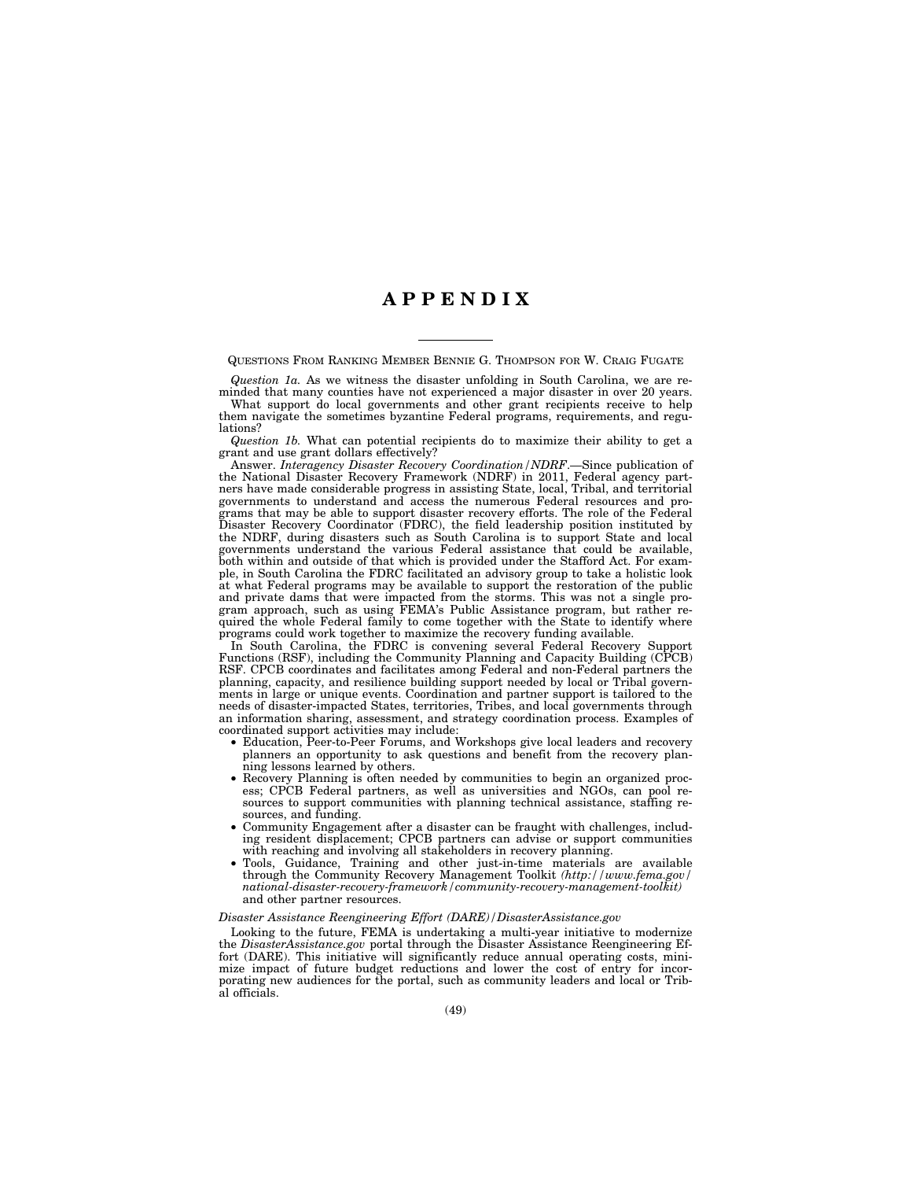## **A P P E N D I X**

QUESTIONS FROM RANKING MEMBER BENNIE G. THOMPSON FOR W. CRAIG FUGATE

*Question 1a.* As we witness the disaster unfolding in South Carolina, we are reminded that many counties have not experienced a major disaster in over 20 years.

What support do local governments and other grant recipients receive to help them navigate the sometimes byzantine Federal programs, requirements, and regulations?

*Question 1b.* What can potential recipients do to maximize their ability to get a grant and use grant dollars effectively?

Answer. *Interagency Disaster Recovery Coordination/NDRF*.—Since publication of the National Disaster Recovery Framework (NDRF) in 2011, Federal agency partners have made considerable progress in assisting State, local, Tribal, and territorial governments to understand and access the numerous Federal resources and programs that may be able to support disaster recovery efforts. The role of the Federal Disaster Recovery Coordinator (FDRC), the field leadership position instituted by the NDRF, during disasters such as South Carolina is to support State and local governments understand the various Federal assistance that could be available, both within and outside of that which is provided under the Stafford Act. For example, in South Carolina the FDRC facilitated an advisory group to take a holistic look at what Federal programs may be available to support the restoration of the public and private dams that were impacted from the storms. This was not a single program approach, such as using FEMA's Public Assistance program, but rather required the whole Federal family to come together with the State to identify where programs could work together to maximize the recovery funding available.

In South Carolina, the FDRC is convening several Federal Recovery Support Functions (RSF), including the Community Planning and Capacity Building (CPCB) RSF. CPCB coordinates and facilitates among Federal and non-Federal partners the planning, capacity, and resilience building support needed by local or Tribal governments in large or unique events. Coordination and partner support is tailored to the needs of disaster-impacted States, territories, Tribes, and local governments through an information sharing, assessment, and strategy coordination process. Examples of coordinated support activities may include:

- Education, Peer-to-Peer Forums, and Workshops give local leaders and recovery planners an opportunity to ask questions and benefit from the recovery planning lessons learned by others.
- Recovery Planning is often needed by communities to begin an organized process; CPCB Federal partners, as well as universities and NGOs, can pool resources to support communities with planning technical assistance, staffing resources, and funding.
- Community Engagement after a disaster can be fraught with challenges, including resident displacement; CPCB partners can advise or support communities with reaching and involving all stakeholders in recovery planning.
- Tools, Guidance, Training and other just-in-time materials are available through the Community Recovery Management Toolkit *(http://www.fema.gov/ national-disaster-recovery-framework/community-recovery-management-toolkit)*  and other partner resources.

## *Disaster Assistance Reengineering Effort (DARE)/DisasterAssistance.gov*

Looking to the future, FEMA is undertaking a multi-year initiative to modernize the *DisasterAssistance.gov* portal through the Disaster Assistance Reengineering Effort (DARE). This initiative will significantly reduce annual operating costs, minimize impact of future budget reductions and lower the cost of entry for incorporating new audiences for the portal, such as community leaders and local or Tribal officials.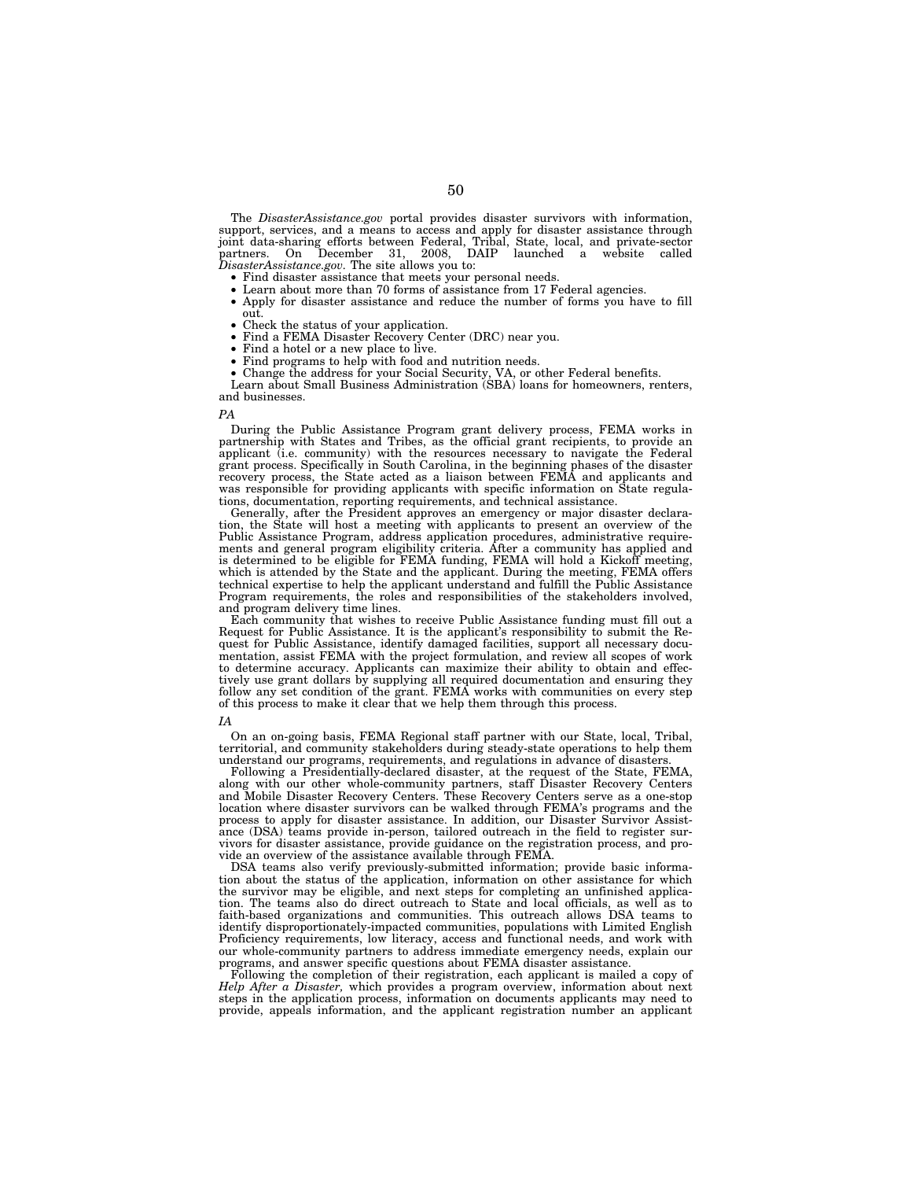The *DisasterAssistance.gov* portal provides disaster survivors with information, support, services, and a means to access and apply for disaster assistance through joint data-sharing efforts between Federal, Tribal, State, local, and private-sector partners. On December 31, 2008, DAIP launched a website called *DisasterAssistance.gov.* The site allows you to:

- Find disaster assistance that meets your personal needs.
- Learn about more than 70 forms of assistance from 17 Federal agencies.<br>• Apply for disaster assistance and reduce the number of forms you hay
- Apply for disaster assistance and reduce the number of forms you have to fill out.
- Check the status of your application.<br>• Find a FEMA Disaster Becovery Cen
- Find a FEMA Disaster Recovery Center (DRC) near you.
- Find a hotel or a new place to live.
- Find programs to help with food and nutrition needs.

• Change the address for your Social Security, VA, or other Federal benefits. Learn about Small Business Administration (SBA) loans for homeowners, renters, and businesses.

#### *PA*

During the Public Assistance Program grant delivery process, FEMA works in partnership with States and Tribes, as the official grant recipients, to provide an applicant (i.e. community) with the resources necessary to navigate the Federal grant process. Specifically in South Carolina, in the beginning phases of the disaster recovery process, the State acted as a liaison between FEMA and applicants and was responsible for providing applicants with specific information on State regulations, documentation, reporting requirements, and technical assistance.

Generally, after the President approves an emergency or major disaster declaration, the State will host a meeting with applicants to present an overview of the Public Assistance Program, address application procedures, administrative requirements and general program eligibility criteria. After a community has applied and is determined to be eligible for FEMA funding, FEMA will hold a Kickoff meeting, which is attended by the State and the applicant. During the meeting, FEMA offers technical expertise to help the applicant understand and fulfill the Public Assistance Program requirements, the roles and responsibilities of the stakeholders involved, and program delivery time lines.

Each community that wishes to receive Public Assistance funding must fill out a Request for Public Assistance. It is the applicant's responsibility to submit the Request for Public Assistance, identify damaged facilities, support all necessary documentation, assist FEMA with the project formulation, and review all scopes of work to determine accuracy. Applicants can maximize their ability to obtain and effectively use grant dollars by supplying all required documentation and ensuring they follow any set condition of the grant. FEMA works with communities on every step of this process to make it clear that we help them through this process.

#### *IA*

On an on-going basis, FEMA Regional staff partner with our State, local, Tribal, territorial, and community stakeholders during steady-state operations to help them understand our programs, requirements, and regulations in advance of disasters.

Following a Presidentially-declared disaster, at the request of the State, FEMA, along with our other whole-community partners, staff Disaster Recovery Centers and Mobile Disaster Recovery Centers. These Recovery Centers serve as a one-stop location where disaster survivors can be walked through FEMA's programs and the process to apply for disaster assistance. In addition, our Disaster Survivor Assistance (DSA) teams provide in-person, tailored outreach in the field to register survivors for disaster assistance, provide guidance on the registration process, and provide an overview of the assistance available through FEMA.

DSA teams also verify previously-submitted information; provide basic information about the status of the application, information on other assistance for which the survivor may be eligible, and next steps for completing an unfinished application. The teams also do direct outreach to State and local officials, as well as to faith-based organizations and communities. This outreach allows DSA teams to identify disproportionately-impacted communities, populations with Limited English Proficiency requirements, low literacy, access and functional needs, and work with our whole-community partners to address immediate emergency needs, explain our programs, and answer specific questions about FEMA disaster assistance.

Following the completion of their registration, each applicant is mailed a copy of *Help After a Disaster,* which provides a program overview, information about next steps in the application process, information on documents applicants may need to provide, appeals information, and the applicant registration number an applicant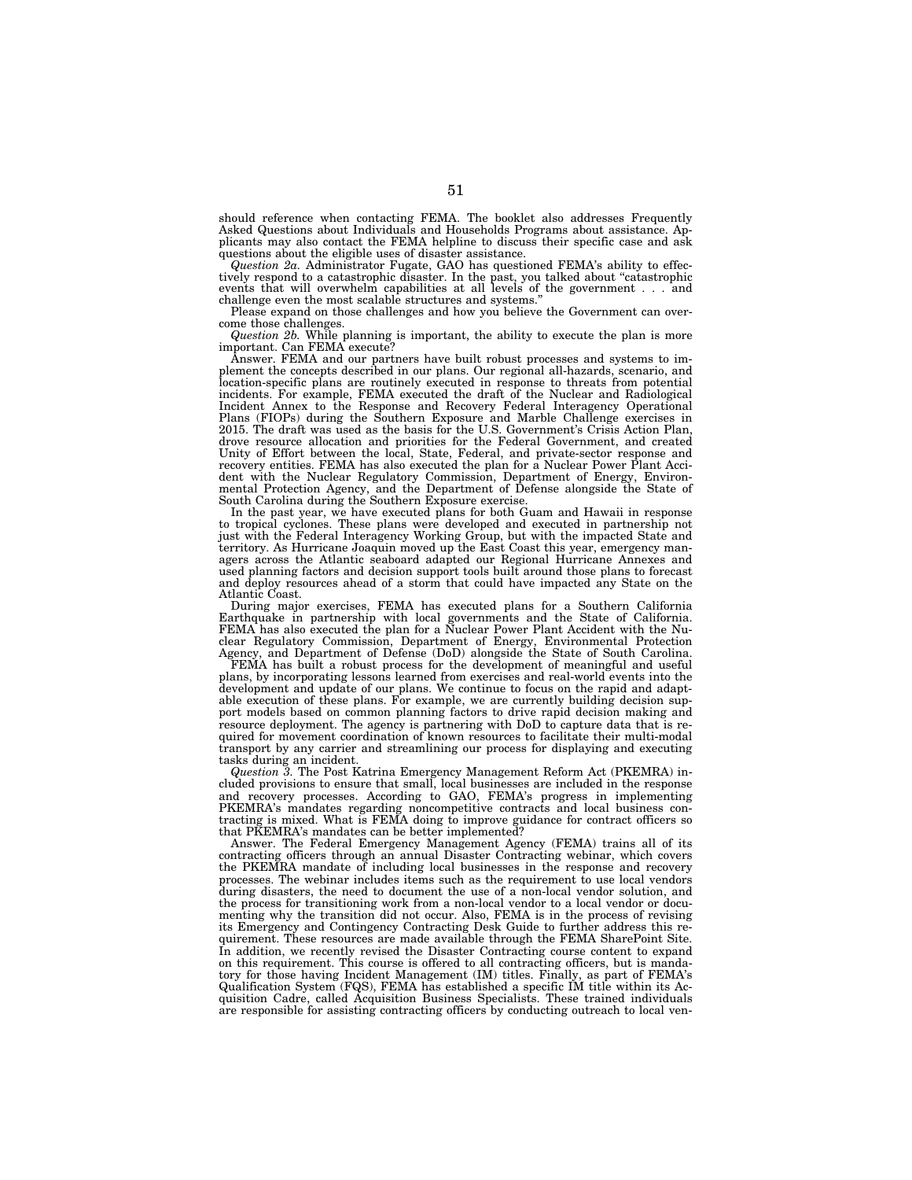should reference when contacting FEMA. The booklet also addresses Frequently Asked Questions about Individuals and Households Programs about assistance. Applicants may also contact the FEMA helpline to discuss their specific case and ask questions about the eligible uses of disaster assistance.

*Question 2a.* Administrator Fugate, GAO has questioned FEMA's ability to effectively respond to a catastrophic disaster. In the past, you talked about "catastrophic events that will overwhelm capabilities at all levels of the government... and challenge even the most scalable structures and systems.''

Please expand on those challenges and how you believe the Government can overcome those challenges.

*Question 2b.* While planning is important, the ability to execute the plan is more important. Can FEMA execute? Answer. FEMA and our partners have built robust processes and systems to im-

plement the concepts described in our plans. Our regional all-hazards, scenario, and location-specific plans are routinely executed in response to threats from potential incidents. For example, FEMA executed the draft of the Nuclear and Radiological Incident Annex to the Response and Recovery Federal Interagency Operational Plans (FIOPs) during the Southern Exposure and Marble Challenge exercises in 2015. The draft was used as the basis for the U.S. Government's Crisis Action Plan, drove resource allocation and priorities for the Federal Government, and created Unity of Effort between the local, State, Federal, and private-sector response and recovery entities. FEMA has also executed the plan for a Nuclear Power Plant Acci-dent with the Nuclear Regulatory Commission, Department of Energy, Environmental Protection Agency, and the Department of Defense alongside the State of South Carolina during the Southern Exposure exercise.

In the past year, we have executed plans for both Guam and Hawaii in response to tropical cyclones. These plans were developed and executed in partnership not<br>just with the Federal Interagency Working Group, but with the impacted State and<br>territory. As Hurricane Joaquin moved up the East Coast this agers across the Atlantic seaboard adapted our Regional Hurricane Annexes and used planning factors and decision support tools built around those plans to forecast and deploy resources ahead of a storm that could have impacted any State on the Atlantic Coast.

During major exercises, FEMA has executed plans for a Southern California Earthquake in partnership with local governments and the State of California. FEMA has also executed the plan for a Nuclear Power Plant Accident with the Nuclear Regulatory Commission, Department of Energy, Environmental Protection<br>Agency, and Department of Defense (DoD) alongside the State of South Carolina.<br>FEMA has built a robust process for the development of meaningful a

plans, by incorporating lessons learned from exercises and real-world events into the development and update of our plans. We continue to focus on the rapid and adaptable execution of these plans. For example, we are currently building decision support models based on common planning factors to drive rapid decision making and resource deployment. The agency is partnering with DoD to capture data that is required for movement coordination of known resources to facilitate their multi-modal transport by any carrier and streamlining our process for displaying and executing tasks during an incident.

*Question 3.* The Post Katrina Emergency Management Reform Act (PKEMRA) included provisions to ensure that small, local businesses are included in the response and recovery processes. According to GAO, FEMA's progress in implementing PKEMRA's mandates regarding noncompetitive contracts and local business contracting is mixed. What is FEMA doing to improve guidance for contract officers so that PKEMRA's mandates can be better implemented?

Answer. The Federal Emergency Management Agency (FEMA) trains all of its contracting officers through an annual Disaster Contracting webinar, which covers the PKEMRA mandate of including local businesses in the response and recovery processes. The webinar includes items such as the requirement to use local vendors during disasters, the need to document the use of a non-local vendor solution, and the process for transitioning work from a non-local vendor to a local vendor or documenting why the transition did not occur. Also, FEMA is in the process of revising its Emergency and Contingency Contracting Desk Guide to further address this requirement. These resources are made available through the FEMA SharePoint Site. In addition, we recently revised the Disaster Contracting course content to expand on this requirement. This course is offered to all contracting officers, but is mandatory for those having Incident Management (IM) titles. Finally, as part of FEMA's Qualification System (FQS), FEMA has established a specific IM title within its Acquisition Cadre, called Acquisition Business Specialists. These trained individuals are responsible for assisting contracting officers by conducting outreach to local ven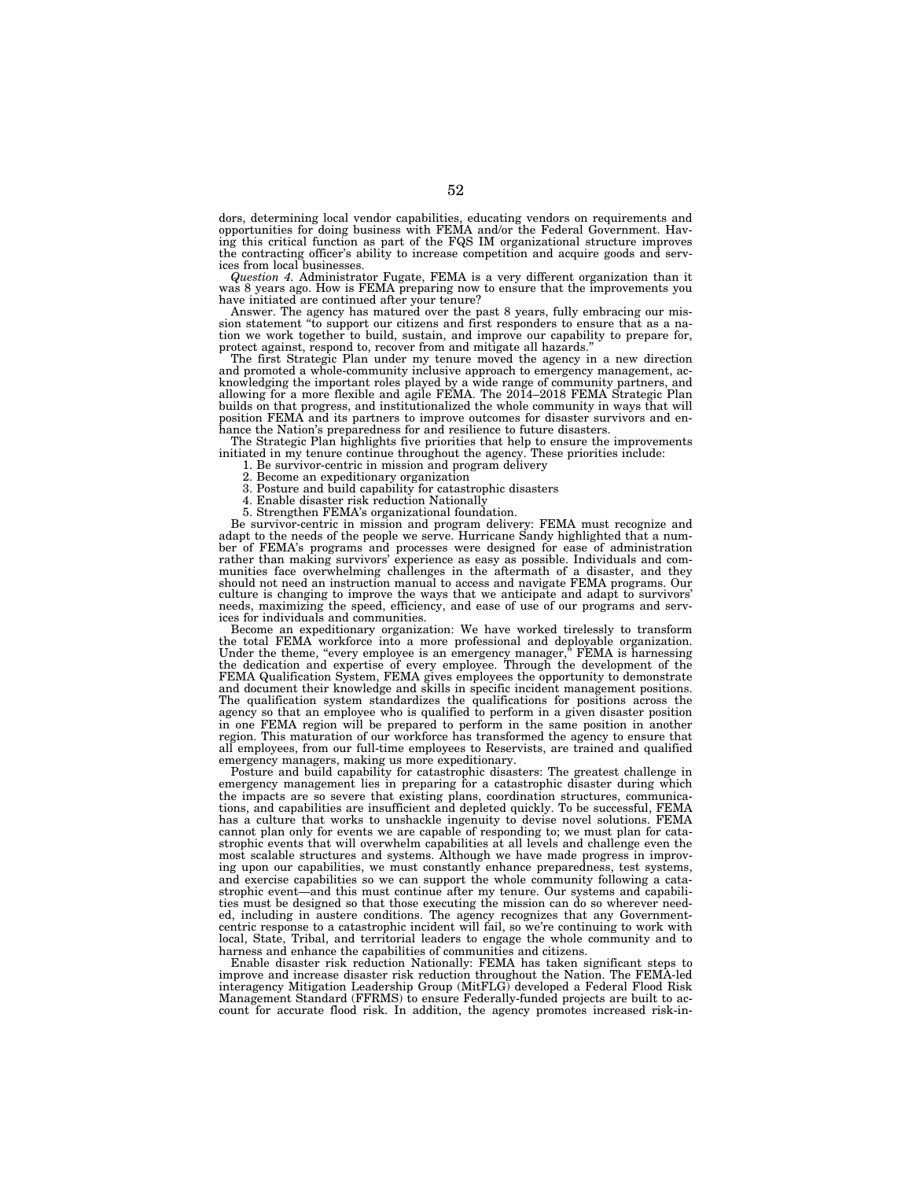dors, determining local vendor capabilities, educating vendors on requirements and opportunities for doing business with FEMA and/or the Federal Government. Having this critical function as part of the FQS IM organizational structure improves the contracting officer's ability to increase competition and acquire goods and services from local businesses.

*Question 4.* Administrator Fugate, FEMA is a very different organization than it was 8 years ago. How is FEMA preparing now to ensure that the improvements you have initiated are continued after your tenure?

Answer. The agency has matured over the past 8 years, fully embracing our mission statement ''to support our citizens and first responders to ensure that as a nation we work together to build, sustain, and improve our capability to prepare for, protect against, respond to, recover from and mitigate all hazards.''

The first Strategic Plan under my tenure moved the agency in a new direction and promoted a whole-community inclusive approach to emergency management, acknowledging the important roles played by a wide range of community partners, and<br>allowing for a more flexible and agile FEMA. The 2014–2018 FEMA Strategic Plan<br>builds on that progress, and institutionalized the whole comm position FEMA and its partners to improve outcomes for disaster survivors and en-hance the Nation's preparedness for and resilience to future disasters.

The Strategic Plan highlights five priorities that help to ensure the improvements initiated in my tenure continue throughout the agency. These priorities include:

1. Be survivor-centric in mission and program delivery

2. Become an expeditionary organization

3. Posture and build capability for catastrophic disasters

4. Enable disaster risk reduction Nationally

5. Strengthen FEMA's organizational foundation.

Be survivor-centric in mission and program delivery: FEMA must recognize and adapt to the needs of the people we serve. Hurricane Sandy highlighted that a number of FEMA's programs and processes were designed for ease of administration rather than making survivors' experience as easy as possible. Individuals and communities face overwhelming challenges in the aftermath of a disaster, and they should not need an instruction manual to access and navigate FEMA programs. Our culture is changing to improve the ways that we anticipate and adapt to survivors' needs, maximizing the speed, efficiency, and ease of use of our programs and services for individuals and communities.

Become an expeditionary organization: We have worked tirelessly to transform the total FEMA workforce into a more professional and deployable organization.<br>Under the theme, "every employee is an emergency manager," FEMA is harnessing<br>the dedication and expertise of every employee. Through the devel FEMA Qualification System, FEMA gives employees the opportunity to demonstrate and document their knowledge and skills in specific incident management positions. The qualification system standardizes the qualifications for positions across the agency so that an employee who is qualified to perform in a given disaster position in one FEMA region will be prepared to perform in the same position in another region. This maturation of our workforce has transformed the agency to ensure that all employees, from our full-time employees to Reservists, are trained and qualified emergency managers, making us more expeditionary.

Posture and build capability for catastrophic disasters: The greatest challenge in emergency management lies in preparing for a catastrophic disaster during which the impacts are so severe that existing plans, coordination structures, communications, and capabilities are insufficient and depleted quickly. To be successful, FEMA has a culture that works to unshackle ingenuity to devise novel solutions. FEMA cannot plan only for events we are capable of responding to; we must plan for catastrophic events that will overwhelm capabilities at all levels and challenge even the most scalable structures and systems. Although we have made progress in improving upon our capabilities, we must constantly enhance preparedness, test systems, and exercise capabilities so we can support the whole community following a catastrophic event—and this must continue after my tenure. Our systems and capabilities must be designed so that those executing the mission can do so wherever needed, including in austere conditions. The agency recognizes that any Governmentcentric response to a catastrophic incident will fail, so we're continuing to work with local, State, Tribal, and territorial leaders to engage the whole community and to harness and enhance the capabilities of communities and citizens.

Enable disaster risk reduction Nationally: FEMA has taken significant steps to improve and increase disaster risk reduction throughout the Nation. The FEMA-led interagency Mitigation Leadership Group (MitFLG) developed a Federal Flood Risk Management Standard (FFRMS) to ensure Federally-funded projects are built to account for accurate flood risk. In addition, the agency promotes increased risk-in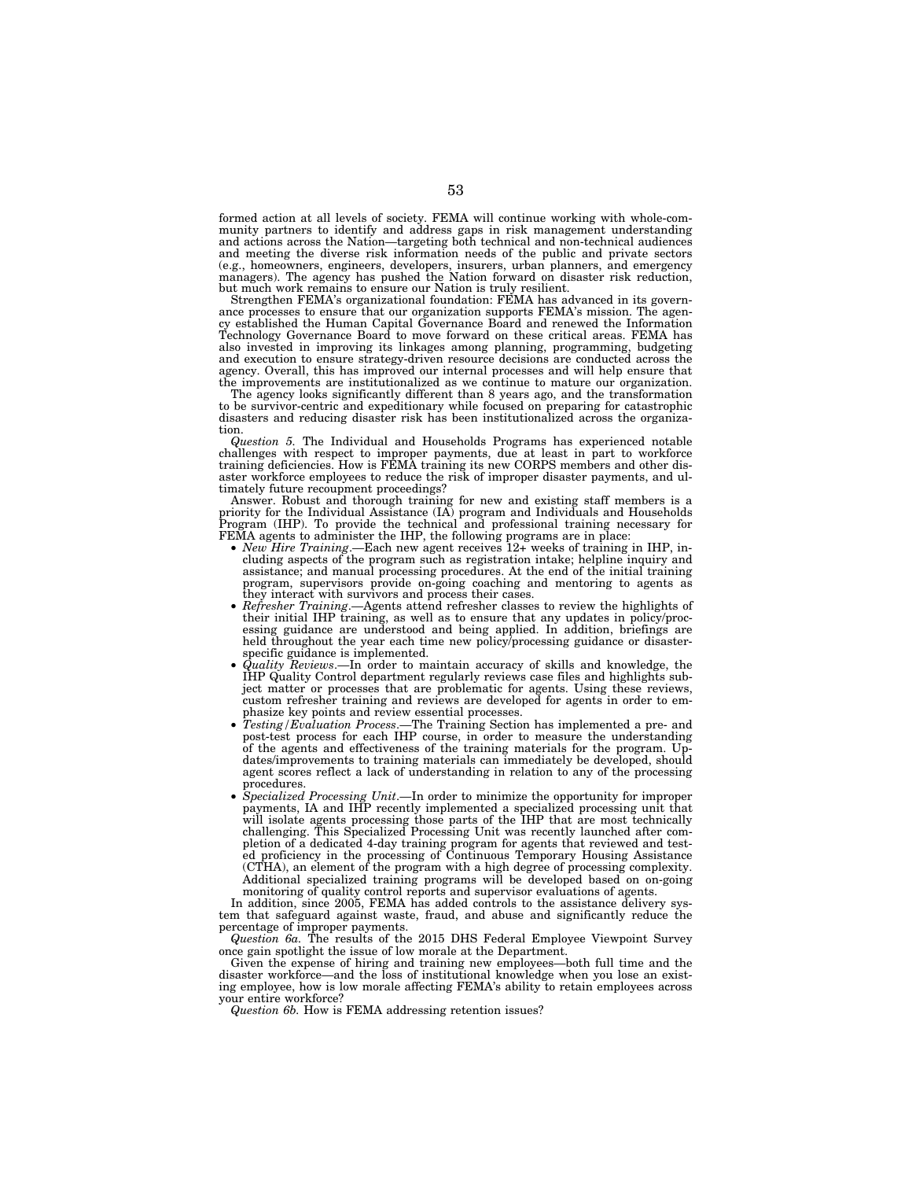formed action at all levels of society. FEMA will continue working with whole-community partners to identify and address gaps in risk management understanding and actions across the Nation—targeting both technical and non-technical audiences and meeting the diverse risk information needs of the public and private sectors (e.g., homeowners, engineers, developers, insurers, urban planners, and emergency managers). The agency has pushed the Nation forward on disaster risk reduction, but much work remains to ensure our Nation is truly resilient.

Strengthen FEMA's organizational foundation: FEMA has advanced in its governance processes to ensure that our organization supports FEMA's mission. The agency established the Human Capital Governance Board and renewed the Information Technology Governance Board to move forward on these critical areas. FEMA has also invested in improving its linkages among planning, programming, budgeting and execution to ensure strategy-driven resource decisions are conducted across the agency. Overall, this has improved our internal processes and will help ensure that the improvements are institutionalized as we continue to mature our organization.

The agency looks significantly different than 8 years ago, and the transformation to be survivor-centric and expeditionary while focused on preparing for catastrophic disasters and reducing disaster risk has been institutionalized across the organization.

*Question 5.* The Individual and Households Programs has experienced notable challenges with respect to improper payments, due at least in part to workforce training deficiencies. How is FEMA training its new CORPS members and other dis-aster workforce employees to reduce the risk of improper disaster payments, and ultimately future recoupment proceedings?

Answer. Robust and thorough training for new and existing staff members is a priority for the Individual Assistance (IA) program and Individuals and Households Program (IHP). To provide the technical and professional training necessary for FEMA agents to administer the IHP, the following programs are in place: • *New Hire Training*.—Each new agent receives 12+ weeks of training in IHP, in-

- cluding aspects of the program such as registration intake; helpline inquiry and assistance; and manual processing procedures. At the end of the initial training program, supervisors provide on-going coaching and mentoring to agents as
- they interact with survivors and process their cases.<br>
 Refresher Training.—Agents attend refresher classes to review the highlights of their initial IHP training, as well as to ensure that any updates in policy/processin specific guidance is implemented.<br>*Quality Reviews*.—In order to maintain accuracy of skills and knowledge, the
- IHP Quality Control department regularly reviews case files and highlights subject matter or processes that are problematic for agents. Using these reviews, custom refresher training and reviews are developed for agents in order to emphasize key points and review essential processes.
- *Testing/Evaluation Process*.—The Training Section has implemented a pre- and post-test process for each IHP course, in order to measure the understanding of the agents and effectiveness of the training materials for the program. Updates/improvements to training materials can immediately be developed, should agent scores reflect a lack of understanding in relation to any of the processing procedures.
- *Specialized Processing Unit*.—In order to minimize the opportunity for improper payments, IA and IHP recently implemented a specialized processing unit that will isolate agents processing those parts of the IHP that are most technically challenging. This Specialized Processing Unit was recently launched after completion of a dedicated 4-day training program for agents that reviewed and tested proficiency in the processing of Continuous Temporary Housing Assistance (CTHA), an element of the program with a high degree of processing complexity. Additional specialized training programs will be developed based on on-going monitoring of quality control reports and supervisor evaluations of agents.

In addition, since 2005, FEMA has added controls to the assistance delivery system that safeguard against waste, fraud, and abuse and significantly reduce the percentage of improper payments.

*Question 6a.* The results of the 2015 DHS Federal Employee Viewpoint Survey once gain spotlight the issue of low morale at the Department.

Given the expense of hiring and training new employees—both full time and the disaster workforce—and the loss of institutional knowledge when you lose an existing employee, how is low morale affecting FEMA's ability to retain employees across your entire workforce?

*Question 6b.* How is FEMA addressing retention issues?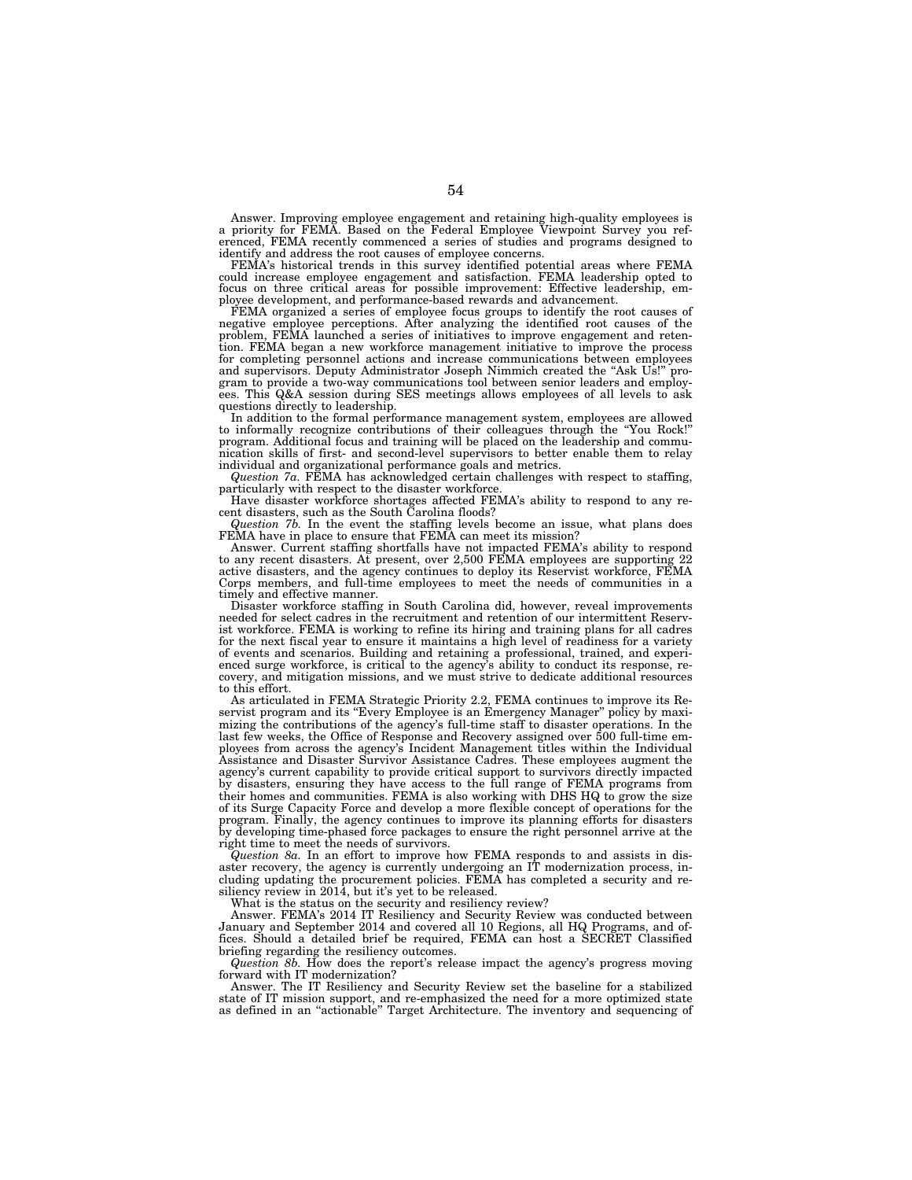Answer. Improving employee engagement and retaining high-quality employees is a priority for FEMA. Based on the Federal Employee Viewpoint Survey you referenced, FEMA recently commenced a series of studies and programs designed to identify and address the root causes of employee concerns.

FEMA's historical trends in this survey identified potential areas where FEMA could increase employee engagement and satisfaction. FEMA leadership opted to focus on three critical areas for possible improvement: Effective leadership, employee development, and performance-based rewards and advancement.

FEMA organized a series of employee focus groups to identify the root causes of negative employee perceptions. After analyzing the identified root causes of the problem, FEMA launched a series of initiatives to improve engagement and retention. FEMA began a new workforce management initiative to improve the process for completing personnel actions and increase communications between employees and supervisors. Deputy Administrator Joseph Nimmich created the ''Ask Us!'' pro-gram to provide a two-way communications tool between senior leaders and employees. This Q&A session during SES meetings allows employees of all levels to ask questions directly to leadership.

In addition to the formal performance management system, employees are allowed to informally recognize contributions of their colleagues through the "You Rock!" program. Additional focus and training will be placed on the leadership and commu-nication skills of first- and second-level supervisors to better enable them to relay individual and organizational performance goals and metrics.

*Question 7a.* FEMA has acknowledged certain challenges with respect to staffing,

particularly with respect to the disaster workforce. Have disaster workforce shortages affected FEMA's ability to respond to any recent disasters, such as the South Carolina floods?

*Question 7b.* In the event the staffing levels become an issue, what plans does FEMA have in place to ensure that FEMA can meet its mission?

Answer. Current staffing shortfalls have not impacted FEMA's ability to respond to any recent disasters. At present, over 2,500 FEMA employees are supporting 22 active disasters, and the agency continues to deploy its Reservist workforce, FEMA Corps members, and full-time employees to meet the needs of communities in a timely and effective manner.

Disaster workforce staffing in South Carolina did, however, reveal improvements needed for select cadres in the recruitment and retention of our intermittent Reservist workforce. FEMA is working to refine its hiring and training plans for all cadres for the next fiscal year to ensure it maintains a high level of readiness for a variety of events and scenarios. Building and retaining a professional, trained, and experi-enced surge workforce, is critical to the agency's ability to conduct its response, recovery, and mitigation missions, and we must strive to dedicate additional resources to this effort.

As articulated in FEMA Strategic Priority 2.2, FEMA continues to improve its Reservist program and its ''Every Employee is an Emergency Manager'' policy by maximizing the contributions of the agency's full-time staff to disaster operations. In the last few weeks, the Office of Response and Recovery assigned over 500 full-time employees from across the agency's Incident Management titles within the Individual Assistance and Disaster Survivor Assistance Cadres. These employees augment the agency's current capability to provide critical support to survivors directly impacted by disasters, ensuring they have access to the full range of FEMA programs from their homes and communities. FEMA is also working with DHS HQ to grow the size of its Surge Capacity Force and develop a more flexible concept of operations for the program. Finally, the agency continues to improve its planning efforts for disasters by developing time-phased force packages to ensure the right personnel arrive at the right time to meet the needs of survivors.

*Question 8a.* In an effort to improve how FEMA responds to and assists in disaster recovery, the agency is currently undergoing an IT modernization process, including updating the procurement policies. FEMA has completed a security and resiliency review in 2014, but it's yet to be released.

What is the status on the security and resiliency review?

Answer. FEMA's 2014 IT Resiliency and Security Review was conducted between January and September 2014 and covered all 10 Regions, all HQ Programs, and offices. Should a detailed brief be required, FEMA can host a SECRET Classified briefing regarding the resiliency outcomes.

*Question 8b.* How does the report's release impact the agency's progress moving forward with IT modernization?

Answer. The IT Resiliency and Security Review set the baseline for a stabilized state of IT mission support, and re-emphasized the need for a more optimized state as defined in an ''actionable'' Target Architecture. The inventory and sequencing of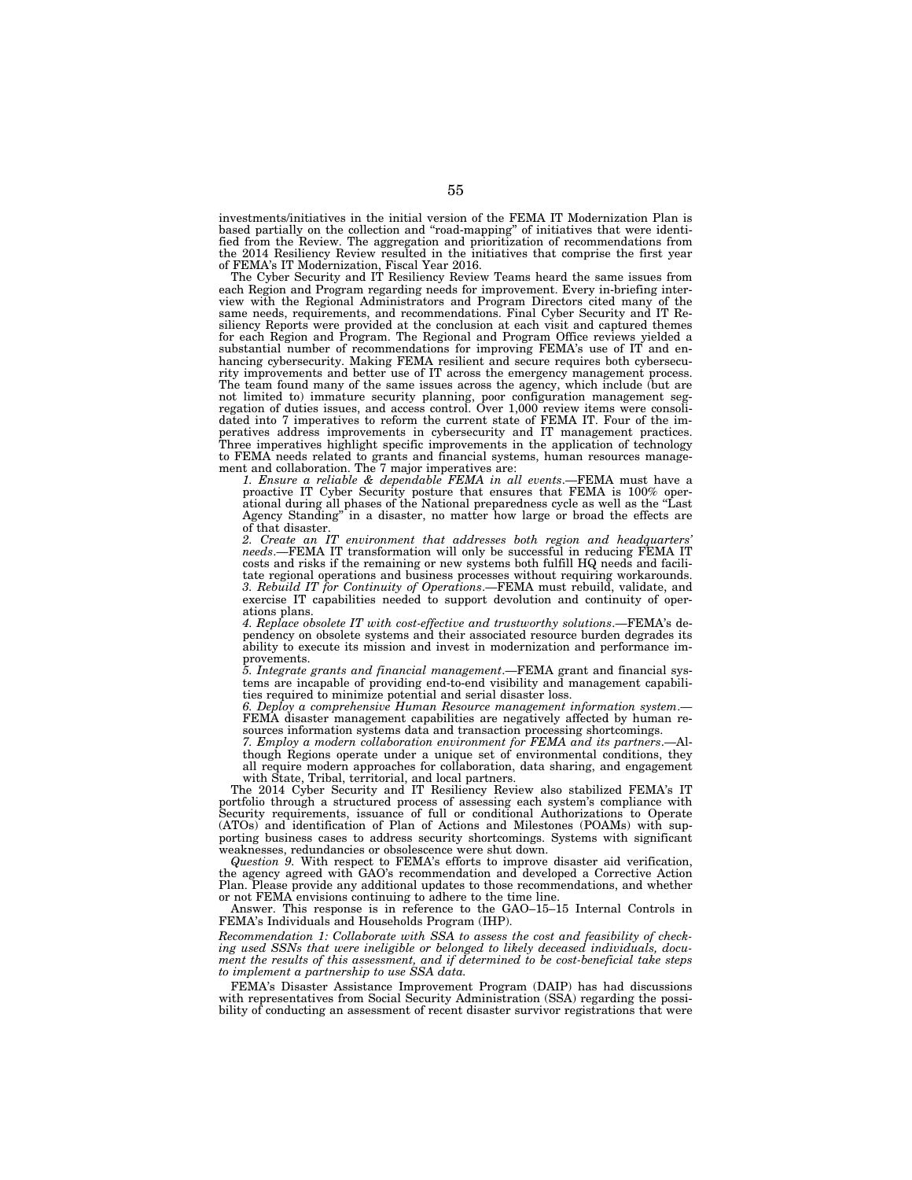investments/initiatives in the initial version of the FEMA IT Modernization Plan is based partially on the collection and ''road-mapping'' of initiatives that were identified from the Review. The aggregation and prioritization of recommendations from the 2014 Resiliency Review resulted in the initiatives that comprise the first year of FEMA's IT Modernization, Fiscal Year 2016.

The Cyber Security and IT Resiliency Review Teams heard the same issues from each Region and Program regarding needs for improvement. Every in-briefing interview with the Regional Administrators and Program Directors cited many of the same needs, requirements, and recommendations. Final Cyber Security and IT Resiliency Reports were provided at the conclusion at each visit and captured themes for each Region and Program. The Regional and Program Office reviews yielded a substantial number of recommendations for improving FEMA's use of IT and enhancing cybersecurity. Making FEMA resilient and secure requires both cybersecurity improvements and better use of IT across the emergency management process. The team found many of the same issues across the agency, which include (but are not limited to) immature security planning, poor configuration management segregation of duties issues, and access control. Over 1,000 review items were consolidated into 7 imperatives to reform the current state of FEMA IT. Four of the imperatives address improvements in cybersecurity and IT management practices. Three imperatives highlight specific improvements in the application of technology to FEMA needs related to grants and financial systems, human resources management and collaboration. The 7 major imperatives are:

*1. Ensure a reliable & dependable FEMA in all events*.—FEMA must have a proactive IT Cyber Security posture that ensures that FEMA is 100% operational during all phases of the National preparedness cycle as well as the ''Last Agency Standing'' in a disaster, no matter how large or broad the effects are of that disaster.

*2. Create an IT environment that addresses both region and headquarters' needs*.—FEMA IT transformation will only be successful in reducing FEMA IT costs and risks if the remaining or new systems both fulfill HQ needs and facilitate regional operations and business processes without requiring workarounds. *3. Rebuild IT for Continuity of Operations*.—FEMA must rebuild, validate, and exercise IT capabilities needed to support devolution and continuity of operations plans.

*4. Replace obsolete IT with cost-effective and trustworthy solutions*.—FEMA's dependency on obsolete systems and their associated resource burden degrades its ability to execute its mission and invest in modernization and performance improvements.

*5. Integrate grants and financial management*.—FEMA grant and financial systems are incapable of providing end-to-end visibility and management capabilities required to minimize potential and serial disaster loss.

*6. Deploy a comprehensive Human Resource management information system*.— FEMA disaster management capabilities are negatively affected by human resources information systems data and transaction processing shortcomings.

*7. Employ a modern collaboration environment for FEMA and its partners*.—Although Regions operate under a unique set of environmental conditions, they all require modern approaches for collaboration, data sharing, and engagement with State, Tribal, territorial, and local partners.

The 2014 Cyber Security and IT Resiliency Review also stabilized FEMA's IT portfolio through a structured process of assessing each system's compliance with Security requirements, issuance of full or conditional Authorizations to Operate (ATOs) and identification of Plan of Actions and Milestones (POAMs) with supporting business cases to address security shortcomings. Systems with significant weaknesses, redundancies or obsolescence were shut down.

*Question 9.* With respect to FEMA's efforts to improve disaster aid verification, the agency agreed with GAO's recommendation and developed a Corrective Action Plan. Please provide any additional updates to those recommendations, and whether or not FEMA envisions continuing to adhere to the time line.

Answer. This response is in reference to the GAO–15–15 Internal Controls in FEMA's Individuals and Households Program (IHP).

*Recommendation 1: Collaborate with SSA to assess the cost and feasibility of checking used SSNs that were ineligible or belonged to likely deceased individuals, document the results of this assessment, and if determined to be cost-beneficial take steps to implement a partnership to use SSA data.* 

FEMA's Disaster Assistance Improvement Program (DAIP) has had discussions with representatives from Social Security Administration (SSA) regarding the possibility of conducting an assessment of recent disaster survivor registrations that were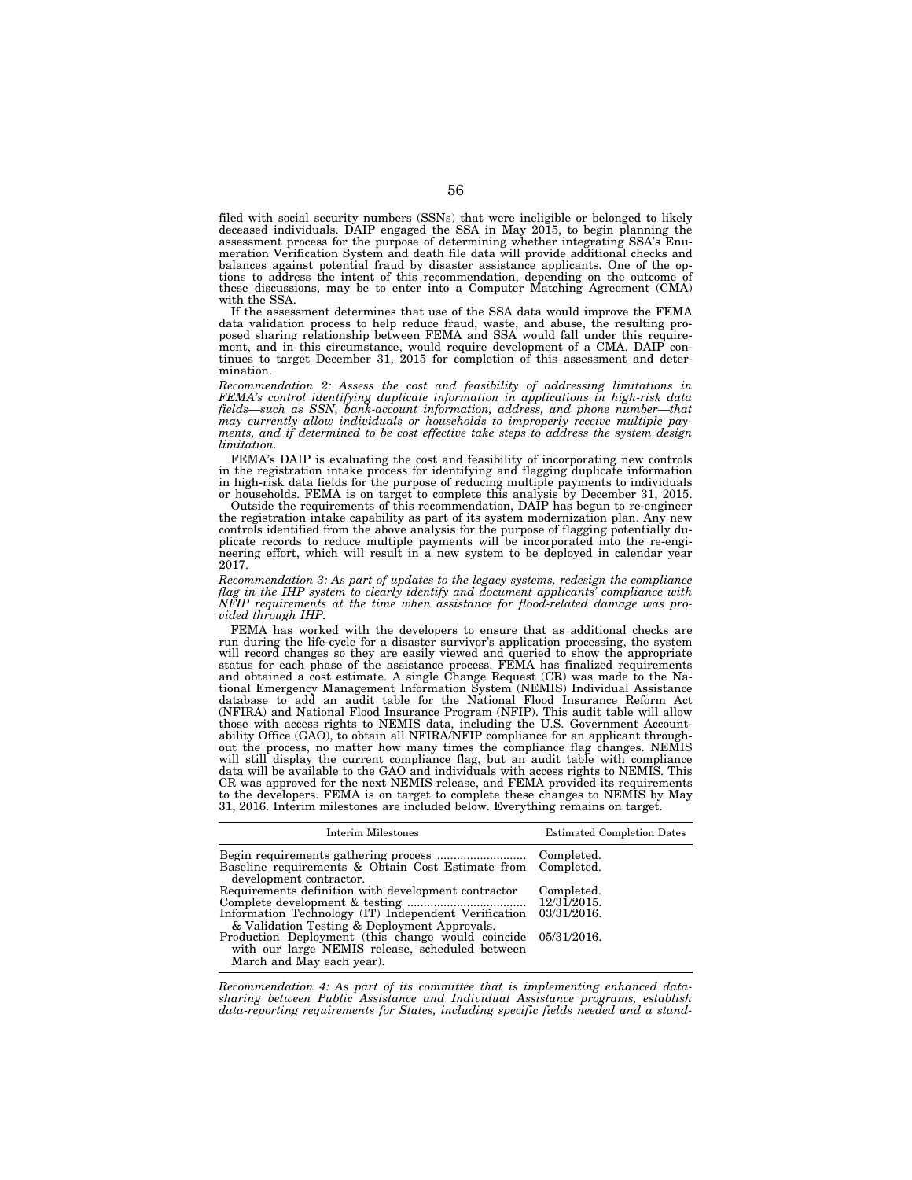filed with social security numbers (SSNs) that were ineligible or belonged to likely deceased individuals. DAIP engaged the SSA in May 2015, to begin planning the assessment process for the purpose of determining whether integrating SSA's Enumeration Verification System and death file data will provide additional checks and balances against potential fraud by disaster assistance applicants. One of the op-tions to address the intent of this recommendation, depending on the outcome of these discussions, may be to enter into a Computer Matching Agreement (CMA) with the SSA.

If the assessment determines that use of the SSA data would improve the FEMA data validation process to help reduce fraud, waste, and abuse, the resulting pro-posed sharing relationship between FEMA and SSA would fall under this requirement, and in this circumstance, would require development of a CMA. DAIP con-tinues to target December 31, 2015 for completion of this assessment and determination.

*Recommendation 2: Assess the cost and feasibility of addressing limitations in FEMA's control identifying duplicate information in applications in high-risk data fields—such as SSN, bank-account information, address, and phone number—that may currently allow individuals or households to improperly receive multiple payments, and if determined to be cost effective take steps to address the system design limitation.* 

FEMA's DAIP is evaluating the cost and feasibility of incorporating new controls in the registration intake process for identifying and flagging duplicate information in high-risk data fields for the purpose of reducing multiple payments to individuals or households. FEMA is on target to complete this analysis by December 31, 2015.

Outside the requirements of this recommendation, DAIP has begun to re-engineer the registration intake capability as part of its system modernization plan. Any new controls identified from the above analysis for the purpose of flagging potentially du-plicate records to reduce multiple payments will be incorporated into the re-engineering effort, which will result in a new system to be deployed in calendar year 2017.

*Recommendation 3: As part of updates to the legacy systems, redesign the compliance flag in the IHP system to clearly identify and document applicants' compliance with NFIP requirements at the time when assistance for flood-related damage was provided through IHP.* 

FEMA has worked with the developers to ensure that as additional checks are run during the life-cycle for a disaster survivor's application processing, the system will record changes so they are easily viewed and queried to show the appropriate status for each phase of the assistance process. FEMA has finalized requirements and obtained a cost estimate. A single Change Request (CR) database to add an audit table for the National Flood Insurance Reform Act (NFIRA) and National Flood Insurance Program (NFIP). This audit table will allow those with access rights to NEMIS data, including the U.S. Government Account-ability Office (GAO), to obtain all NFIRA/NFIP compliance for an applicant throughout the process, no matter how many times the compliance flag changes. NEMIS will still display the current compliance flag, but an audit table with compliance data will be available to the GAO and individuals with access rights to NEMIS. This CR was approved for the next NEMIS release, and FEMA provided its requirements to the developers. FEMA is on target to complete these changes to NEMIS by May 31, 2016. Interim milestones are included below. Everything remains on target.

| <b>Interim Milestones</b>                                                                                                                                               | <b>Estimated Completion Dates</b> |
|-------------------------------------------------------------------------------------------------------------------------------------------------------------------------|-----------------------------------|
| development contractor.                                                                                                                                                 |                                   |
| Requirements definition with development contractor<br>Information Technology (IT) Independent Verification 03/31/2016.<br>& Validation Testing & Deployment Approvals. | Completed.<br>$12/31/2015$ .      |
| Production Deployment (this change would coincide 05/31/2016.<br>with our large NEMIS release, scheduled between<br>March and May each year).                           |                                   |

*Recommendation 4: As part of its committee that is implementing enhanced datasharing between Public Assistance and Individual Assistance programs, establish data-reporting requirements for States, including specific fields needed and a stand-*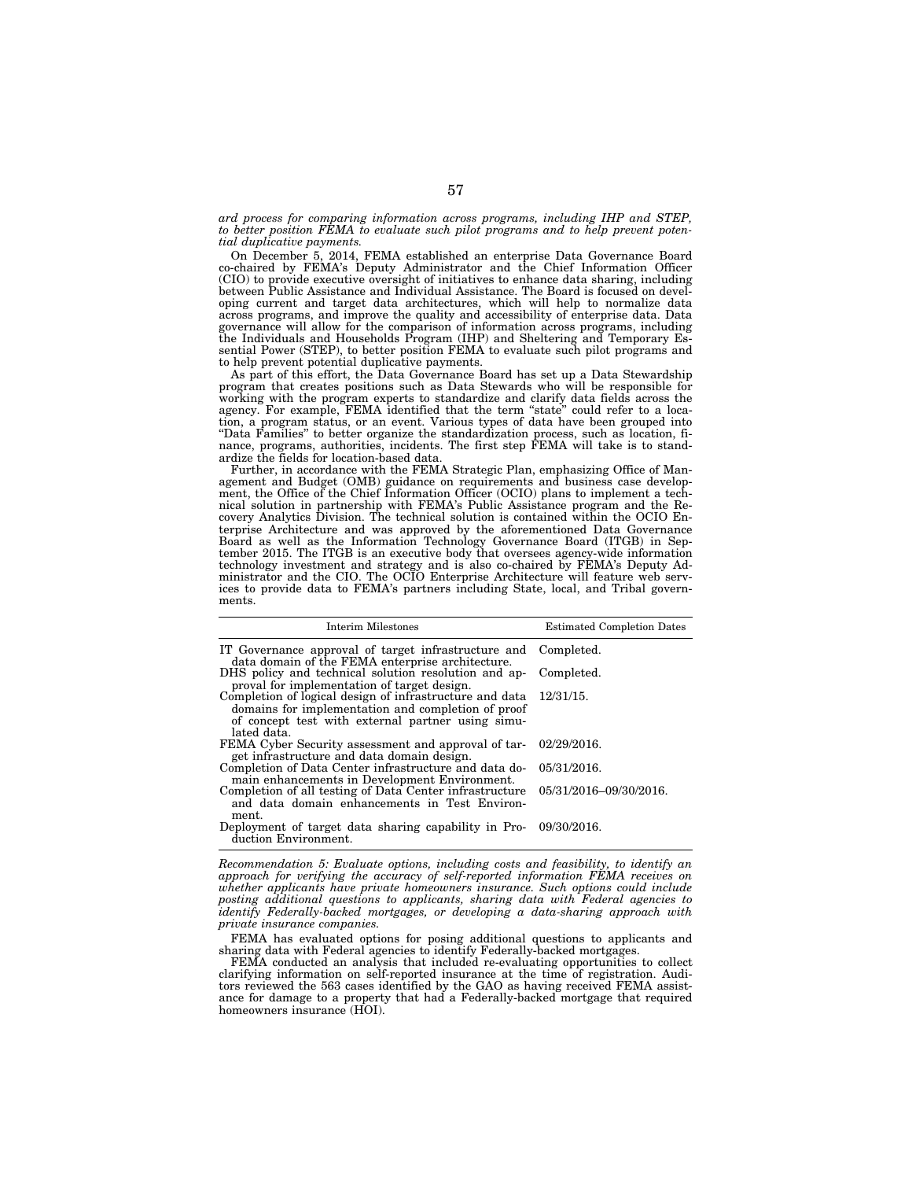*ard process for comparing information across programs, including IHP and STEP, to better position FEMA to evaluate such pilot programs and to help prevent potential duplicative payments.* 

On December 5, 2014, FEMA established an enterprise Data Governance Board co-chaired by FEMA's Deputy Administrator and the Chief Information Officer (CIO) to provide executive oversight of initiatives to enhance data sharing, including between Public Assistance and Individual Assistance. The Board is focused on devel-oping current and target data architectures, which will help to normalize data across programs, and improve the quality and accessibility of enterprise data. Data governance will allow for the comparison of information across programs, including the Individuals and Households Program (IHP) and Sheltering and Temporary Essential Power (STEP), to better position FEMA to evaluate such pilot programs and to help prevent potential duplicative payments.

As part of this effort, the Data Governance Board has set up a Data Stewardship program that creates positions such as Data Stewards who will be responsible for working with the program experts to standardize and clarify data fields across the agency. For example, FEMA identified that the term "state" could refer to a location, a program status, or an event. Various types of data have been grouped into ''Data Families'' to better organize the standardization process, such as location, finance, programs, authorities, incidents. The first step FEMA will take is to standardize the fields for location-based data.

Further, in accordance with the FEMA Strategic Plan, emphasizing Office of Management and Budget (OMB) guidance on requirements and business case development, the Office of the Chief Information Officer (OCIO) plans to implement a technical solution in partnership with FEMA's Public Assistance program and the Recovery Analytics Division. The technical solution is contained within the OCIO Enterprise Architecture and was approved by the aforementioned Data Governance Board as well as the Information Technology Governance Board (ITGB) in September 2015. The ITGB is an executive body that oversees agency-wide information technology investment and strategy and is also co-chaired by FEMA's Deputy Administrator and the CIO. The OCIO Enterprise Architecture will feature web services to provide data to FEMA's partners including State, local, and Tribal governments.

| Interim Milestones                                                                                                                                                                          | <b>Estimated Completion Dates</b> |
|---------------------------------------------------------------------------------------------------------------------------------------------------------------------------------------------|-----------------------------------|
| IT Governance approval of target infrastructure and Completed.<br>data domain of the FEMA enterprise architecture.                                                                          |                                   |
| DHS policy and technical solution resolution and ap-<br>proval for implementation of target design.                                                                                         | Completed.                        |
| Completion of logical design of infrastructure and data 12/31/15.<br>domains for implementation and completion of proof<br>of concept test with external partner using simu-<br>lated data. |                                   |
| FEMA Cyber Security assessment and approval of tar-<br>get infrastructure and data domain design.                                                                                           | 02/29/2016.                       |
| Completion of Data Center infrastructure and data do-<br>main enhancements in Development Environment.                                                                                      | 05/31/2016.                       |
| Completion of all testing of Data Center infrastructure<br>and data domain enhancements in Test Environ-<br>ment.                                                                           | 05/31/2016-09/30/2016.            |
| Deployment of target data sharing capability in Pro- 09/30/2016.<br>duction Environment.                                                                                                    |                                   |

*Recommendation 5: Evaluate options, including costs and feasibility, to identify an approach for verifying the accuracy of self-reported information FEMA receives on whether applicants have private homeowners insurance. Such options could include posting additional questions to applicants, sharing data with Federal agencies to identify Federally-backed mortgages, or developing a data-sharing approach with private insurance companies.* 

FEMA has evaluated options for posing additional questions to applicants and sharing data with Federal agencies to identify Federally-backed mortgages.

FEMA conducted an analysis that included re-evaluating opportunities to collect clarifying information on self-reported insurance at the time of registration. Auditors reviewed the 563 cases identified by the GAO as having received FEMA assistance for damage to a property that had a Federally-backed mortgage that required homeowners insurance (HOI).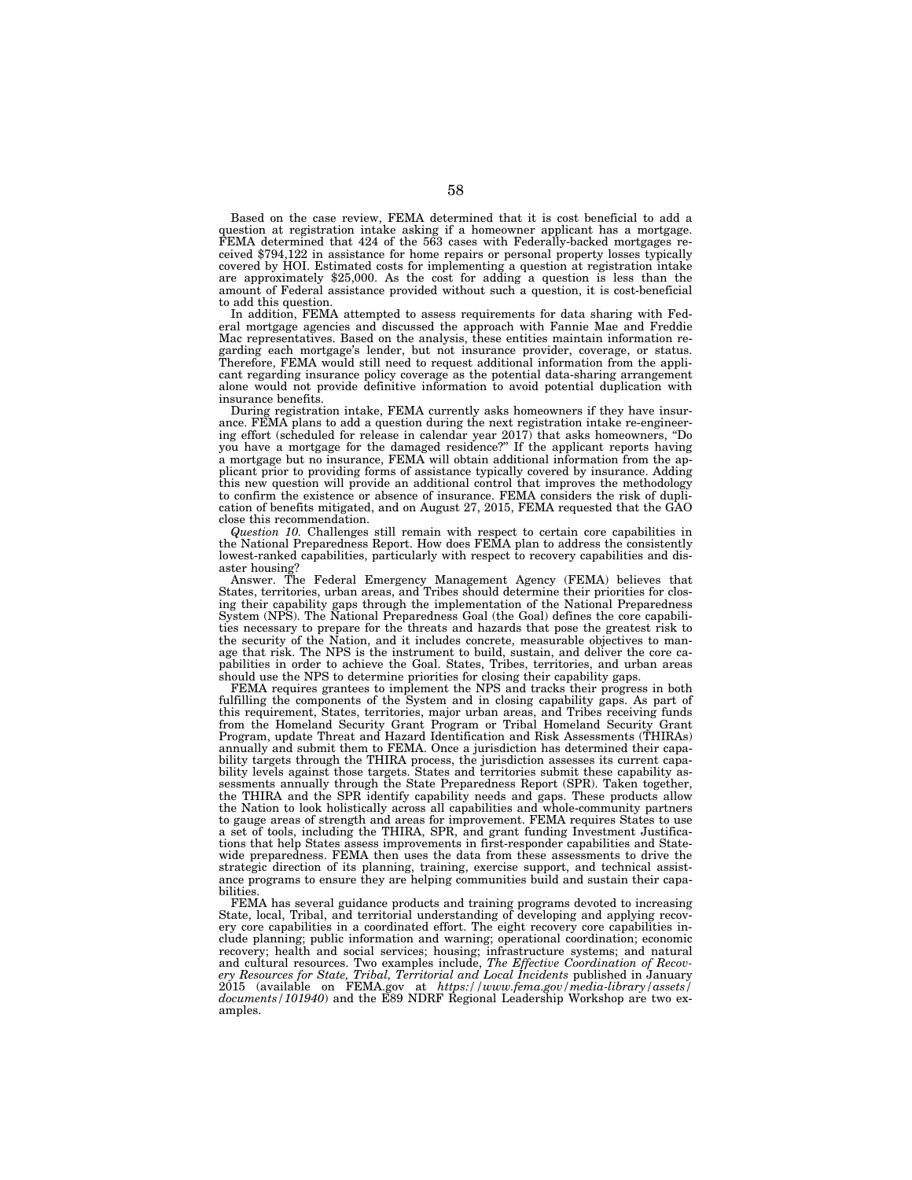Based on the case review, FEMA determined that it is cost beneficial to add a question at registration intake asking if a homeowner applicant has a mortgage. FEMA determined that 424 of the 563 cases with Federally-backed mortgages received \$794,122 in assistance for home repairs or personal property losses typically covered by HOI. Estimated costs for implementing a question at registration intake are approximately \$25,000. As the cost for adding a question is less than the amount of Federal assistance provided without such a question, it is cost-beneficial to add this question.

In addition, FEMA attempted to assess requirements for data sharing with Federal mortgage agencies and discussed the approach with Fannie Mae and Freddie Mac representatives. Based on the analysis, these entities maintain information regarding each mortgage's lender, but not insurance provider, coverage, or status. Therefore, FEMA would still need to request additional information from the applicant regarding insurance policy coverage as the potential data-sharing arrangement alone would not provide definitive information to avoid potential duplication with insurance benefits.

During registration intake, FEMA currently asks homeowners if they have insurance. FEMA plans to add a question during the next registration intake re-engineering effort (scheduled for release in calendar year 2017) that asks homeowners, ''Do you have a mortgage for the damaged residence?'' If the applicant reports having a mortgage but no insurance, FEMA will obtain additional information from the applicant prior to providing forms of assistance typically covered by insurance. Adding this new question will provide an additional control that improves the methodology to confirm the existence or absence of insurance. FEMA considers the risk of duplication of benefits mitigated, and on August 27, 2015, FEMA requested that the GAO close this recommendation.

*Question 10.* Challenges still remain with respect to certain core capabilities in the National Preparedness Report. How does FEMA plan to address the consistently lowest-ranked capabilities, particularly with respect to recovery capabilities and disaster housing?

Answer. The Federal Emergency Management Agency (FEMA) believes that States, territories, urban areas, and Tribes should determine their priorities for closing their capability gaps through the implementation of the National Preparedness System (NPS). The National Preparedness Goal (the Goal) defines the core capabilities necessary to prepare for the threats and hazards that pose the greatest risk to the security of the Nation, and it includes concrete, measurable objectives to manage that risk. The NPS is the instrument to build, sustain, and deliver the core capabilities in order to achieve the Goal. States, Tribes, territories, and urban areas should use the NPS to determine priorities for closing their capability gaps.

FEMA requires grantees to implement the NPS and tracks their progress in both fulfilling the components of the System and in closing capability gaps. As part of this requirement, States, territories, major urban areas, and Tribes receiving funds from the Homeland Security Grant Program or Tribal Homeland Security Grant Program, update Threat and Hazard Identification and Risk Assessments (THIRAs) annually and submit them to FEMA. Once a jurisdiction has determined their capability targets through the THIRA process, the jurisdiction assesses its current capability levels against those targets. States and territories submit these capability assessments annually through the State Preparedness Report (SPR). Taken together, the THIRA and the SPR identify capability needs and gaps. These products allow the Nation to look holistically across all capabilities and whole-community partners to gauge areas of strength and areas for improvement. FEMA requires States to use a set of tools, including the THIRA, SPR, and grant funding Investment Justifications that help States assess improvements in first-responder capabilities and Statewide preparedness. FEMA then uses the data from these assessments to drive the strategic direction of its planning, training, exercise support, and technical assistance programs to ensure they are helping communities build and sustain their capabilities.

FEMA has several guidance products and training programs devoted to increasing State, local, Tribal, and territorial understanding of developing and applying recovery core capabilities in a coordinated effort. The eight recovery core capabilities include planning; public information and warning; operational coordination; economic recovery; health and social services; housing; infrastructure systems; and natural and cultural resources. Two examples include, *The Effective Coordination of Recovery Resources for State, Tribal, Territorial and Local Incidents* published in January 2015 (available on FEMA.gov at *https://www.fema.gov/media-library/assets/ documents/101940*) and the E89 NDRF Regional Leadership Workshop are two examples.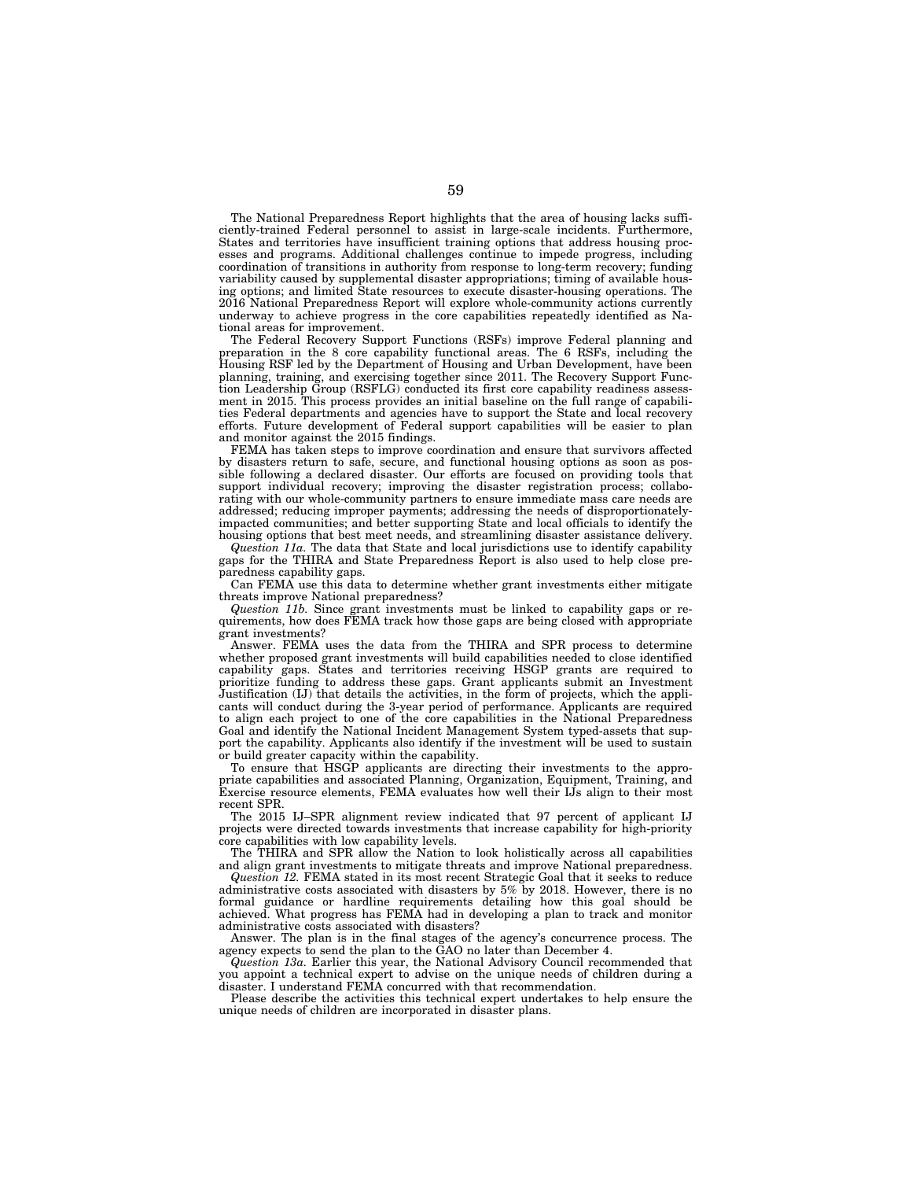The National Preparedness Report highlights that the area of housing lacks sufficiently-trained Federal personnel to assist in large-scale incidents. Furthermore, States and territories have insufficient training options that address housing processes and programs. Additional challenges continue to impede progress, including coordination of transitions in authority from response to long-term recovery; funding variability caused by supplemental disaster appropriations; timing of available housing options; and limited State resources to execute disaster-housing operations. The 2016 National Preparedness Report will explore whole-community actions currently underway to achieve progress in the core capabilities repeatedly identified as National areas for improvement.

The Federal Recovery Support Functions (RSFs) improve Federal planning and preparation in the 8 core capability functional areas. The 6 RSFs, including the Housing RSF led by the Department of Housing and Urban Development, have been planning, training, and exercising together since 2011. The Recovery Support Function Leadership Group (RSFLG) conducted its first core capability readiness assessment in 2015. This process provides an initial baseline on the full range of capabilities Federal departments and agencies have to support the State and local recovery efforts. Future development of Federal support capabilities will be easier to plan and monitor against the 2015 findings.

FEMA has taken steps to improve coordination and ensure that survivors affected by disasters return to safe, secure, and functional housing options as soon as possible following a declared disaster. Our efforts are focused on providing tools that support individual recovery; improving the disaster registration process; collaborating with our whole-community partners to ensure immediate mass care needs are addressed; reducing improper payments; addressing the needs of disproportionatelyimpacted communities; and better supporting State and local officials to identify the housing options that best meet needs, and streamlining disaster assistance delivery.

*Question 11a.* The data that State and local jurisdictions use to identify capability gaps for the THIRA and State Preparedness Report is also used to help close preparedness capability gaps.

Can FEMA use this data to determine whether grant investments either mitigate threats improve National preparedness?

*Question 11b.* Since grant investments must be linked to capability gaps or requirements, how does FEMA track how those gaps are being closed with appropriate grant investments?

Answer. FEMA uses the data from the THIRA and SPR process to determine whether proposed grant investments will build capabilities needed to close identified capability gaps. States and territories receiving HSGP grants are required to prioritize funding to address these gaps. Grant applicants submit an Investment Justification (IJ) that details the activities, in the form of projects, which the applicants will conduct during the 3-year period of performance. Applicants are required to align each project to one of the core capabilities in the National Preparedness Goal and identify the National Incident Management System typed-assets that support the capability. Applicants also identify if the investment will be used to sustain or build greater capacity within the capability.

To ensure that HSGP applicants are directing their investments to the appropriate capabilities and associated Planning, Organization, Equipment, Training, and Exercise resource elements, FEMA evaluates how well their IJs align to their most recent SPR.

The 2015 IJ–SPR alignment review indicated that 97 percent of applicant IJ projects were directed towards investments that increase capability for high-priority core capabilities with low capability levels.

The THIRA and SPR allow the Nation to look holistically across all capabilities and align grant investments to mitigate threats and improve National preparedness.

*Question 12.* FEMA stated in its most recent Strategic Goal that it seeks to reduce administrative costs associated with disasters by 5% by 2018. However, there is no formal guidance or hardline requirements detailing how this goal should be achieved. What progress has FEMA had in developing a plan to track and monitor administrative costs associated with disasters?

Answer. The plan is in the final stages of the agency's concurrence process. The agency expects to send the plan to the GAO no later than December 4.

*Question 13a.* Earlier this year, the National Advisory Council recommended that you appoint a technical expert to advise on the unique needs of children during a disaster. I understand FEMA concurred with that recommendation.

Please describe the activities this technical expert undertakes to help ensure the unique needs of children are incorporated in disaster plans.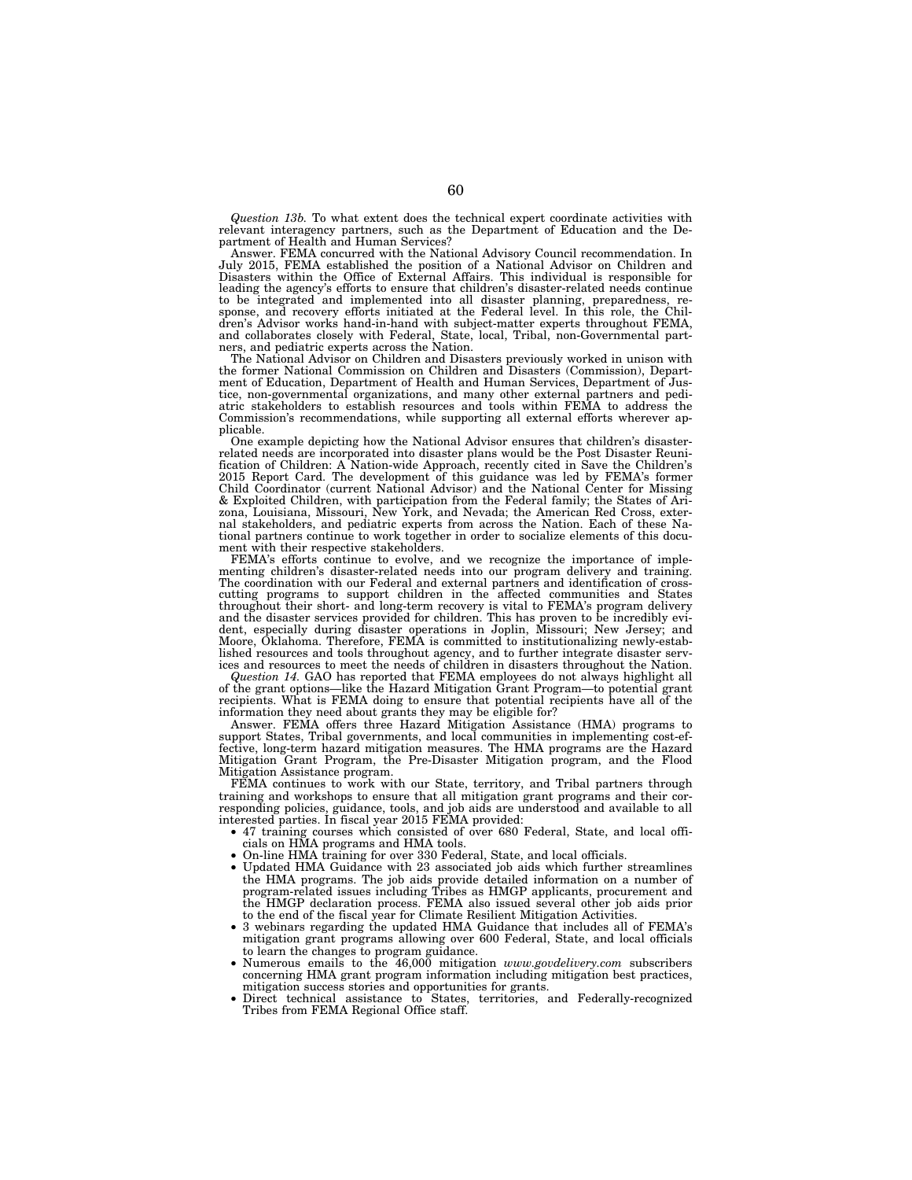*Question 13b.* To what extent does the technical expert coordinate activities with relevant interagency partners, such as the Department of Education and the Department of Health and Human Services?

Answer. FEMA concurred with the National Advisory Council recommendation. In July 2015, FEMA established the position of a National Advisor on Children and Disasters within the Office of External Affairs. This individual is responsible for leading the agency's efforts to ensure that children's disaster-related needs continue to be integrated and implemented into all disaster planning, preparedness, re-sponse, and recovery efforts initiated at the Federal level. In this role, the Children's Advisor works hand-in-hand with subject-matter experts throughout FEMA, and collaborates closely with Federal, State, local, Tribal, non-Governmental partners, and pediatric experts across the Nation.

The National Advisor on Children and Disasters previously worked in unison with the former National Commission on Children and Disasters (Commission), Depart-ment of Education, Department of Health and Human Services, Department of Justice, non-governmental organizations, and many other external partners and pedi-atric stakeholders to establish resources and tools within FEMA to address the Commission's recommendations, while supporting all external efforts wherever applicable.

One example depicting how the National Advisor ensures that children's disasterrelated needs are incorporated into disaster plans would be the Post Disaster Reunification of Children: A Nation-wide Approach, recently cited in Save the Children's 2015 Report Card. The development of this guidance was led by FEMA's former Child Coordinator (current National Advisor) and the National Center for Missing & Exploited Children, with participation from the Federal family; the States of Arizona, Louisiana, Missouri, New York, and Nevada; the American Red Cross, exter-nal stakeholders, and pediatric experts from across the Nation. Each of these National partners continue to work together in order to socialize elements of this document with their respective stakeholders.

FEMA's efforts continue to evolve, and we recognize the importance of implementing children's disaster-related needs into our program delivery and training. The coordination with our Federal and external partners and identification of crosscutting programs to support children in the affected communities and States throughout their short- and long-term recovery is vital to FEMA's program delivery<br>and the disaster services provided for children. This has proven to be incredibly evi-<br>dent, especially during disaster operations in Jopli lished resources and tools throughout agency, and to further integrate disaster serv-ices and resources to meet the needs of children in disasters throughout the Nation.

*Question 14.* GAO has reported that FEMA employees do not always highlight all of the grant options—like the Hazard Mitigation Grant Program—to potential grant recipients. What is FEMA doing to ensure that potential recipients have all of the information they need about grants they may be eligible for?

Answer. FEMA offers three Hazard Mitigation Assistance (HMA) programs to support States, Tribal governments, and local communities in implementing cost-effective, long-term hazard mitigation measures. The HMA programs are the Hazard Mitigation Grant Program, the Pre-Disaster Mitigation program, and the Flood Mitigation Assistance program.

FEMA continues to work with our State, territory, and Tribal partners through training and workshops to ensure that all mitigation grant programs and their corresponding policies, guidance, tools, and job aids are understood and available to all interested parties. In fiscal year 2015 FEMA provided:

- 47 training courses which consisted of over 680 Federal, State, and local officials on HMA programs and HMA tools.
- On-line HMA training for over 330 Federal, State, and local officials.
- Updated HMA Guidance with 23 associated job aids which further streamlines the HMA programs. The job aids provide detailed information on a number of program-related issues including Tribes as HMGP applicants, procurement and the HMGP declaration process. FEMA also issued several other job aids prior to the end of the fiscal year for Climate Resilient Mitigation Activities.
- 3 webinars regarding the updated HMA Guidance that includes all of FEMA's mitigation grant programs allowing over 600 Federal, State, and local officials to learn the changes to program guidance.
- Numerous emails to the 46,000 mitigation *www.govdelivery.com* subscribers concerning HMA grant program information including mitigation best practices,
- mitigation success stories and opportunities for grants. Direct technical assistance to States, territories, and Federally-recognized Tribes from FEMA Regional Office staff.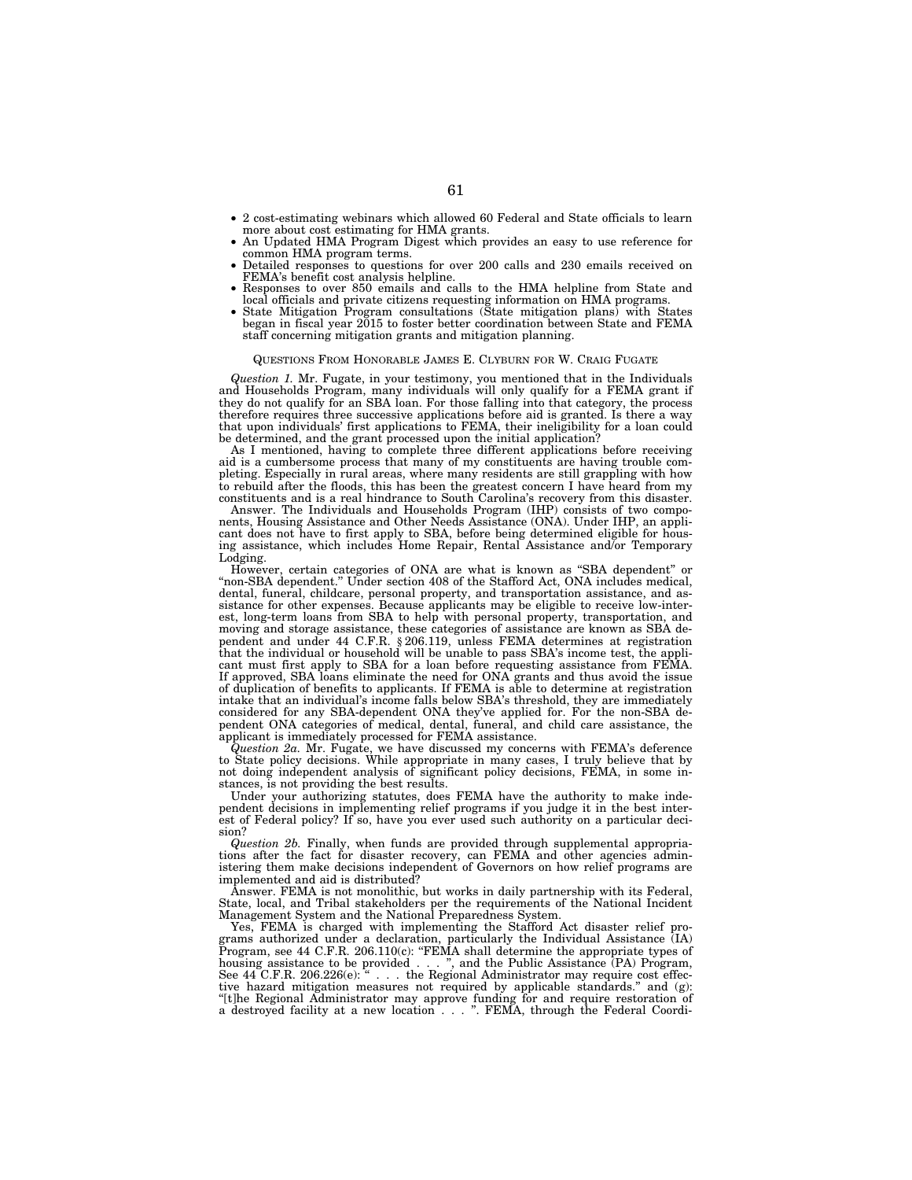- 2 cost-estimating webinars which allowed 60 Federal and State officials to learn
- An Updated HMA Program Digest which provides an easy to use reference for common HMA program terms.
- Detailed responses to questions for over 200 calls and 230 emails received on FEMA's benefit cost analysis helpline.
- Responses to over 850 emails and calls to the HMA helpline from State and local officials and private citizens requesting information on HMA programs. State Mitigation Program consultations (State mitigation plans) with States
- began in fiscal year 2015 to foster better coordination between State and FEMA staff concerning mitigation grants and mitigation planning.

### QUESTIONS FROM HONORABLE JAMES E. CLYBURN FOR W. CRAIG FUGATE

*Question 1.* Mr. Fugate, in your testimony, you mentioned that in the Individuals and Households Program, many individuals will only qualify for a FEMA grant if they do not qualify for an SBA loan. For those falling into that category, the process therefore requires three successive applications before aid is granted. Is there a way that upon individuals' first applications to FEMA, their ineligibility for a loan could be determined, and the grant processed upon the initial application?

As I mentioned, having to complete three different applications before receiving aid is a cumbersome process that many of my constituents are having trouble completing. Especially in rural areas, where many residents are still grappling with how to rebuild after the floods, this has been the greatest concern I have heard from my constituents and is a real hindrance to South Carolina's recovery from this disaster.

Answer. The Individuals and Households Program (IHP) consists of two components, Housing Assistance and Other Needs Assistance (ONA). Under IHP, an applicant does not have to first apply to SBA, before being determined eligible for housing assistance, which includes Home Repair, Rental Assistance and/or Temporary Lodging.

However, certain categories of ONA are what is known as ''SBA dependent'' or ''non-SBA dependent.'' Under section 408 of the Stafford Act, ONA includes medical, dental, funeral, childcare, personal property, and transportation assistance, and assistance for other expenses. Because applicants may be eligible to receive low-interest, long-term loans from SBA to help with personal property, transportation, and moving and storage assistance, these categories of assistance are known as SBA dependent and under 44 C.F.R. § 206.119, unless FEMA determines at registration that the individual or household will be unable to pass SBA's income test, the applicant must first apply to SBA for a loan before requesting assistance from FEMA. If approved, SBA loans eliminate the need for ONA grants and thus avoid the issue of duplication of benefits to applicants. If FEMA is able to determine at registration intake that an individual's income falls below SBA's threshold, they are immediately considered for any SBA-dependent ONA they've applied for. For the non-SBA dependent ONA categories of medical, dental, funeral, and child care assistance, the applicant is immediately processed for FEMA assistance.

*Question 2a.* Mr. Fugate, we have discussed my concerns with FEMA's deference to State policy decisions. While appropriate in many cases, I truly believe that by not doing independent analysis of significant policy decisions, FEMA, in some instances, is not providing the best results.

Under your authorizing statutes, does FEMA have the authority to make independent decisions in implementing relief programs if you judge it in the best interest of Federal policy? If so, have you ever used such authority on a particular decision?

*Question 2b.* Finally, when funds are provided through supplemental appropriations after the fact for disaster recovery, can FEMA and other agencies administering them make decisions independent of Governors on how relief programs are implemented and aid is distributed?

Answer. FEMA is not monolithic, but works in daily partnership with its Federal, State, local, and Tribal stakeholders per the requirements of the National Incident Management System and the National Preparedness System.

Yes, FEMA is charged with implementing the Stafford Act disaster relief programs authorized under a declaration, particularly the Individual Assistance (IA) Program, see 44 C.F.R. 206.110(c): ''FEMA shall determine the appropriate types of housing assistance to be provided . . . ", and the Public Assistance (PA) Program, See 44 C.F.R. 206.226(e): " $\ldots$  the Regional Administrator may require cost effective hazard mitigation measures not required by applicable standards.'' and (g): ''[t]he Regional Administrator may approve funding for and require restoration of a destroyed facility at a new location... ''. FEMA, through the Federal Coordi